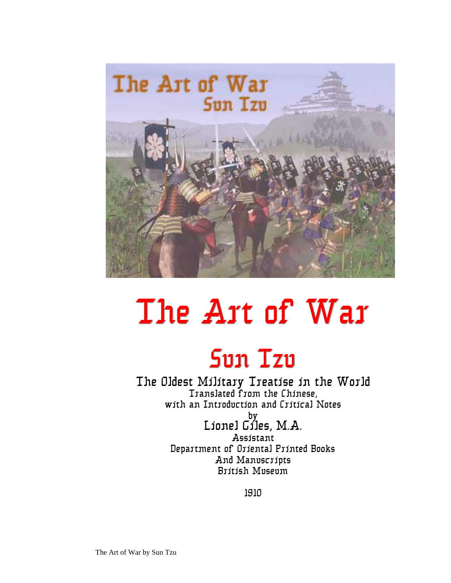

# The Art of War

### Sun Tzu

The Oldest Military Treatise in the World Translated from the Chinese, with an Introduction and Critical Notes

> by Lionel Giles, M.A. Assistant Department of Oriental Printed Books And Manuscripts British Museum

> > 1910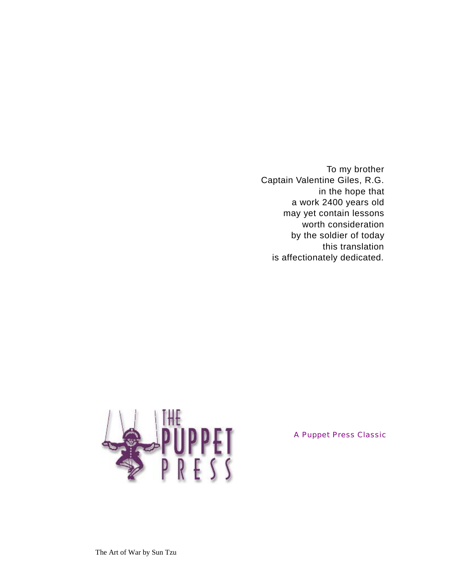To my brother Captain Valentine Giles, R.G. in the hope that a work 2400 years old may yet contain lessons worth consideration by the soldier of today this translation is affectionately dedicated.



A Puppet Press Classic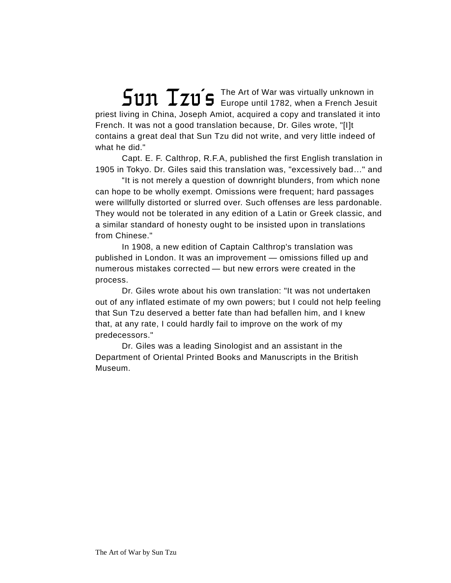The Art of War was virtually unknown in  $\mathsf{Fun}\ \mathsf{I}$   $\mathsf{I}$   $\mathsf{I}$   $\mathsf{I}$   $\mathsf{I}$   $\mathsf{I}$   $\mathsf{I}$   $\mathsf{I}$   $\mathsf{I}$   $\mathsf{I}$   $\mathsf{I}$   $\mathsf{I}$   $\mathsf{I}$   $\mathsf{I}$   $\mathsf{I}$   $\mathsf{I}$   $\mathsf{I}$   $\mathsf{I}$   $\mathsf{I}$   $\mathsf{I}$   $\mathsf{I}$   $\mathsf{I}$   $\mathsf{I}$   $\mathsf{I}$ priest living in China, Joseph Amiot, acquired a copy and translated it into French. It was not a good translation because, Dr. Giles wrote, "[I]t contains a great deal that Sun Tzu did not write, and very little indeed of what he did."

Capt. E. F. Calthrop, R.F.A, published the first English translation in 1905 in Tokyo. Dr. Giles said this translation was, "excessively bad..." and

"It is not merely a question of downright blunders, from which none can hope to be wholly exempt. Omissions were frequent; hard passages were willfully distorted or slurred over. Such offenses are less pardonable. They would not be tolerated in any edition of a Latin or Greek classic, and a similar standard of honesty ought to be insisted upon in translations from Chinese."

In 1908, a new edition of Captain Calthrop's translation was published in London. It was an improvement — omissions filled up and numerous mistakes corrected - but new errors were created in the process.

Dr. Giles wrote about his own translation: "It was not undertaken out of any inflated estimate of my own powers; but I could not help feeling that Sun Tzu deserved a better fate than had befallen him, and I knew that, at any rate, I could hardly fail to improve on the work of my predecessors."

Dr. Giles was a leading Sinologist and an assistant in the Department of Oriental Printed Books and Manuscripts in the British Museum.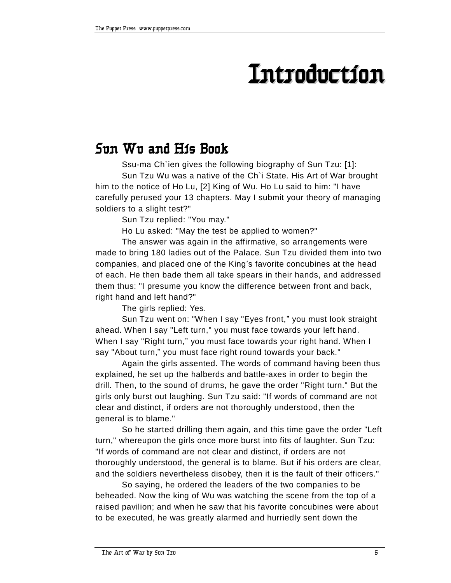### **Introduction**

### **Sun Wu and His Book**

Ssu-ma Ch`ien gives the following biography of Sun Tzu: [1]: Sun Tzu Wu was a native of the Ch`i State. His Art of War brought him to the notice of Ho Lu, [2] King of Wu. Ho Lu said to him: "I have carefully perused your 13 chapters. May I submit your theory of managing soldiers to a slight test?"

Sun Tzu replied: "You may."

Ho Lu asked: "May the test be applied to women?"

The answer was again in the affirmative, so arrangements were made to bring 180 ladies out of the Palace. Sun Tzu divided them into two companies, and placed one of the King's favorite concubines at the head of each. He then bade them all take spears in their hands, and addressed them thus: "I presume you know the difference between front and back, right hand and left hand?"

The girls replied: Yes.

Sun Tzu went on: "When I say "Eyes front," you must look straight ahead. When I say "Left turn," you must face towards your left hand. When I say "Right turn," you must face towards your right hand. When I say "About turn," you must face right round towards your back."

Again the girls assented. The words of command having been thus explained, he set up the halberds and battle-axes in order to begin the drill. Then, to the sound of drums, he gave the order "Right turn." But the girls only burst out laughing. Sun Tzu said: "If words of command are not clear and distinct, if orders are not thoroughly understood, then the general is to blame."

So he started drilling them again, and this time gave the order "Left turn," whereupon the girls once more burst into fits of laughter. Sun Tzu: "If words of command are not clear and distinct, if orders are not thoroughly understood, the general is to blame. But if his orders are clear, and the soldiers nevertheless disobey, then it is the fault of their officers."

So saying, he ordered the leaders of the two companies to be beheaded. Now the king of Wu was watching the scene from the top of a raised pavilion; and when he saw that his favorite concubines were about to be executed, he was greatly alarmed and hurriedly sent down the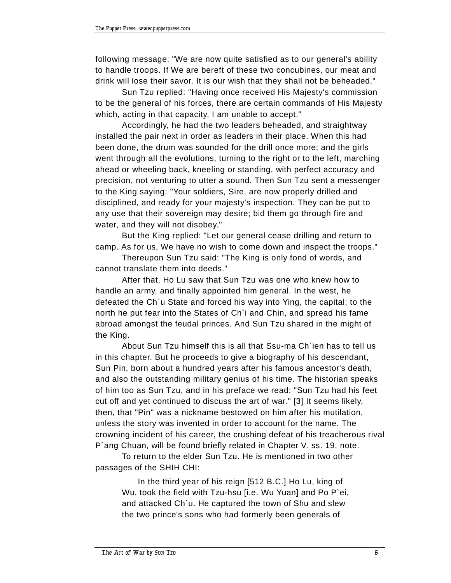following message: "We are now quite satisfied as to our general's ability to handle troops. If We are bereft of these two concubines, our meat and drink will lose their savor. It is our wish that they shall not be beheaded."

Sun Tzu replied: "Having once received His Majesty's commission to be the general of his forces, there are certain commands of His Majesty which, acting in that capacity, I am unable to accept."

Accordingly, he had the two leaders beheaded, and straightway installed the pair next in order as leaders in their place. When this had been done, the drum was sounded for the drill once more; and the girls went through all the evolutions, turning to the right or to the left, marching ahead or wheeling back, kneeling or standing, with perfect accuracy and precision, not venturing to utter a sound. Then Sun Tzu sent a messenger to the King saying: "Your soldiers, Sire, are now properly drilled and disciplined, and ready for your majesty's inspection. They can be put to any use that their sovereign may desire; bid them go through fire and water, and they will not disobey."

But the King replied: "Let our general cease drilling and return to camp. As for us, We have no wish to come down and inspect the troops."

Thereupon Sun Tzu said: "The King is only fond of words, and cannot translate them into deeds."

After that, Ho Lu saw that Sun Tzu was one who knew how to handle an army, and finally appointed him general. In the west, he defeated the Ch`u State and forced his way into Ying, the capital; to the north he put fear into the States of Ch`i and Chin, and spread his fame abroad amongst the feudal princes. And Sun Tzu shared in the might of the King.

About Sun Tzu himself this is all that Ssu-ma Ch`ien has to tell us in this chapter. But he proceeds to give a biography of his descendant, Sun Pin, born about a hundred years after his famous ancestor's death, and also the outstanding military genius of his time. The historian speaks of him too as Sun Tzu, and in his preface we read: "Sun Tzu had his feet cut off and yet continued to discuss the art of war." [3] It seems likely, then, that "Pin" was a nickname bestowed on him after his mutilation, unless the story was invented in order to account for the name. The crowning incident of his career, the crushing defeat of his treacherous rival P`ang Chuan, will be found briefly related in Chapter V. ss. 19, note.

To return to the elder Sun Tzu. He is mentioned in two other passages of the SHIH CHI:

In the third year of his reign [512 B.C.] Ho Lu, king of Wu, took the field with Tzu-hsu [i.e. Wu Yuan] and Po P`ei, and attacked Ch`u. He captured the town of Shu and slew the two prince's sons who had formerly been generals of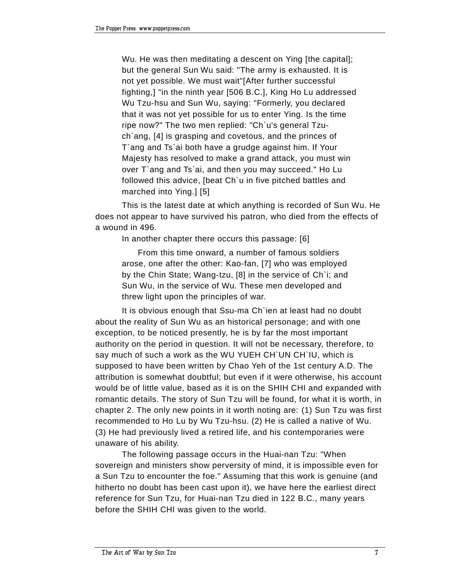Wu. He was then meditating a descent on Ying [the capital]; but the general Sun Wu said: "The army is exhausted. It is not yet possible. We must wait"[After further successful fighting,] "in the ninth year [506 B.C.], King Ho Lu addressed Wu Tzu-hsu and Sun Wu, saying: "Formerly, you declared that it was not yet possible for us to enter Ying. Is the time ripe now?" The two men replied: "Ch`u's general Tzuch`ang, [4] is grasping and covetous, and the princes of T`ang and Ts`ai both have a grudge against him. If Your Majesty has resolved to make a grand attack, you must win over T`ang and Ts`ai, and then you may succeed." Ho Lu followed this advice, [beat Ch`u in five pitched battles and marched into Ying.] [5]

This is the latest date at which anything is recorded of Sun Wu. He does not appear to have survived his patron, who died from the effects of a wound in 496.

In another chapter there occurs this passage: [6]

From this time onward, a number of famous soldiers arose, one after the other: Kao-fan, [7] who was employed by the Chin State; Wang-tzu, [8] in the service of Ch`i; and Sun Wu, in the service of Wu. These men developed and threw light upon the principles of war.

It is obvious enough that Ssu-ma Ch`ien at least had no doubt about the reality of Sun Wu as an historical personage; and with one exception, to be noticed presently, he is by far the most important authority on the period in question. It will not be necessary, therefore, to say much of such a work as the WU YUEH CH`UN CH`IU, which is supposed to have been written by Chao Yeh of the 1st century A.D. The attribution is somewhat doubtful; but even if it were otherwise, his account would be of little value, based as it is on the SHIH CHI and expanded with romantic details. The story of Sun Tzu will be found, for what it is worth, in chapter 2. The only new points in it worth noting are: (1) Sun Tzu was first recommended to Ho Lu by Wu Tzu-hsu. (2) He is called a native of Wu. (3) He had previously lived a retired life, and his contemporaries were unaware of his ability.

The following passage occurs in the Huai-nan Tzu: "When sovereign and ministers show perversity of mind, it is impossible even for a Sun Tzu to encounter the foe." Assuming that this work is genuine (and hitherto no doubt has been cast upon it), we have here the earliest direct reference for Sun Tzu, for Huai-nan Tzu died in 122 B.C., many years before the SHIH CHI was given to the world.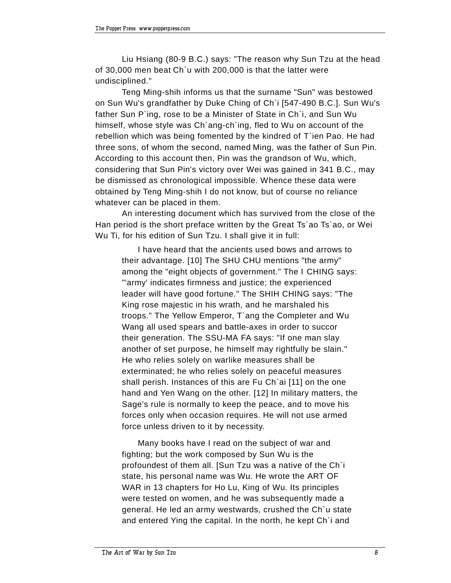Liu Hsiang (80-9 B.C.) says: "The reason why Sun Tzu at the head of 30,000 men beat Ch`u with 200,000 is that the latter were undisciplined."

Teng Ming-shih informs us that the surname "Sun" was bestowed on Sun Wu's grandfather by Duke Ching of Ch`i [547-490 B.C.]. Sun Wu's father Sun P'ing, rose to be a Minister of State in Ch'i, and Sun Wu himself, whose style was Ch'ang-ch'ing, fled to Wu on account of the rebellion which was being fomented by the kindred of T`ien Pao. He had three sons, of whom the second, named Ming, was the father of Sun Pin. According to this account then, Pin was the grandson of Wu, which, considering that Sun Pin's victory over Wei was gained in 341 B.C., may be dismissed as chronological impossible. Whence these data were obtained by Teng Ming-shih I do not know, but of course no reliance whatever can be placed in them.

An interesting document which has survived from the close of the Han period is the short preface written by the Great Ts`ao Ts`ao, or Wei Wu Ti, for his edition of Sun Tzu. I shall give it in full:

I have heard that the ancients used bows and arrows to their advantage. [10] The SHU CHU mentions "the army" among the "eight objects of government." The I CHING says: "'army' indicates firmness and justice; the experienced leader will have good fortune." The SHIH CHING says: "The King rose majestic in his wrath, and he marshaled his troops." The Yellow Emperor, T`ang the Completer and Wu Wang all used spears and battle-axes in order to succor their generation. The SSU-MA FA says: "If one man slay another of set purpose, he himself may rightfully be slain." He who relies solely on warlike measures shall be exterminated; he who relies solely on peaceful measures shall perish. Instances of this are Fu Ch`ai [11] on the one hand and Yen Wang on the other. [12] In military matters, the Sage's rule is normally to keep the peace, and to move his forces only when occasion requires. He will not use armed force unless driven to it by necessity.

Many books have I read on the subject of war and fighting; but the work composed by Sun Wu is the profoundest of them all. [Sun Tzu was a native of the Ch`i state, his personal name was Wu. He wrote the ART OF WAR in 13 chapters for Ho Lu, King of Wu. Its principles were tested on women, and he was subsequently made a general. He led an army westwards, crushed the Ch`u state and entered Ying the capital. In the north, he kept Ch`i and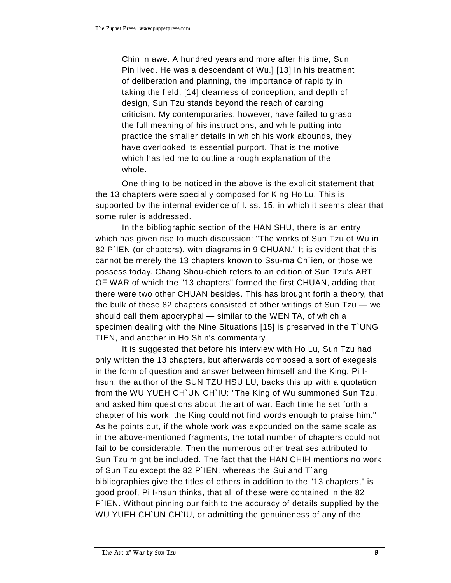Chin in awe. A hundred years and more after his time, Sun Pin lived. He was a descendant of Wu.] [13] In his treatment of deliberation and planning, the importance of rapidity in taking the field, [14] clearness of conception, and depth of design, Sun Tzu stands beyond the reach of carping criticism. My contemporaries, however, have failed to grasp the full meaning of his instructions, and while putting into practice the smaller details in which his work abounds, they have overlooked its essential purport. That is the motive which has led me to outline a rough explanation of the whole.

One thing to be noticed in the above is the explicit statement that the 13 chapters were specially composed for King Ho Lu. This is supported by the internal evidence of I. ss. 15, in which it seems clear that some ruler is addressed.

In the bibliographic section of the HAN SHU, there is an entry which has given rise to much discussion: "The works of Sun Tzu of Wu in 82 P`IEN (or chapters), with diagrams in 9 CHUAN." It is evident that this cannot be merely the 13 chapters known to Ssu-ma Ch`ien, or those we possess today. Chang Shou-chieh refers to an edition of Sun Tzu's ART OF WAR of which the "13 chapters" formed the first CHUAN, adding that there were two other CHUAN besides. This has brought forth a theory, that the bulk of these 82 chapters consisted of other writings of Sun Tzu  $-$  we should call them apocryphal - similar to the WEN TA, of which a specimen dealing with the Nine Situations [15] is preserved in the T`UNG TIEN, and another in Ho Shin's commentary.

It is suggested that before his interview with Ho Lu, Sun Tzu had only written the 13 chapters, but afterwards composed a sort of exegesis in the form of question and answer between himself and the King. Pi Ihsun, the author of the SUN TZU HSU LU, backs this up with a quotation from the WU YUEH CH`UN CH`IU: "The King of Wu summoned Sun Tzu, and asked him questions about the art of war. Each time he set forth a chapter of his work, the King could not find words enough to praise him." As he points out, if the whole work was expounded on the same scale as in the above-mentioned fragments, the total number of chapters could not fail to be considerable. Then the numerous other treatises attributed to Sun Tzu might be included. The fact that the HAN CHIH mentions no work of Sun Tzu except the 82 P`IEN, whereas the Sui and T`ang bibliographies give the titles of others in addition to the "13 chapters," is good proof, Pi I-hsun thinks, that all of these were contained in the 82 P`IEN. Without pinning our faith to the accuracy of details supplied by the WU YUEH CH`UN CH`IU, or admitting the genuineness of any of the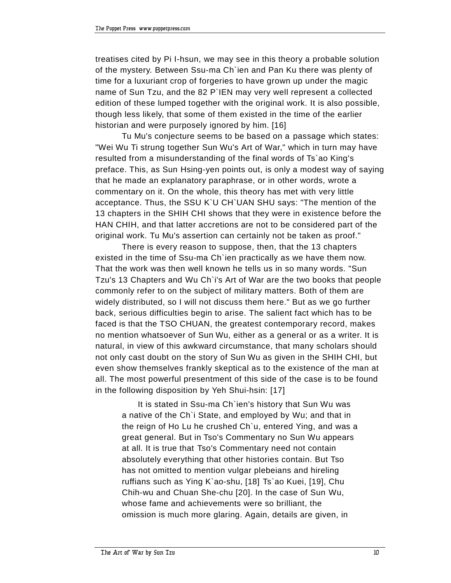treatises cited by Pi I-hsun, we may see in this theory a probable solution of the mystery. Between Ssu-ma Ch`ien and Pan Ku there was plenty of time for a luxuriant crop of forgeries to have grown up under the magic name of Sun Tzu, and the 82 P`IEN may very well represent a collected edition of these lumped together with the original work. It is also possible, though less likely, that some of them existed in the time of the earlier historian and were purposely ignored by him. [16]

Tu Mu's conjecture seems to be based on a passage which states: "Wei Wu Ti strung together Sun Wu's Art of War," which in turn may have resulted from a misunderstanding of the final words of Ts`ao King's preface. This, as Sun Hsing-yen points out, is only a modest way of saying that he made an explanatory paraphrase, or in other words, wrote a commentary on it. On the whole, this theory has met with very little acceptance. Thus, the SSU K`U CH`UAN SHU says: "The mention of the 13 chapters in the SHIH CHI shows that they were in existence before the HAN CHIH, and that latter accretions are not to be considered part of the original work. Tu Mu's assertion can certainly not be taken as proof."

There is every reason to suppose, then, that the 13 chapters existed in the time of Ssu-ma Ch`ien practically as we have them now. That the work was then well known he tells us in so many words. "Sun Tzu's 13 Chapters and Wu Ch`i's Art of War are the two books that people commonly refer to on the subject of military matters. Both of them are widely distributed, so I will not discuss them here." But as we go further back, serious difficulties begin to arise. The salient fact which has to be faced is that the TSO CHUAN, the greatest contemporary record, makes no mention whatsoever of Sun Wu, either as a general or as a writer. It is natural, in view of this awkward circumstance, that many scholars should not only cast doubt on the story of Sun Wu as given in the SHIH CHI, but even show themselves frankly skeptical as to the existence of the man at all. The most powerful presentment of this side of the case is to be found in the following disposition by Yeh Shui-hsin: [17]

It is stated in Ssu-ma Ch`ien's history that Sun Wu was a native of the Ch`i State, and employed by Wu; and that in the reign of Ho Lu he crushed Ch`u, entered Ying, and was a great general. But in Tso's Commentary no Sun Wu appears at all. It is true that Tso's Commentary need not contain absolutely everything that other histories contain. But Tso has not omitted to mention vulgar plebeians and hireling ruffians such as Ying K`ao-shu, [18] Ts`ao Kuei, [19], Chu Chih-wu and Chuan She-chu [20]. In the case of Sun Wu, whose fame and achievements were so brilliant, the omission is much more glaring. Again, details are given, in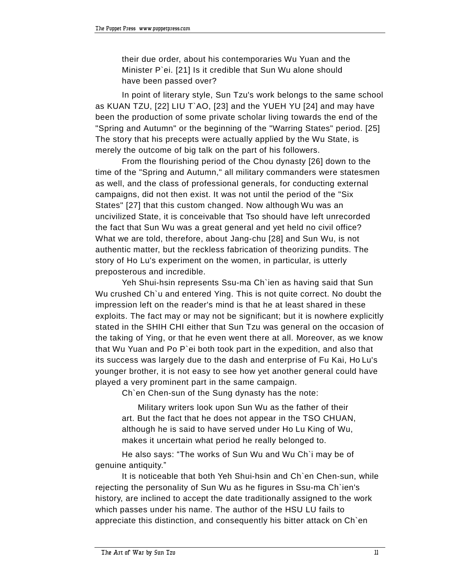their due order, about his contemporaries Wu Yuan and the Minister P`ei. [21] Is it credible that Sun Wu alone should have been passed over?

In point of literary style, Sun Tzu's work belongs to the same school as KUAN TZU, [22] LIU T`AO, [23] and the YUEH YU [24] and may have been the production of some private scholar living towards the end of the "Spring and Autumn" or the beginning of the "Warring States" period. [25] The story that his precepts were actually applied by the Wu State, is merely the outcome of big talk on the part of his followers.

From the flourishing period of the Chou dynasty [26] down to the time of the "Spring and Autumn," all military commanders were statesmen as well, and the class of professional generals, for conducting external campaigns, did not then exist. It was not until the period of the "Six States" [27] that this custom changed. Now although Wu was an uncivilized State, it is conceivable that Tso should have left unrecorded the fact that Sun Wu was a great general and yet held no civil office? What we are told, therefore, about Jang-chu [28] and Sun Wu, is not authentic matter, but the reckless fabrication of theorizing pundits. The story of Ho Lu's experiment on the women, in particular, is utterly preposterous and incredible.

Yeh Shui-hsin represents Ssu-ma Ch`ien as having said that Sun Wu crushed Ch`u and entered Ying. This is not quite correct. No doubt the impression left on the reader's mind is that he at least shared in these exploits. The fact may or may not be significant; but it is nowhere explicitly stated in the SHIH CHI either that Sun Tzu was general on the occasion of the taking of Ying, or that he even went there at all. Moreover, as we know that Wu Yuan and Po P`ei both took part in the expedition, and also that its success was largely due to the dash and enterprise of Fu Kai, Ho Lu's younger brother, it is not easy to see how yet another general could have played a very prominent part in the same campaign.

Ch`en Chen-sun of the Sung dynasty has the note:

Military writers look upon Sun Wu as the father of their art. But the fact that he does not appear in the TSO CHUAN, although he is said to have served under Ho Lu King of Wu, makes it uncertain what period he really belonged to.

He also says: "The works of Sun Wu and Wu Ch'i may be of genuine antiquity."

It is noticeable that both Yeh Shui-hsin and Ch`en Chen-sun, while rejecting the personality of Sun Wu as he figures in Ssu-ma Ch`ien's history, are inclined to accept the date traditionally assigned to the work which passes under his name. The author of the HSU LU fails to appreciate this distinction, and consequently his bitter attack on Ch`en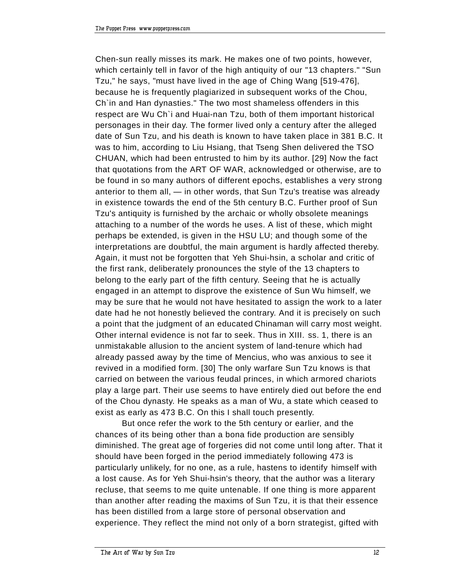Chen-sun really misses its mark. He makes one of two points, however, which certainly tell in favor of the high antiquity of our "13 chapters." "Sun Tzu," he says, "must have lived in the age of Ching Wang [519-476], because he is frequently plagiarized in subsequent works of the Chou, Ch`in and Han dynasties." The two most shameless offenders in this respect are Wu Ch`i and Huai-nan Tzu, both of them important historical personages in their day. The former lived only a century after the alleged date of Sun Tzu, and his death is known to have taken place in 381 B.C. It was to him, according to Liu Hsiang, that Tseng Shen delivered the TSO CHUAN, which had been entrusted to him by its author. [29] Now the fact that quotations from the ART OF WAR, acknowledged or otherwise, are to be found in so many authors of different epochs, establishes a very strong anterior to them all,  $-$  in other words, that Sun Tzu's treatise was already in existence towards the end of the 5th century B.C. Further proof of Sun Tzu's antiquity is furnished by the archaic or wholly obsolete meanings attaching to a number of the words he uses. A list of these, which might perhaps be extended, is given in the HSU LU; and though some of the interpretations are doubtful, the main argument is hardly affected thereby. Again, it must not be forgotten that Yeh Shui-hsin, a scholar and critic of the first rank, deliberately pronounces the style of the 13 chapters to belong to the early part of the fifth century. Seeing that he is actually engaged in an attempt to disprove the existence of Sun Wu himself, we may be sure that he would not have hesitated to assign the work to a later date had he not honestly believed the contrary. And it is precisely on such a point that the judgment of an educated Chinaman will carry most weight. Other internal evidence is not far to seek. Thus in XIII. ss. 1, there is an unmistakable allusion to the ancient system of land-tenure which had already passed away by the time of Mencius, who was anxious to see it revived in a modified form. [30] The only warfare Sun Tzu knows is that carried on between the various feudal princes, in which armored chariots play a large part. Their use seems to have entirely died out before the end of the Chou dynasty. He speaks as a man of Wu, a state which ceased to exist as early as 473 B.C. On this I shall touch presently.

But once refer the work to the 5th century or earlier, and the chances of its being other than a bona fide production are sensibly diminished. The great age of forgeries did not come until long after. That it should have been forged in the period immediately following 473 is particularly unlikely, for no one, as a rule, hastens to identify himself with a lost cause. As for Yeh Shui-hsin's theory, that the author was a literary recluse, that seems to me quite untenable. If one thing is more apparent than another after reading the maxims of Sun Tzu, it is that their essence has been distilled from a large store of personal observation and experience. They reflect the mind not only of a born strategist, gifted with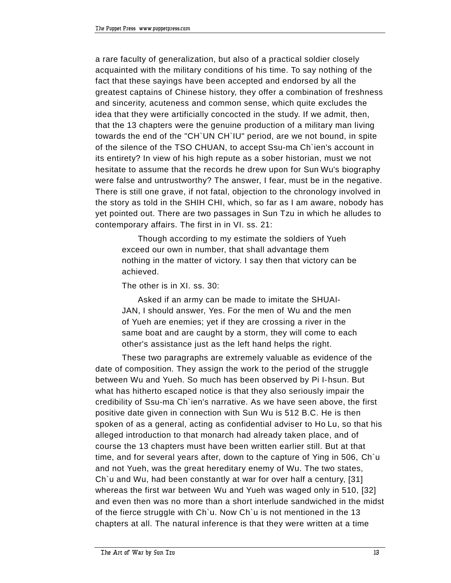a rare faculty of generalization, but also of a practical soldier closely acquainted with the military conditions of his time. To say nothing of the fact that these sayings have been accepted and endorsed by all the greatest captains of Chinese history, they offer a combination of freshness and sincerity, acuteness and common sense, which quite excludes the idea that they were artificially concocted in the study. If we admit, then, that the 13 chapters were the genuine production of a military man living towards the end of the "CH`UN CH`IU" period, are we not bound, in spite of the silence of the TSO CHUAN, to accept Ssu-ma Ch`ien's account in its entirety? In view of his high repute as a sober historian, must we not hesitate to assume that the records he drew upon for Sun Wu's biography were false and untrustworthy? The answer, I fear, must be in the negative. There is still one grave, if not fatal, objection to the chronology involved in the story as told in the SHIH CHI, which, so far as I am aware, nobody has yet pointed out. There are two passages in Sun Tzu in which he alludes to contemporary affairs. The first in in VI. ss. 21:

Though according to my estimate the soldiers of Yueh exceed our own in number, that shall advantage them nothing in the matter of victory. I say then that victory can be achieved.

The other is in XI. ss. 30:

Asked if an army can be made to imitate the SHUAI-JAN, I should answer, Yes. For the men of Wu and the men of Yueh are enemies; yet if they are crossing a river in the same boat and are caught by a storm, they will come to each other's assistance just as the left hand helps the right.

These two paragraphs are extremely valuable as evidence of the date of composition. They assign the work to the period of the struggle between Wu and Yueh. So much has been observed by Pi I-hsun. But what has hitherto escaped notice is that they also seriously impair the credibility of Ssu-ma Ch`ien's narrative. As we have seen above, the first positive date given in connection with Sun Wu is 512 B.C. He is then spoken of as a general, acting as confidential adviser to Ho Lu, so that his alleged introduction to that monarch had already taken place, and of course the 13 chapters must have been written earlier still. But at that time, and for several years after, down to the capture of Ying in 506, Ch`u and not Yueh, was the great hereditary enemy of Wu. The two states, Ch`u and Wu, had been constantly at war for over half a century, [31] whereas the first war between Wu and Yueh was waged only in 510, [32] and even then was no more than a short interlude sandwiched in the midst of the fierce struggle with Ch`u. Now Ch`u is not mentioned in the 13 chapters at all. The natural inference is that they were written at a time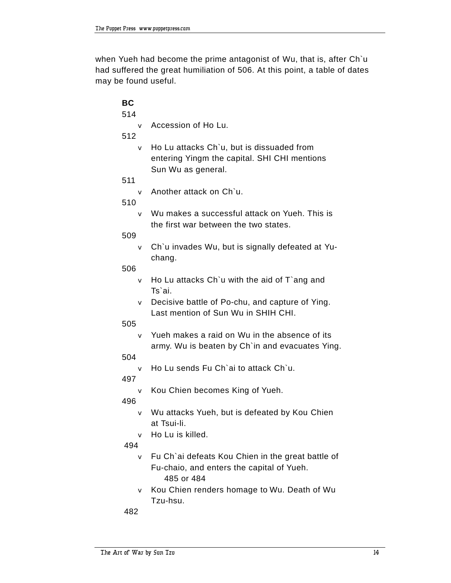when Yueh had become the prime antagonist of Wu, that is, after Ch`u had suffered the great humiliation of 506. At this point, a table of dates may be found useful.

| <b>BC</b><br>514 |                                                                                                                                   |
|------------------|-----------------------------------------------------------------------------------------------------------------------------------|
|                  | v Accession of Ho Lu.                                                                                                             |
| 512              | $\mathbf v$ Ho Lu attacks $Ch\iota$ , but is dissuaded from<br>entering Yingm the capital. SHI CHI mentions<br>Sun Wu as general. |
| 511              |                                                                                                                                   |
| 510              | v Another attack on Ch'u.                                                                                                         |
|                  | v Wu makes a successful attack on Yueh. This is<br>the first war between the two states.                                          |
| 509              |                                                                                                                                   |
|                  | v Ch'u invades Wu, but is signally defeated at Yu-<br>chang.                                                                      |
| 506              |                                                                                                                                   |
|                  | $\mathbf v$ Ho Lu attacks Ch'u with the aid of T'ang and<br>Ts'ai.                                                                |
|                  | v Decisive battle of Po-chu, and capture of Ying.<br>Last mention of Sun Wu in SHIH CHI.                                          |
| 505              |                                                                                                                                   |
|                  | v Yueh makes a raid on Wu in the absence of its<br>army. Wu is beaten by Ch'in and evacuates Ying.                                |
| 504              |                                                                                                                                   |
| 497              | v Ho Lu sends Fu Ch'ai to attack Ch'u.                                                                                            |
| 496              | v Kou Chien becomes King of Yueh.                                                                                                 |
|                  | v Wu attacks Yueh, but is defeated by Kou Chien<br>at Tsui-li.                                                                    |
|                  | Ho Lu is killed.                                                                                                                  |
| 494              |                                                                                                                                   |
| $\mathbf v$      | Fu Ch'ai defeats Kou Chien in the great battle of<br>Fu-chaio, and enters the capital of Yueh.<br>485 or 484                      |

v Kou Chien renders homage to Wu. Death of Wu Tzu-hsu.

482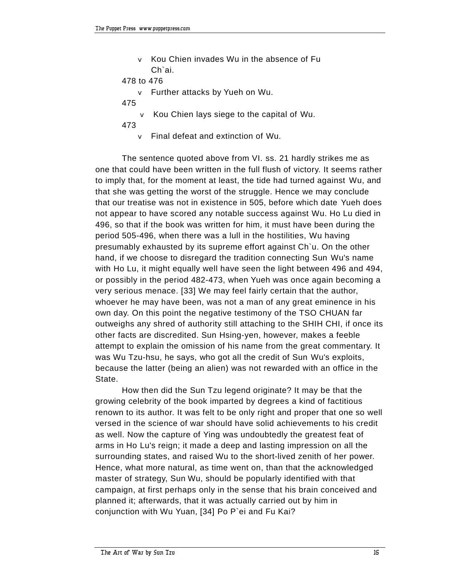v Kou Chien invades Wu in the absence of Fu Ch`ai.

```
478 to 476
```
- v Further attacks by Yueh on Wu.
- 475
	- v Kou Chien lays siege to the capital of Wu.
- 473
	- v Final defeat and extinction of Wu.

The sentence quoted above from VI. ss. 21 hardly strikes me as one that could have been written in the full flush of victory. It seems rather to imply that, for the moment at least, the tide had turned against Wu, and that she was getting the worst of the struggle. Hence we may conclude that our treatise was not in existence in 505, before which date Yueh does not appear to have scored any notable success against Wu. Ho Lu died in 496, so that if the book was written for him, it must have been during the period 505-496, when there was a lull in the hostilities, Wu having presumably exhausted by its supreme effort against Ch`u. On the other hand, if we choose to disregard the tradition connecting Sun Wu's name with Ho Lu, it might equally well have seen the light between 496 and 494, or possibly in the period 482-473, when Yueh was once again becoming a very serious menace. [33] We may feel fairly certain that the author, whoever he may have been, was not a man of any great eminence in his own day. On this point the negative testimony of the TSO CHUAN far outweighs any shred of authority still attaching to the SHIH CHI, if once its other facts are discredited. Sun Hsing-yen, however, makes a feeble attempt to explain the omission of his name from the great commentary. It was Wu Tzu-hsu, he says, who got all the credit of Sun Wu's exploits, because the latter (being an alien) was not rewarded with an office in the State.

How then did the Sun Tzu legend originate? It may be that the growing celebrity of the book imparted by degrees a kind of factitious renown to its author. It was felt to be only right and proper that one so well versed in the science of war should have solid achievements to his credit as well. Now the capture of Ying was undoubtedly the greatest feat of arms in Ho Lu's reign; it made a deep and lasting impression on all the surrounding states, and raised Wu to the short-lived zenith of her power. Hence, what more natural, as time went on, than that the acknowledged master of strategy, Sun Wu, should be popularly identified with that campaign, at first perhaps only in the sense that his brain conceived and planned it; afterwards, that it was actually carried out by him in conjunction with Wu Yuan, [34] Po P`ei and Fu Kai?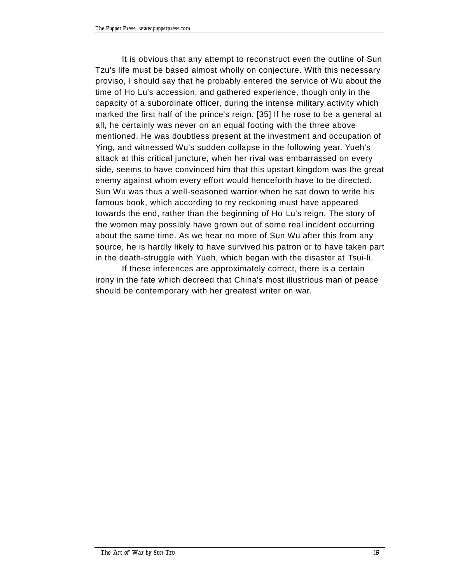It is obvious that any attempt to reconstruct even the outline of Sun Tzu's life must be based almost wholly on conjecture. With this necessary proviso, I should say that he probably entered the service of Wu about the time of Ho Lu's accession, and gathered experience, though only in the capacity of a subordinate officer, during the intense military activity which marked the first half of the prince's reign. [35] If he rose to be a general at all, he certainly was never on an equal footing with the three above mentioned. He was doubtless present at the investment and occupation of Ying, and witnessed Wu's sudden collapse in the following year. Yueh's attack at this critical juncture, when her rival was embarrassed on every side, seems to have convinced him that this upstart kingdom was the great enemy against whom every effort would henceforth have to be directed. Sun Wu was thus a well-seasoned warrior when he sat down to write his famous book, which according to my reckoning must have appeared towards the end, rather than the beginning of Ho Lu's reign. The story of the women may possibly have grown out of some real incident occurring about the same time. As we hear no more of Sun Wu after this from any source, he is hardly likely to have survived his patron or to have taken part in the death-struggle with Yueh, which began with the disaster at Tsui-li.

If these inferences are approximately correct, there is a certain irony in the fate which decreed that China's most illustrious man of peace should be contemporary with her greatest writer on war.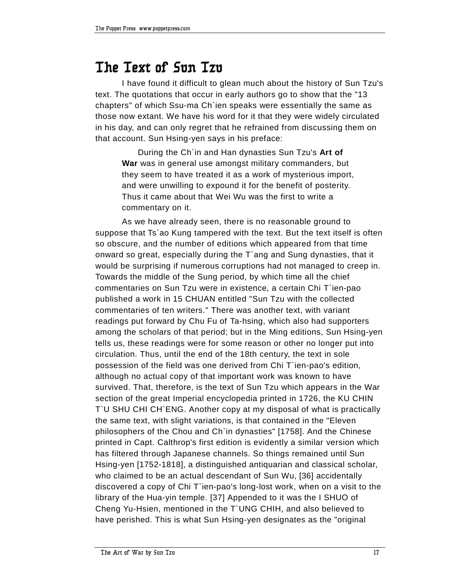#### **The Text of Sun Tzu**

I have found it difficult to glean much about the history of Sun Tzu's text. The quotations that occur in early authors go to show that the "13 chapters" of which Ssu-ma Ch`ien speaks were essentially the same as those now extant. We have his word for it that they were widely circulated in his day, and can only regret that he refrained from discussing them on that account. Sun Hsing-yen says in his preface:

During the Ch`in and Han dynasties Sun Tzu's **Art of War** was in general use amongst military commanders, but they seem to have treated it as a work of mysterious import, and were unwilling to expound it for the benefit of posterity. Thus it came about that Wei Wu was the first to write a commentary on it.

As we have already seen, there is no reasonable ground to suppose that Ts`ao Kung tampered with the text. But the text itself is often so obscure, and the number of editions which appeared from that time onward so great, especially during the T`ang and Sung dynasties, that it would be surprising if numerous corruptions had not managed to creep in. Towards the middle of the Sung period, by which time all the chief commentaries on Sun Tzu were in existence, a certain Chi T`ien-pao published a work in 15 CHUAN entitled "Sun Tzu with the collected commentaries of ten writers." There was another text, with variant readings put forward by Chu Fu of Ta-hsing, which also had supporters among the scholars of that period; but in the Ming editions, Sun Hsing-yen tells us, these readings were for some reason or other no longer put into circulation. Thus, until the end of the 18th century, the text in sole possession of the field was one derived from Chi T`ien-pao's edition, although no actual copy of that important work was known to have survived. That, therefore, is the text of Sun Tzu which appears in the War section of the great Imperial encyclopedia printed in 1726, the KU CHIN T`U SHU CHI CH`ENG. Another copy at my disposal of what is practically the same text, with slight variations, is that contained in the "Eleven philosophers of the Chou and Ch`in dynasties" [1758]. And the Chinese printed in Capt. Calthrop's first edition is evidently a similar version which has filtered through Japanese channels. So things remained until Sun Hsing-yen [1752-1818], a distinguished antiquarian and classical scholar, who claimed to be an actual descendant of Sun Wu, [36] accidentally discovered a copy of Chi T`ien-pao's long-lost work, when on a visit to the library of the Hua-yin temple. [37] Appended to it was the I SHUO of Cheng Yu-Hsien, mentioned in the T`UNG CHIH, and also believed to have perished. This is what Sun Hsing-yen designates as the "original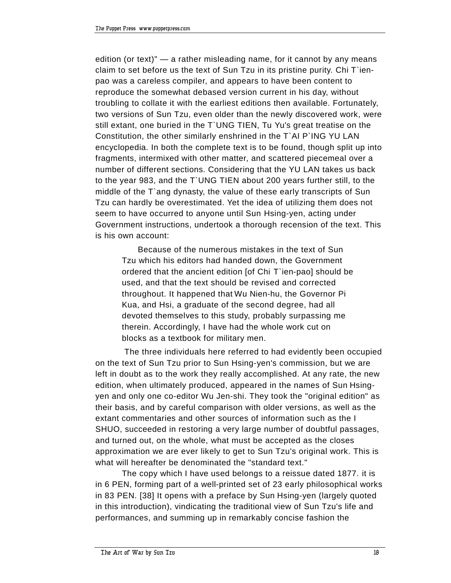edition (or text)"  $-$  a rather misleading name, for it cannot by any means claim to set before us the text of Sun Tzu in its pristine purity. Chi T`ienpao was a careless compiler, and appears to have been content to reproduce the somewhat debased version current in his day, without troubling to collate it with the earliest editions then available. Fortunately, two versions of Sun Tzu, even older than the newly discovered work, were still extant, one buried in the T`UNG TIEN, Tu Yu's great treatise on the Constitution, the other similarly enshrined in the T`AI P`ING YU LAN encyclopedia. In both the complete text is to be found, though split up into fragments, intermixed with other matter, and scattered piecemeal over a number of different sections. Considering that the YU LAN takes us back to the year 983, and the T`UNG TIEN about 200 years further still, to the middle of the T`ang dynasty, the value of these early transcripts of Sun Tzu can hardly be overestimated. Yet the idea of utilizing them does not seem to have occurred to anyone until Sun Hsing-yen, acting under Government instructions, undertook a thorough recension of the text. This is his own account:

Because of the numerous mistakes in the text of Sun Tzu which his editors had handed down, the Government ordered that the ancient edition [of Chi T`ien-pao] should be used, and that the text should be revised and corrected throughout. It happened that Wu Nien-hu, the Governor Pi Kua, and Hsi, a graduate of the second degree, had all devoted themselves to this study, probably surpassing me therein. Accordingly, I have had the whole work cut on blocks as a textbook for military men.

 The three individuals here referred to had evidently been occupied on the text of Sun Tzu prior to Sun Hsing-yen's commission, but we are left in doubt as to the work they really accomplished. At any rate, the new edition, when ultimately produced, appeared in the names of Sun Hsingyen and only one co-editor Wu Jen-shi. They took the "original edition" as their basis, and by careful comparison with older versions, as well as the extant commentaries and other sources of information such as the I SHUO, succeeded in restoring a very large number of doubtful passages, and turned out, on the whole, what must be accepted as the closes approximation we are ever likely to get to Sun Tzu's original work. This is what will hereafter be denominated the "standard text."

The copy which I have used belongs to a reissue dated 1877. it is in 6 PEN, forming part of a well-printed set of 23 early philosophical works in 83 PEN. [38] It opens with a preface by Sun Hsing-yen (largely quoted in this introduction), vindicating the traditional view of Sun Tzu's life and performances, and summing up in remarkably concise fashion the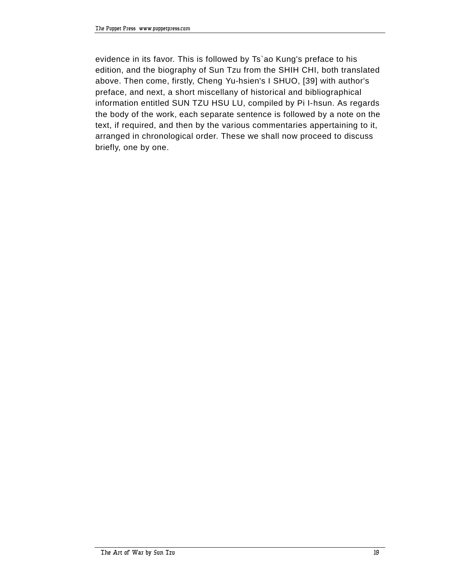evidence in its favor. This is followed by Ts`ao Kung's preface to his edition, and the biography of Sun Tzu from the SHIH CHI, both translated above. Then come, firstly, Cheng Yu-hsien's I SHUO, [39] with author's preface, and next, a short miscellany of historical and bibliographical information entitled SUN TZU HSU LU, compiled by Pi I-hsun. As regards the body of the work, each separate sentence is followed by a note on the text, if required, and then by the various commentaries appertaining to it, arranged in chronological order. These we shall now proceed to discuss briefly, one by one.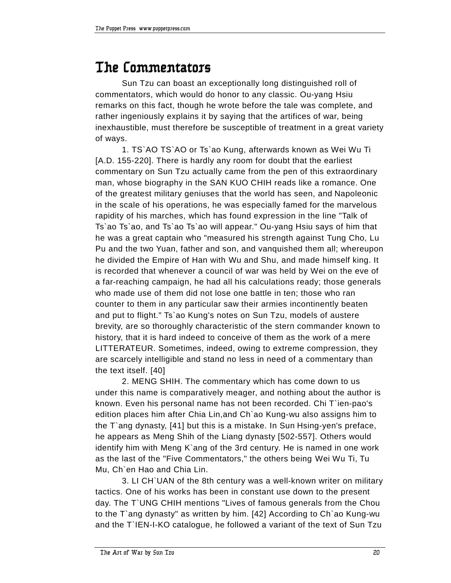#### **The Commentators**

Sun Tzu can boast an exceptionally long distinguished roll of commentators, which would do honor to any classic. Ou-yang Hsiu remarks on this fact, though he wrote before the tale was complete, and rather ingeniously explains it by saying that the artifices of war, being inexhaustible, must therefore be susceptible of treatment in a great variety of ways.

1. TS`AO TS`AO or Ts`ao Kung, afterwards known as Wei Wu Ti [A.D. 155-220]. There is hardly any room for doubt that the earliest commentary on Sun Tzu actually came from the pen of this extraordinary man, whose biography in the SAN KUO CHIH reads like a romance. One of the greatest military geniuses that the world has seen, and Napoleonic in the scale of his operations, he was especially famed for the marvelous rapidity of his marches, which has found expression in the line "Talk of Ts`ao Ts`ao, and Ts`ao Ts`ao will appear." Ou-yang Hsiu says of him that he was a great captain who "measured his strength against Tung Cho, Lu Pu and the two Yuan, father and son, and vanquished them all; whereupon he divided the Empire of Han with Wu and Shu, and made himself king. It is recorded that whenever a council of war was held by Wei on the eve of a far-reaching campaign, he had all his calculations ready; those generals who made use of them did not lose one battle in ten; those who ran counter to them in any particular saw their armies incontinently beaten and put to flight." Ts`ao Kung's notes on Sun Tzu, models of austere brevity, are so thoroughly characteristic of the stern commander known to history, that it is hard indeed to conceive of them as the work of a mere LITTERATEUR. Sometimes, indeed, owing to extreme compression, they are scarcely intelligible and stand no less in need of a commentary than the text itself. [40]

2. MENG SHIH. The commentary which has come down to us under this name is comparatively meager, and nothing about the author is known. Even his personal name has not been recorded. Chi T`ien-pao's edition places him after Chia Lin,and Ch`ao Kung-wu also assigns him to the T`ang dynasty, [41] but this is a mistake. In Sun Hsing-yen's preface, he appears as Meng Shih of the Liang dynasty [502-557]. Others would identify him with Meng K`ang of the 3rd century. He is named in one work as the last of the "Five Commentators," the others being Wei Wu Ti, Tu Mu, Ch`en Hao and Chia Lin.

3. LI CH`UAN of the 8th century was a well-known writer on military tactics. One of his works has been in constant use down to the present day. The T`UNG CHIH mentions "Lives of famous generals from the Chou to the T`ang dynasty" as written by him. [42] According to Ch`ao Kung-wu and the T`IEN-I-KO catalogue, he followed a variant of the text of Sun Tzu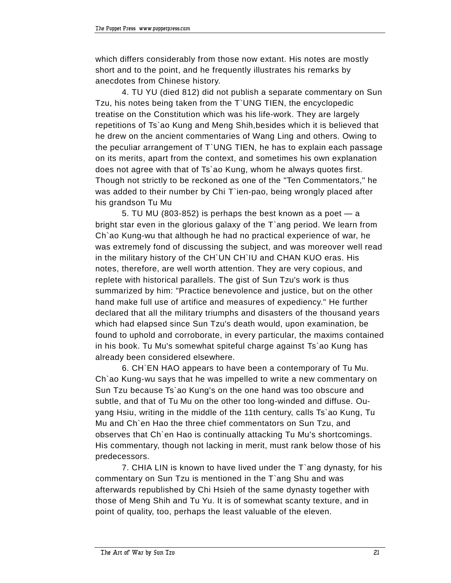which differs considerably from those now extant. His notes are mostly short and to the point, and he frequently illustrates his remarks by anecdotes from Chinese history.

4. TU YU (died 812) did not publish a separate commentary on Sun Tzu, his notes being taken from the T`UNG TIEN, the encyclopedic treatise on the Constitution which was his life-work. They are largely repetitions of Ts`ao Kung and Meng Shih,besides which it is believed that he drew on the ancient commentaries of Wang Ling and others. Owing to the peculiar arrangement of T`UNG TIEN, he has to explain each passage on its merits, apart from the context, and sometimes his own explanation does not agree with that of Ts`ao Kung, whom he always quotes first. Though not strictly to be reckoned as one of the "Ten Commentators," he was added to their number by Chi T`ien-pao, being wrongly placed after his grandson Tu Mu

5. TU MU (803-852) is perhaps the best known as a poet  $-$  a bright star even in the glorious galaxy of the T`ang period. We learn from Ch`ao Kung-wu that although he had no practical experience of war, he was extremely fond of discussing the subject, and was moreover well read in the military history of the CH`UN CH`IU and CHAN KUO eras. His notes, therefore, are well worth attention. They are very copious, and replete with historical parallels. The gist of Sun Tzu's work is thus summarized by him: "Practice benevolence and justice, but on the other hand make full use of artifice and measures of expediency." He further declared that all the military triumphs and disasters of the thousand years which had elapsed since Sun Tzu's death would, upon examination, be found to uphold and corroborate, in every particular, the maxims contained in his book. Tu Mu's somewhat spiteful charge against Ts`ao Kung has already been considered elsewhere.

6. CH`EN HAO appears to have been a contemporary of Tu Mu. Ch`ao Kung-wu says that he was impelled to write a new commentary on Sun Tzu because Ts`ao Kung's on the one hand was too obscure and subtle, and that of Tu Mu on the other too long-winded and diffuse. Ouyang Hsiu, writing in the middle of the 11th century, calls Ts`ao Kung, Tu Mu and Ch`en Hao the three chief commentators on Sun Tzu, and observes that Ch`en Hao is continually attacking Tu Mu's shortcomings. His commentary, though not lacking in merit, must rank below those of his predecessors.

7. CHIA LIN is known to have lived under the T`ang dynasty, for his commentary on Sun Tzu is mentioned in the T`ang Shu and was afterwards republished by Chi Hsieh of the same dynasty together with those of Meng Shih and Tu Yu. It is of somewhat scanty texture, and in point of quality, too, perhaps the least valuable of the eleven.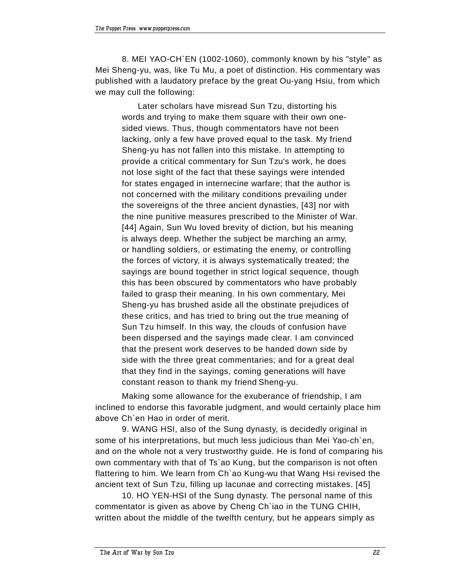8. MEI YAO-CH`EN (1002-1060), commonly known by his "style" as Mei Sheng-yu, was, like Tu Mu, a poet of distinction. His commentary was published with a laudatory preface by the great Ou-yang Hsiu, from which we may cull the following:

Later scholars have misread Sun Tzu, distorting his words and trying to make them square with their own onesided views. Thus, though commentators have not been lacking, only a few have proved equal to the task. My friend Sheng-yu has not fallen into this mistake. In attempting to provide a critical commentary for Sun Tzu's work, he does not lose sight of the fact that these sayings were intended for states engaged in internecine warfare; that the author is not concerned with the military conditions prevailing under the sovereigns of the three ancient dynasties, [43] nor with the nine punitive measures prescribed to the Minister of War. [44] Again, Sun Wu loved brevity of diction, but his meaning is always deep. Whether the subject be marching an army, or handling soldiers, or estimating the enemy, or controlling the forces of victory, it is always systematically treated; the sayings are bound together in strict logical sequence, though this has been obscured by commentators who have probably failed to grasp their meaning. In his own commentary, Mei Sheng-yu has brushed aside all the obstinate prejudices of these critics, and has tried to bring out the true meaning of Sun Tzu himself. In this way, the clouds of confusion have been dispersed and the sayings made clear. I am convinced that the present work deserves to be handed down side by side with the three great commentaries; and for a great deal that they find in the sayings, coming generations will have constant reason to thank my friend Sheng-yu.

Making some allowance for the exuberance of friendship, I am inclined to endorse this favorable judgment, and would certainly place him above Ch`en Hao in order of merit.

9. WANG HSI, also of the Sung dynasty, is decidedly original in some of his interpretations, but much less judicious than Mei Yao-ch`en, and on the whole not a very trustworthy guide. He is fond of comparing his own commentary with that of Ts`ao Kung, but the comparison is not often flattering to him. We learn from Ch`ao Kung-wu that Wang Hsi revised the ancient text of Sun Tzu, filling up lacunae and correcting mistakes. [45]

10. HO YEN-HSI of the Sung dynasty. The personal name of this commentator is given as above by Cheng Ch`iao in the TUNG CHIH, written about the middle of the twelfth century, but he appears simply as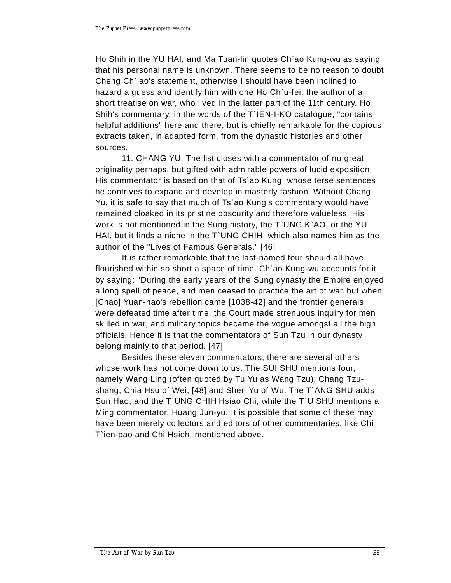Ho Shih in the YU HAI, and Ma Tuan-lin quotes Ch`ao Kung-wu as saying that his personal name is unknown. There seems to be no reason to doubt Cheng Ch`iao's statement, otherwise I should have been inclined to hazard a guess and identify him with one Ho Ch`u-fei, the author of a short treatise on war, who lived in the latter part of the 11th century. Ho Shih's commentary, in the words of the T`IEN-I-KO catalogue, "contains helpful additions" here and there, but is chiefly remarkable for the copious extracts taken, in adapted form, from the dynastic histories and other sources.

11. CHANG YU. The list closes with a commentator of no great originality perhaps, but gifted with admirable powers of lucid exposition. His commentator is based on that of Ts`ao Kung, whose terse sentences he contrives to expand and develop in masterly fashion. Without Chang Yu, it is safe to say that much of Ts`ao Kung's commentary would have remained cloaked in its pristine obscurity and therefore valueless. His work is not mentioned in the Sung history, the T`UNG K`AO, or the YU HAI, but it finds a niche in the T`UNG CHIH, which also names him as the author of the "Lives of Famous Generals." [46]

It is rather remarkable that the last-named four should all have flourished within so short a space of time. Ch`ao Kung-wu accounts for it by saying: "During the early years of the Sung dynasty the Empire enjoyed a long spell of peace, and men ceased to practice the art of war. but when [Chao] Yuan-hao's rebellion came [1038-42] and the frontier generals were defeated time after time, the Court made strenuous inquiry for men skilled in war, and military topics became the vogue amongst all the high officials. Hence it is that the commentators of Sun Tzu in our dynasty belong mainly to that period. [47]

Besides these eleven commentators, there are several others whose work has not come down to us. The SUI SHU mentions four, namely Wang Ling (often quoted by Tu Yu as Wang Tzu); Chang Tzushang; Chia Hsu of Wei; [48] and Shen Yu of Wu. The T`ANG SHU adds Sun Hao, and the T`UNG CHIH Hsiao Chi, while the T`U SHU mentions a Ming commentator, Huang Jun-yu. It is possible that some of these may have been merely collectors and editors of other commentaries, like Chi T`ien-pao and Chi Hsieh, mentioned above.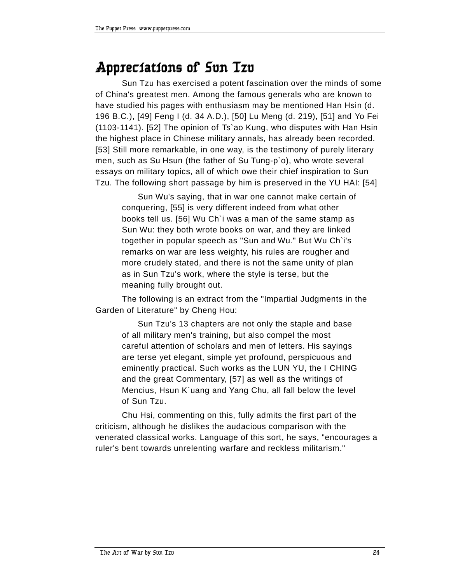#### **Appreciations of Sun Tzu**

Sun Tzu has exercised a potent fascination over the minds of some of China's greatest men. Among the famous generals who are known to have studied his pages with enthusiasm may be mentioned Han Hsin (d. 196 B.C.), [49] Feng I (d. 34 A.D.), [50] Lu Meng (d. 219), [51] and Yo Fei (1103-1141). [52] The opinion of Ts`ao Kung, who disputes with Han Hsin the highest place in Chinese military annals, has already been recorded. [53] Still more remarkable, in one way, is the testimony of purely literary men, such as Su Hsun (the father of Su Tung-p`o), who wrote several essays on military topics, all of which owe their chief inspiration to Sun Tzu. The following short passage by him is preserved in the YU HAI: [54]

Sun Wu's saying, that in war one cannot make certain of conquering, [55] is very different indeed from what other books tell us. [56] Wu Ch`i was a man of the same stamp as Sun Wu: they both wrote books on war, and they are linked together in popular speech as "Sun and Wu." But Wu Ch`i's remarks on war are less weighty, his rules are rougher and more crudely stated, and there is not the same unity of plan as in Sun Tzu's work, where the style is terse, but the meaning fully brought out.

The following is an extract from the "Impartial Judgments in the Garden of Literature" by Cheng Hou:

Sun Tzu's 13 chapters are not only the staple and base of all military men's training, but also compel the most careful attention of scholars and men of letters. His sayings are terse yet elegant, simple yet profound, perspicuous and eminently practical. Such works as the LUN YU, the I CHING and the great Commentary, [57] as well as the writings of Mencius, Hsun K`uang and Yang Chu, all fall below the level of Sun Tzu.

Chu Hsi, commenting on this, fully admits the first part of the criticism, although he dislikes the audacious comparison with the venerated classical works. Language of this sort, he says, "encourages a ruler's bent towards unrelenting warfare and reckless militarism."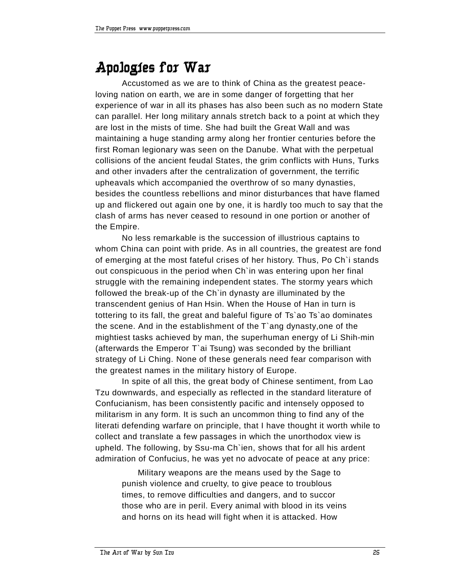#### **Apologies for War**

Accustomed as we are to think of China as the greatest peaceloving nation on earth, we are in some danger of forgetting that her experience of war in all its phases has also been such as no modern State can parallel. Her long military annals stretch back to a point at which they are lost in the mists of time. She had built the Great Wall and was maintaining a huge standing army along her frontier centuries before the first Roman legionary was seen on the Danube. What with the perpetual collisions of the ancient feudal States, the grim conflicts with Huns, Turks and other invaders after the centralization of government, the terrific upheavals which accompanied the overthrow of so many dynasties, besides the countless rebellions and minor disturbances that have flamed up and flickered out again one by one, it is hardly too much to say that the clash of arms has never ceased to resound in one portion or another of the Empire.

No less remarkable is the succession of illustrious captains to whom China can point with pride. As in all countries, the greatest are fond of emerging at the most fateful crises of her history. Thus, Po Ch`i stands out conspicuous in the period when Ch`in was entering upon her final struggle with the remaining independent states. The stormy years which followed the break-up of the Ch`in dynasty are illuminated by the transcendent genius of Han Hsin. When the House of Han in turn is tottering to its fall, the great and baleful figure of Ts`ao Ts`ao dominates the scene. And in the establishment of the T`ang dynasty,one of the mightiest tasks achieved by man, the superhuman energy of Li Shih-min (afterwards the Emperor T`ai Tsung) was seconded by the brilliant strategy of Li Ching. None of these generals need fear comparison with the greatest names in the military history of Europe.

In spite of all this, the great body of Chinese sentiment, from Lao Tzu downwards, and especially as reflected in the standard literature of Confucianism, has been consistently pacific and intensely opposed to militarism in any form. It is such an uncommon thing to find any of the literati defending warfare on principle, that I have thought it worth while to collect and translate a few passages in which the unorthodox view is upheld. The following, by Ssu-ma Ch`ien, shows that for all his ardent admiration of Confucius, he was yet no advocate of peace at any price:

Military weapons are the means used by the Sage to punish violence and cruelty, to give peace to troublous times, to remove difficulties and dangers, and to succor those who are in peril. Every animal with blood in its veins and horns on its head will fight when it is attacked. How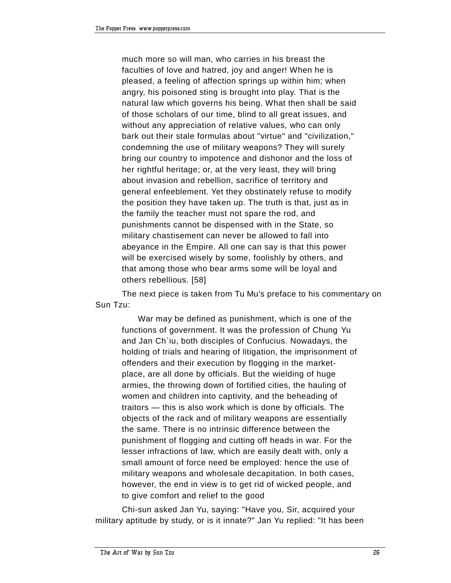much more so will man, who carries in his breast the faculties of love and hatred, joy and anger! When he is pleased, a feeling of affection springs up within him; when angry, his poisoned sting is brought into play. That is the natural law which governs his being. What then shall be said of those scholars of our time, blind to all great issues, and without any appreciation of relative values, who can only bark out their stale formulas about "virtue" and "civilization," condemning the use of military weapons? They will surely bring our country to impotence and dishonor and the loss of her rightful heritage; or, at the very least, they will bring about invasion and rebellion, sacrifice of territory and general enfeeblement. Yet they obstinately refuse to modify the position they have taken up. The truth is that, just as in the family the teacher must not spare the rod, and punishments cannot be dispensed with in the State, so military chastisement can never be allowed to fall into abeyance in the Empire. All one can say is that this power will be exercised wisely by some, foolishly by others, and that among those who bear arms some will be loyal and others rebellious. [58]

The next piece is taken from Tu Mu's preface to his commentary on Sun Tzu:

War may be defined as punishment, which is one of the functions of government. It was the profession of Chung Yu and Jan Ch`iu, both disciples of Confucius. Nowadays, the holding of trials and hearing of litigation, the imprisonment of offenders and their execution by flogging in the marketplace, are all done by officials. But the wielding of huge armies, the throwing down of fortified cities, the hauling of women and children into captivity, and the beheading of traitors  $-$  this is also work which is done by officials. The objects of the rack and of military weapons are essentially the same. There is no intrinsic difference between the punishment of flogging and cutting off heads in war. For the lesser infractions of law, which are easily dealt with, only a small amount of force need be employed: hence the use of military weapons and wholesale decapitation. In both cases, however, the end in view is to get rid of wicked people, and to give comfort and relief to the good

Chi-sun asked Jan Yu, saying: "Have you, Sir, acquired your military aptitude by study, or is it innate?" Jan Yu replied: "It has been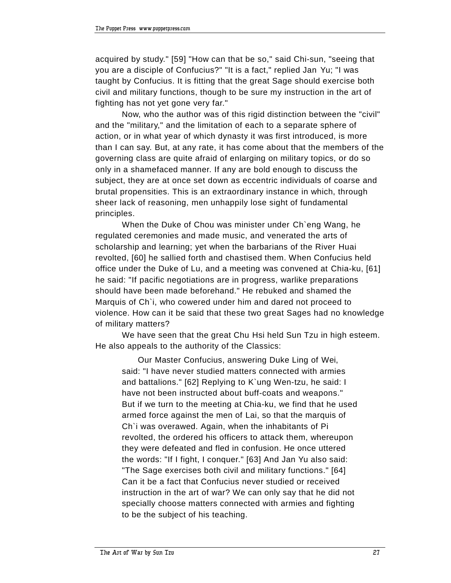acquired by study." [59] "How can that be so," said Chi-sun, "seeing that you are a disciple of Confucius?" "It is a fact," replied Jan Yu; "I was taught by Confucius. It is fitting that the great Sage should exercise both civil and military functions, though to be sure my instruction in the art of fighting has not yet gone very far."

Now, who the author was of this rigid distinction between the "civil" and the "military," and the limitation of each to a separate sphere of action, or in what year of which dynasty it was first introduced, is more than I can say. But, at any rate, it has come about that the members of the governing class are quite afraid of enlarging on military topics, or do so only in a shamefaced manner. If any are bold enough to discuss the subject, they are at once set down as eccentric individuals of coarse and brutal propensities. This is an extraordinary instance in which, through sheer lack of reasoning, men unhappily lose sight of fundamental principles.

When the Duke of Chou was minister under Ch`eng Wang, he regulated ceremonies and made music, and venerated the arts of scholarship and learning; yet when the barbarians of the River Huai revolted, [60] he sallied forth and chastised them. When Confucius held office under the Duke of Lu, and a meeting was convened at Chia-ku, [61] he said: "If pacific negotiations are in progress, warlike preparations should have been made beforehand." He rebuked and shamed the Marquis of Ch`i, who cowered under him and dared not proceed to violence. How can it be said that these two great Sages had no knowledge of military matters?

We have seen that the great Chu Hsi held Sun Tzu in high esteem. He also appeals to the authority of the Classics:

Our Master Confucius, answering Duke Ling of Wei, said: "I have never studied matters connected with armies and battalions." [62] Replying to K`ung Wen-tzu, he said: I have not been instructed about buff-coats and weapons." But if we turn to the meeting at Chia-ku, we find that he used armed force against the men of Lai, so that the marquis of Ch`i was overawed. Again, when the inhabitants of Pi revolted, the ordered his officers to attack them, whereupon they were defeated and fled in confusion. He once uttered the words: "If I fight, I conquer." [63] And Jan Yu also said: "The Sage exercises both civil and military functions." [64] Can it be a fact that Confucius never studied or received instruction in the art of war? We can only say that he did not specially choose matters connected with armies and fighting to be the subject of his teaching.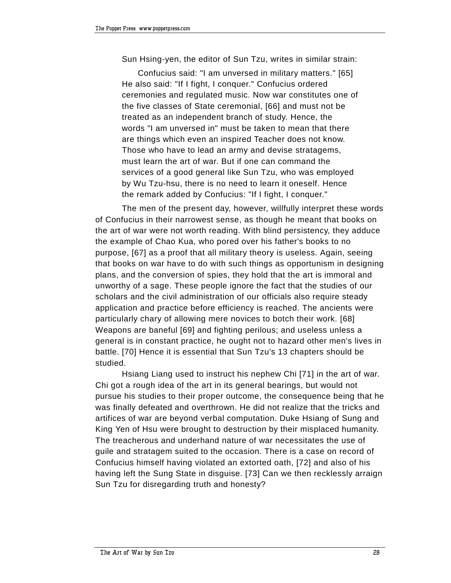Sun Hsing-yen, the editor of Sun Tzu, writes in similar strain:

Confucius said: "I am unversed in military matters." [65] He also said: "If I fight, I conquer." Confucius ordered ceremonies and regulated music. Now war constitutes one of the five classes of State ceremonial, [66] and must not be treated as an independent branch of study. Hence, the words "I am unversed in" must be taken to mean that there are things which even an inspired Teacher does not know. Those who have to lead an army and devise stratagems, must learn the art of war. But if one can command the services of a good general like Sun Tzu, who was employed by Wu Tzu-hsu, there is no need to learn it oneself. Hence the remark added by Confucius: "If I fight, I conquer."

The men of the present day, however, willfully interpret these words of Confucius in their narrowest sense, as though he meant that books on the art of war were not worth reading. With blind persistency, they adduce the example of Chao Kua, who pored over his father's books to no purpose, [67] as a proof that all military theory is useless. Again, seeing that books on war have to do with such things as opportunism in designing plans, and the conversion of spies, they hold that the art is immoral and unworthy of a sage. These people ignore the fact that the studies of our scholars and the civil administration of our officials also require steady application and practice before efficiency is reached. The ancients were particularly chary of allowing mere novices to botch their work. [68] Weapons are baneful [69] and fighting perilous; and useless unless a general is in constant practice, he ought not to hazard other men's lives in battle. [70] Hence it is essential that Sun Tzu's 13 chapters should be studied.

Hsiang Liang used to instruct his nephew Chi [71] in the art of war. Chi got a rough idea of the art in its general bearings, but would not pursue his studies to their proper outcome, the consequence being that he was finally defeated and overthrown. He did not realize that the tricks and artifices of war are beyond verbal computation. Duke Hsiang of Sung and King Yen of Hsu were brought to destruction by their misplaced humanity. The treacherous and underhand nature of war necessitates the use of guile and stratagem suited to the occasion. There is a case on record of Confucius himself having violated an extorted oath, [72] and also of his having left the Sung State in disguise. [73] Can we then recklessly arraign Sun Tzu for disregarding truth and honesty?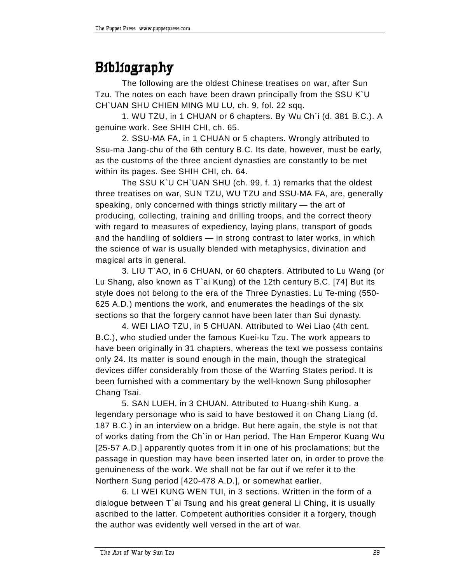### **Bibliography**

The following are the oldest Chinese treatises on war, after Sun Tzu. The notes on each have been drawn principally from the SSU K`U CH`UAN SHU CHIEN MING MU LU, ch. 9, fol. 22 sqq.

1. WU TZU, in 1 CHUAN or 6 chapters. By Wu Ch`i (d. 381 B.C.). A genuine work. See SHIH CHI, ch. 65.

2. SSU-MA FA, in 1 CHUAN or 5 chapters. Wrongly attributed to Ssu-ma Jang-chu of the 6th century B.C. Its date, however, must be early, as the customs of the three ancient dynasties are constantly to be met within its pages. See SHIH CHI, ch. 64.

The SSU K`U CH`UAN SHU (ch. 99, f. 1) remarks that the oldest three treatises on war, SUN TZU, WU TZU and SSU-MA FA, are, generally speaking, only concerned with things strictly military  $-$  the art of producing, collecting, training and drilling troops, and the correct theory with regard to measures of expediency, laying plans, transport of goods and the handling of soldiers - in strong contrast to later works, in which the science of war is usually blended with metaphysics, divination and magical arts in general.

3. LIU T`AO, in 6 CHUAN, or 60 chapters. Attributed to Lu Wang (or Lu Shang, also known as T`ai Kung) of the 12th century B.C. [74] But its style does not belong to the era of the Three Dynasties. Lu Te-ming (550- 625 A.D.) mentions the work, and enumerates the headings of the six sections so that the forgery cannot have been later than Sui dynasty.

4. WEI LIAO TZU, in 5 CHUAN. Attributed to Wei Liao (4th cent. B.C.), who studied under the famous Kuei-ku Tzu. The work appears to have been originally in 31 chapters, whereas the text we possess contains only 24. Its matter is sound enough in the main, though the strategical devices differ considerably from those of the Warring States period. It is been furnished with a commentary by the well-known Sung philosopher Chang Tsai.

5. SAN LUEH, in 3 CHUAN. Attributed to Huang-shih Kung, a legendary personage who is said to have bestowed it on Chang Liang (d. 187 B.C.) in an interview on a bridge. But here again, the style is not that of works dating from the Ch`in or Han period. The Han Emperor Kuang Wu [25-57 A.D.] apparently quotes from it in one of his proclamations; but the passage in question may have been inserted later on, in order to prove the genuineness of the work. We shall not be far out if we refer it to the Northern Sung period [420-478 A.D.], or somewhat earlier.

6. LI WEI KUNG WEN TUI, in 3 sections. Written in the form of a dialogue between T`ai Tsung and his great general Li Ching, it is usually ascribed to the latter. Competent authorities consider it a forgery, though the author was evidently well versed in the art of war.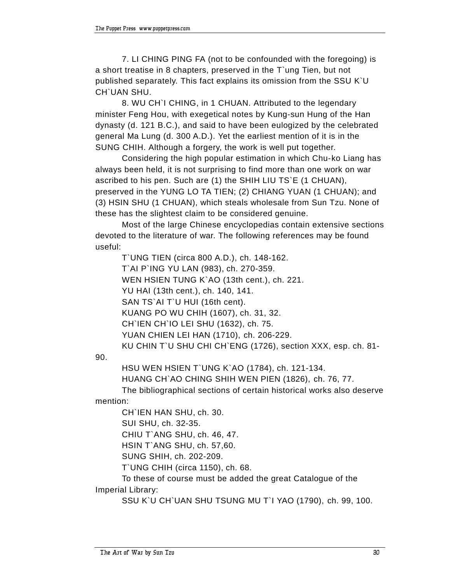7. LI CHING PING FA (not to be confounded with the foregoing) is a short treatise in 8 chapters, preserved in the T`ung Tien, but not published separately. This fact explains its omission from the SSU K`U CH`UAN SHU.

8. WU CH`I CHING, in 1 CHUAN. Attributed to the legendary minister Feng Hou, with exegetical notes by Kung-sun Hung of the Han dynasty (d. 121 B.C.), and said to have been eulogized by the celebrated general Ma Lung (d. 300 A.D.). Yet the earliest mention of it is in the SUNG CHIH. Although a forgery, the work is well put together.

Considering the high popular estimation in which Chu-ko Liang has always been held, it is not surprising to find more than one work on war ascribed to his pen. Such are (1) the SHIH LIU TS`E (1 CHUAN), preserved in the YUNG LO TA TIEN; (2) CHIANG YUAN (1 CHUAN); and (3) HSIN SHU (1 CHUAN), which steals wholesale from Sun Tzu. None of these has the slightest claim to be considered genuine.

Most of the large Chinese encyclopedias contain extensive sections devoted to the literature of war. The following references may be found useful:

T`UNG TIEN (circa 800 A.D.), ch. 148-162. T`AI P`ING YU LAN (983), ch. 270-359. WEN HSIEN TUNG K`AO (13th cent.), ch. 221. YU HAI (13th cent.), ch. 140, 141. SAN TS'AI T'U HUI (16th cent). KUANG PO WU CHIH (1607), ch. 31, 32. CH`IEN CH`IO LEI SHU (1632), ch. 75. YUAN CHIEN LEI HAN (1710), ch. 206-229. KU CHIN T`U SHU CHI CH`ENG (1726), section XXX, esp. ch. 81-

90.

HSU WEN HSIEN T`UNG K`AO (1784), ch. 121-134. HUANG CH`AO CHING SHIH WEN PIEN (1826), ch. 76, 77. The bibliographical sections of certain historical works also deserve

mention:

CH`IEN HAN SHU, ch. 30. SUI SHU, ch. 32-35. CHIU T`ANG SHU, ch. 46, 47. HSIN T`ANG SHU, ch. 57,60. SUNG SHIH, ch. 202-209.

T`UNG CHIH (circa 1150), ch. 68.

To these of course must be added the great Catalogue of the Imperial Library:

SSU K`U CH`UAN SHU TSUNG MU T`I YAO (1790), ch. 99, 100.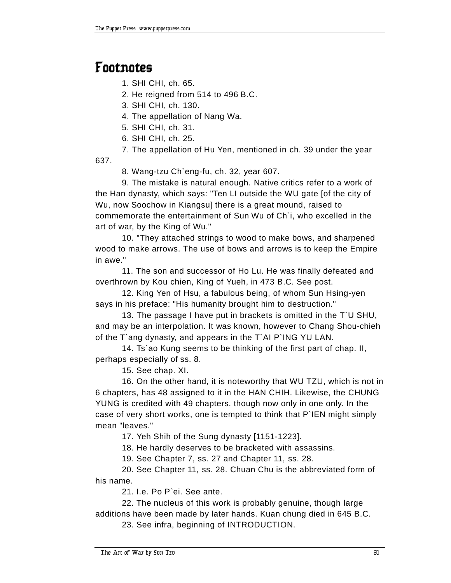#### **Footnotes**

1. SHI CHI, ch. 65.

2. He reigned from 514 to 496 B.C.

3. SHI CHI, ch. 130.

4. The appellation of Nang Wa.

5. SHI CHI, ch. 31.

6. SHI CHI, ch. 25.

7. The appellation of Hu Yen, mentioned in ch. 39 under the year 637.

8. Wang-tzu Ch`eng-fu, ch. 32, year 607.

9. The mistake is natural enough. Native critics refer to a work of the Han dynasty, which says: "Ten LI outside the WU gate [of the city of Wu, now Soochow in Kiangsu] there is a great mound, raised to commemorate the entertainment of Sun Wu of Ch`i, who excelled in the art of war, by the King of Wu."

10. "They attached strings to wood to make bows, and sharpened wood to make arrows. The use of bows and arrows is to keep the Empire in awe."

11. The son and successor of Ho Lu. He was finally defeated and overthrown by Kou chien, King of Yueh, in 473 B.C. See post.

12. King Yen of Hsu, a fabulous being, of whom Sun Hsing-yen says in his preface: "His humanity brought him to destruction."

13. The passage I have put in brackets is omitted in the T`U SHU, and may be an interpolation. It was known, however to Chang Shou-chieh of the T`ang dynasty, and appears in the T`AI P`ING YU LAN.

14. Ts`ao Kung seems to be thinking of the first part of chap. II, perhaps especially of ss. 8.

15. See chap. XI.

16. On the other hand, it is noteworthy that WU TZU, which is not in 6 chapters, has 48 assigned to it in the HAN CHIH. Likewise, the CHUNG YUNG is credited with 49 chapters, though now only in one only. In the case of very short works, one is tempted to think that P`IEN might simply mean "leaves."

17. Yeh Shih of the Sung dynasty [1151-1223].

18. He hardly deserves to be bracketed with assassins.

19. See Chapter 7, ss. 27 and Chapter 11, ss. 28.

20. See Chapter 11, ss. 28. Chuan Chu is the abbreviated form of his name.

21. I.e. Po P`ei. See ante.

22. The nucleus of this work is probably genuine, though large additions have been made by later hands. Kuan chung died in 645 B.C.

23. See infra, beginning of INTRODUCTION.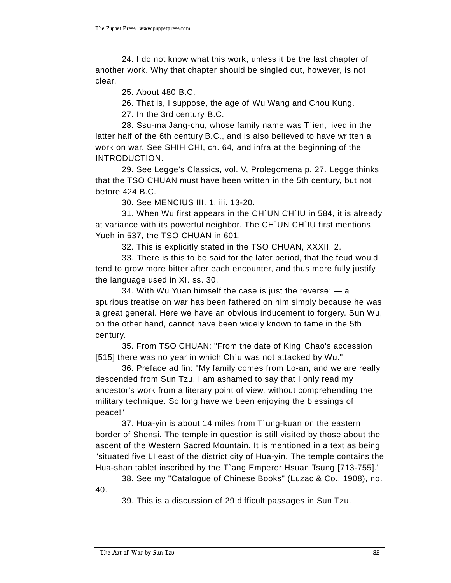24. I do not know what this work, unless it be the last chapter of another work. Why that chapter should be singled out, however, is not clear.

25. About 480 B.C.

26. That is, I suppose, the age of Wu Wang and Chou Kung.

27. In the 3rd century B.C.

28. Ssu-ma Jang-chu, whose family name was T`ien, lived in the latter half of the 6th century B.C., and is also believed to have written a work on war. See SHIH CHI, ch. 64, and infra at the beginning of the INTRODUCTION.

29. See Legge's Classics, vol. V, Prolegomena p. 27. Legge thinks that the TSO CHUAN must have been written in the 5th century, but not before 424 B.C.

30. See MENCIUS III. 1. iii. 13-20.

31. When Wu first appears in the CH`UN CH`IU in 584, it is already at variance with its powerful neighbor. The CH`UN CH`IU first mentions Yueh in 537, the TSO CHUAN in 601.

32. This is explicitly stated in the TSO CHUAN, XXXII, 2.

33. There is this to be said for the later period, that the feud would tend to grow more bitter after each encounter, and thus more fully justify the language used in XI. ss. 30.

34. With Wu Yuan himself the case is just the reverse:  $-$  a spurious treatise on war has been fathered on him simply because he was a great general. Here we have an obvious inducement to forgery. Sun Wu, on the other hand, cannot have been widely known to fame in the 5th century.

35. From TSO CHUAN: "From the date of King Chao's accession [515] there was no year in which Ch'u was not attacked by Wu."

36. Preface ad fin: "My family comes from Lo-an, and we are really descended from Sun Tzu. I am ashamed to say that I only read my ancestor's work from a literary point of view, without comprehending the military technique. So long have we been enjoying the blessings of peace!"

37. Hoa-yin is about 14 miles from T`ung-kuan on the eastern border of Shensi. The temple in question is still visited by those about the ascent of the Western Sacred Mountain. It is mentioned in a text as being "situated five LI east of the district city of Hua-yin. The temple contains the Hua-shan tablet inscribed by the T`ang Emperor Hsuan Tsung [713-755]."

38. See my "Catalogue of Chinese Books" (Luzac & Co., 1908), no. 40.

39. This is a discussion of 29 difficult passages in Sun Tzu.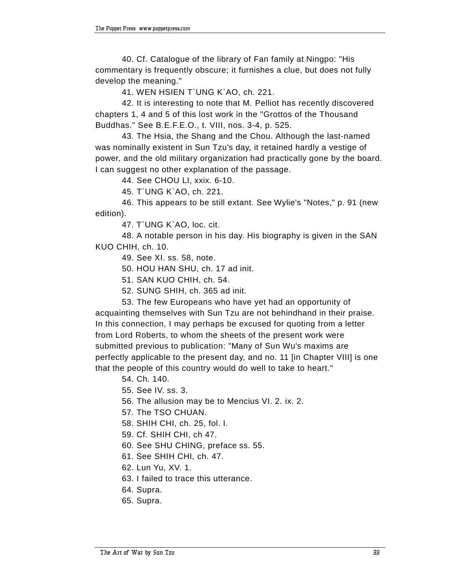40. Cf. Catalogue of the library of Fan family at Ningpo: "His commentary is frequently obscure; it furnishes a clue, but does not fully develop the meaning."

41. WEN HSIEN T`UNG K`AO, ch. 221.

42. It is interesting to note that M. Pelliot has recently discovered chapters 1, 4 and 5 of this lost work in the "Grottos of the Thousand Buddhas." See B.E.F.E.O., t. VIII, nos. 3-4, p. 525.

43. The Hsia, the Shang and the Chou. Although the last-named was nominally existent in Sun Tzu's day, it retained hardly a vestige of power, and the old military organization had practically gone by the board. I can suggest no other explanation of the passage.

44. See CHOU LI, xxix. 6-10.

45. T`UNG K`AO, ch. 221.

46. This appears to be still extant. See Wylie's "Notes," p. 91 (new edition).

47. T`UNG K`AO, loc. cit.

48. A notable person in his day. His biography is given in the SAN KUO CHIH, ch. 10.

49. See XI. ss. 58, note.

50. HOU HAN SHU, ch. 17 ad init.

51. SAN KUO CHIH, ch. 54.

52. SUNG SHIH, ch. 365 ad init.

53. The few Europeans who have yet had an opportunity of acquainting themselves with Sun Tzu are not behindhand in their praise. In this connection, I may perhaps be excused for quoting from a letter from Lord Roberts, to whom the sheets of the present work were submitted previous to publication: "Many of Sun Wu's maxims are perfectly applicable to the present day, and no. 11 [in Chapter VIII] is one that the people of this country would do well to take to heart."

54. Ch. 140.

55. See IV. ss. 3.

56. The allusion may be to Mencius VI. 2. ix. 2.

57. The TSO CHUAN.

58. SHIH CHI, ch. 25, fol. I.

59. Cf. SHIH CHI, ch 47.

60. See SHU CHING, preface ss. 55.

61. See SHIH CHI, ch. 47.

62. Lun Yu, XV. 1.

63. I failed to trace this utterance.

64. Supra.

65. Supra.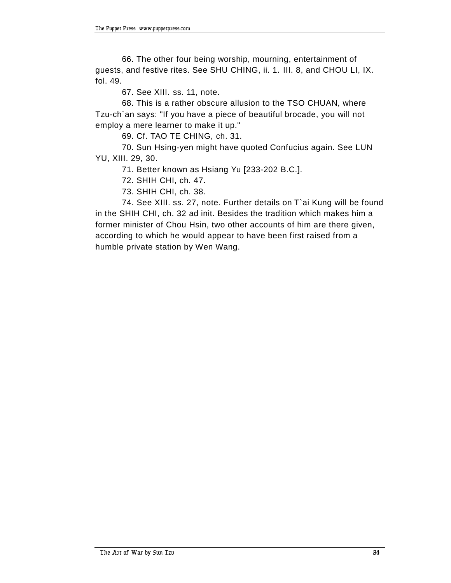66. The other four being worship, mourning, entertainment of guests, and festive rites. See SHU CHING, ii. 1. III. 8, and CHOU LI, IX. fol. 49.

67. See XIII. ss. 11, note.

68. This is a rather obscure allusion to the TSO CHUAN, where Tzu-ch`an says: "If you have a piece of beautiful brocade, you will not employ a mere learner to make it up."

69. Cf. TAO TE CHING, ch. 31.

70. Sun Hsing-yen might have quoted Confucius again. See LUN YU, XIII. 29, 30.

71. Better known as Hsiang Yu [233-202 B.C.].

72. SHIH CHI, ch. 47.

73. SHIH CHI, ch. 38.

74. See XIII. ss. 27, note. Further details on T`ai Kung will be found in the SHIH CHI, ch. 32 ad init. Besides the tradition which makes him a former minister of Chou Hsin, two other accounts of him are there given, according to which he would appear to have been first raised from a humble private station by Wen Wang.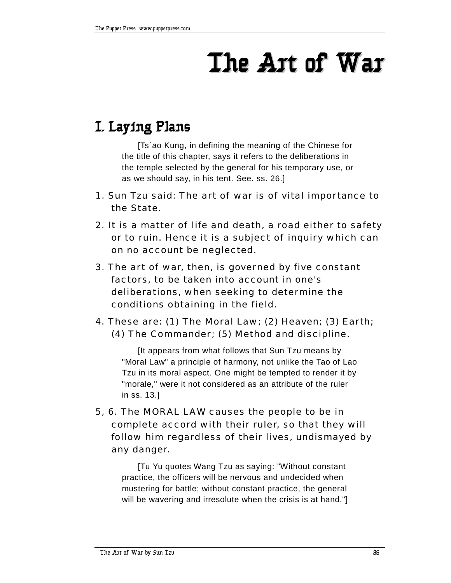## **The Art of War**

### **I. Laying Plans**

[Ts`ao Kung, in defining the meaning of the Chinese for the title of this chapter, says it refers to the deliberations in the temple selected by the general for his temporary use, or as we should say, in his tent. See. ss. 26.]

- 1. Sun Tzu said: The art of war is of vital importance to the State.
- 2. It is a matter of life and death, a road either to safety or to ruin. Hence it is a subject of inquiry which can on no account be neglected.
- 3. The art of war, then, is governed by five constant factors, to be taken into account in one's deliberations, when seeking to determine the conditions obtaining in the field.
- 4. These are: (1) The Moral Law; (2) Heaven; (3) Earth; (4) The Commander; (5) Method and discipline.

[It appears from what follows that Sun Tzu means by "Moral Law" a principle of harmony, not unlike the Tao of Lao Tzu in its moral aspect. One might be tempted to render it by "morale," were it not considered as an attribute of the ruler in ss. 13.]

5, 6. The MORAL LAW causes the people to be in complete accord with their ruler, so that they will follow him regardless of their lives, undismayed by any danger.

[Tu Yu quotes Wang Tzu as saying: "Without constant practice, the officers will be nervous and undecided when mustering for battle; without constant practice, the general will be wavering and irresolute when the crisis is at hand."]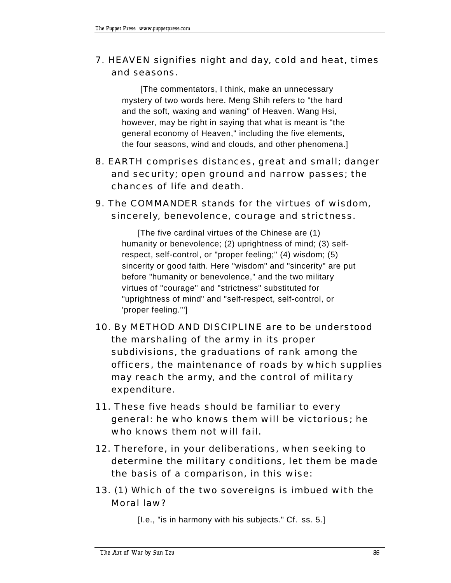#### 7. HEAVEN signifies night and day, cold and heat, times and seasons.

 [The commentators, I think, make an unnecessary mystery of two words here. Meng Shih refers to "the hard and the soft, waxing and waning" of Heaven. Wang Hsi, however, may be right in saying that what is meant is "the general economy of Heaven," including the five elements, the four seasons, wind and clouds, and other phenomena.]

- 8. EARTH comprises distances, great and small; danger and security; open ground and narrow passes; the chances of life and death.
- 9. The COMMANDER stands for the virtues of wisdom, sincerely, benevolence, courage and strictness.

[The five cardinal virtues of the Chinese are (1) humanity or benevolence; (2) uprightness of mind; (3) selfrespect, self-control, or "proper feeling;" (4) wisdom; (5) sincerity or good faith. Here "wisdom" and "sincerity" are put before "humanity or benevolence," and the two military virtues of "courage" and "strictness" substituted for "uprightness of mind" and "self-respect, self-control, or 'proper feeling.'"]

- 10. By METHOD AND DISCIPLINE are to be understood the marshaling of the army in its proper subdivisions, the graduations of rank among the officers, the maintenance of roads by which supplies may reach the army, and the control of military expenditure.
- 11. These five heads should be familiar to every general: he who knows them will be victorious; he who knows them not will fail.
- 12. Therefore, in your deliberations, when seeking to determine the military conditions, let them be made the basis of a comparison, in this wise:
- 13. (1) Which of the two sovereigns is imbued with the Moral law?

[I.e., "is in harmony with his subjects." Cf. ss. 5.]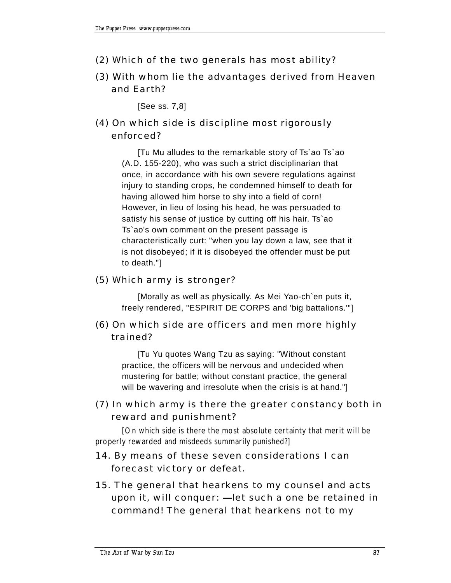- (2) Which of the two generals has most ability?
- (3) With whom lie the advantages derived from Heaven and Earth?

[See ss. 7,8]

(4) On which side is discipline most rigorously enforced?

> [Tu Mu alludes to the remarkable story of Ts`ao Ts`ao (A.D. 155-220), who was such a strict disciplinarian that once, in accordance with his own severe regulations against injury to standing crops, he condemned himself to death for having allowed him horse to shy into a field of corn! However, in lieu of losing his head, he was persuaded to satisfy his sense of justice by cutting off his hair. Ts`ao Ts`ao's own comment on the present passage is characteristically curt: "when you lay down a law, see that it is not disobeyed; if it is disobeyed the offender must be put to death."]

#### (5) Which army is stronger?

[Morally as well as physically. As Mei Yao-ch`en puts it, freely rendered, "ESPIRIT DE CORPS and 'big battalions.'"]

### (6) On which side are officers and men more highly trained?

[Tu Yu quotes Wang Tzu as saying: "Without constant practice, the officers will be nervous and undecided when mustering for battle; without constant practice, the general will be wavering and irresolute when the crisis is at hand."]

# (7) In which army is there the greater constancy both in reward and punishment?

[On which side is there the most absolute certainty that merit will be properly rewarded and misdeeds summarily punished?]

### 14. By means of these seven considerations I can forecast victory or defeat.

15. The general that hearkens to my counsel and acts upon it, will conquer: - let such a one be retained in command! The general that hearkens not to my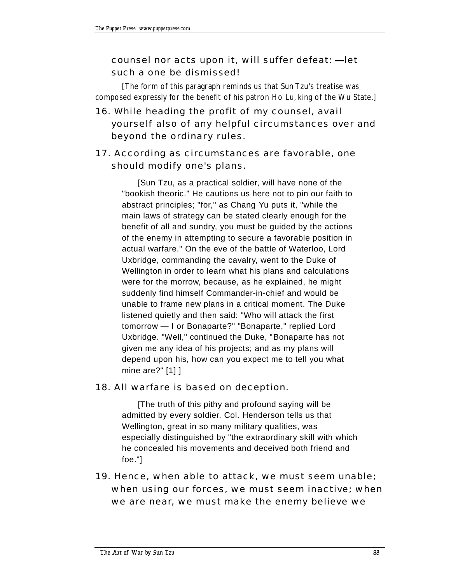## counsel nor acts upon it, will suffer defeat: - let such a one be dismissed!

[The form of this paragraph reminds us that Sun Tzu's treatise was composed expressly for the benefit of his patron Ho Lu, king of the Wu State.]

16. While heading the profit of my counsel, avail yourself also of any helpful circumstances over and beyond the ordinary rules.

# 17. According as circumstances are favorable, one should modify one's plans.

[Sun Tzu, as a practical soldier, will have none of the "bookish theoric." He cautions us here not to pin our faith to abstract principles; "for," as Chang Yu puts it, "while the main laws of strategy can be stated clearly enough for the benefit of all and sundry, you must be guided by the actions of the enemy in attempting to secure a favorable position in actual warfare." On the eve of the battle of Waterloo, Lord Uxbridge, commanding the cavalry, went to the Duke of Wellington in order to learn what his plans and calculations were for the morrow, because, as he explained, he might suddenly find himself Commander-in-chief and would be unable to frame new plans in a critical moment. The Duke listened quietly and then said: "Who will attack the first tomorrow - I or Bonaparte?" "Bonaparte," replied Lord Uxbridge. "Well," continued the Duke, "Bonaparte has not given me any idea of his projects; and as my plans will depend upon his, how can you expect me to tell you what mine are?" [1] ]

#### 18. All warfare is based on deception.

[The truth of this pithy and profound saying will be admitted by every soldier. Col. Henderson tells us that Wellington, great in so many military qualities, was especially distinguished by "the extraordinary skill with which he concealed his movements and deceived both friend and foe."]

19. Hence, when able to attack, we must seem unable; when using our forces, we must seem inactive; when we are near, we must make the enemy believe we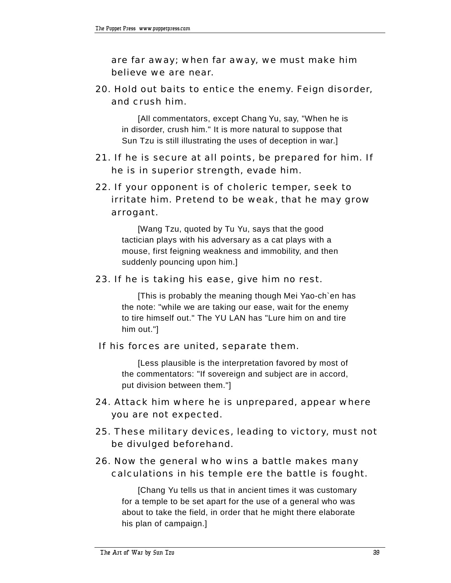are far away; when far away, we must make him believe we are near.

20. Hold out baits to entice the enemy. Feign disorder, and crush him.

[All commentators, except Chang Yu, say, "When he is in disorder, crush him." It is more natural to suppose that Sun Tzu is still illustrating the uses of deception in war.]

21. If he is secure at all points, be prepared for him. If he is in superior strength, evade him.

## 22. If your opponent is of choleric temper, seek to irritate him. Pretend to be weak, that he may grow arrogant.

[Wang Tzu, quoted by Tu Yu, says that the good tactician plays with his adversary as a cat plays with a mouse, first feigning weakness and immobility, and then suddenly pouncing upon him.]

#### 23. If he is taking his ease, give him no rest.

[This is probably the meaning though Mei Yao-ch`en has the note: "while we are taking our ease, wait for the enemy to tire himself out." The YU LAN has "Lure him on and tire him out."]

#### If his forces are united, separate them.

[Less plausible is the interpretation favored by most of the commentators: "If sovereign and subject are in accord, put division between them."]

- 24. Attack him where he is unprepared, appear where you are not expected.
- 25. These military devices, leading to victory, must not be divulged beforehand.

#### 26. Now the general who wins a battle makes many calculations in his temple ere the battle is fought.

[Chang Yu tells us that in ancient times it was customary for a temple to be set apart for the use of a general who was about to take the field, in order that he might there elaborate his plan of campaign.]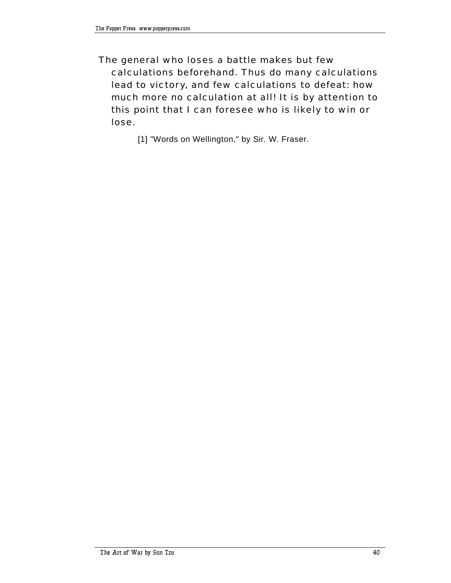The general who loses a battle makes but few calculations beforehand. Thus do many calculations lead to victory, and few calculations to defeat: how much more no calculation at all! It is by attention to this point that I can foresee who is likely to win or lose.

[1] "Words on Wellington," by Sir. W. Fraser.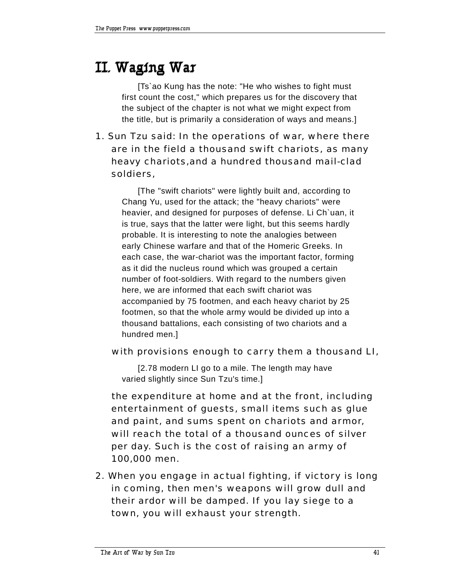# **II. Waging War**

[Ts`ao Kung has the note: "He who wishes to fight must first count the cost," which prepares us for the discovery that the subject of the chapter is not what we might expect from the title, but is primarily a consideration of ways and means.]

1. Sun Tzu said: In the operations of war, where there are in the field a thousand swift chariots, as many heavy chariots,and a hundred thousand mail-clad soldiers,

[The "swift chariots" were lightly built and, according to Chang Yu, used for the attack; the "heavy chariots" were heavier, and designed for purposes of defense. Li Ch`uan, it is true, says that the latter were light, but this seems hardly probable. It is interesting to note the analogies between early Chinese warfare and that of the Homeric Greeks. In each case, the war-chariot was the important factor, forming as it did the nucleus round which was grouped a certain number of foot-soldiers. With regard to the numbers given here, we are informed that each swift chariot was accompanied by 75 footmen, and each heavy chariot by 25 footmen, so that the whole army would be divided up into a thousand battalions, each consisting of two chariots and a hundred men.]

#### with provisions enough to carry them a thousand LI,

[2.78 modern LI go to a mile. The length may have varied slightly since Sun Tzu's time.]

 the expenditure at home and at the front, including entertainment of guests, small items such as glue and paint, and sums spent on chariots and armor, will reach the total of a thousand ounces of silver per day. Such is the cost of raising an army of 100,000 men.

2. When you engage in actual fighting, if victory is long in coming, then men's weapons will grow dull and their ardor will be damped. If you lay siege to a town, you will exhaust your strength.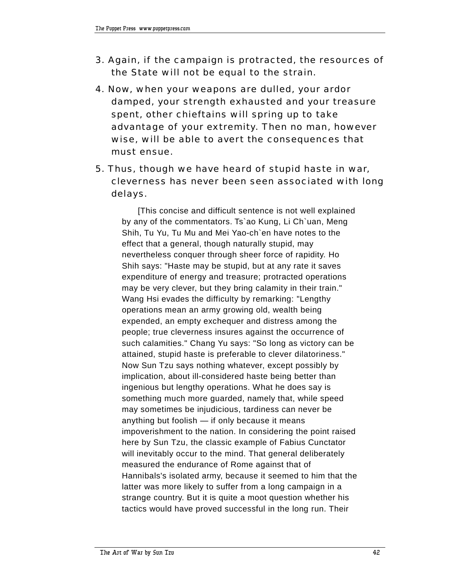- 3. Again, if the campaign is protracted, the resources of the State will not be equal to the strain.
- 4. Now, when your weapons are dulled, your ardor damped, your strength exhausted and your treasure spent, other chieftains will spring up to take advantage of your extremity. Then no man, however wise, will be able to avert the consequences that must ensue.
- 5. Thus, though we have heard of stupid haste in war, cleverness has never been seen associated with long delays.

[This concise and difficult sentence is not well explained by any of the commentators. Ts`ao Kung, Li Ch`uan, Meng Shih, Tu Yu, Tu Mu and Mei Yao-ch`en have notes to the effect that a general, though naturally stupid, may nevertheless conquer through sheer force of rapidity. Ho Shih says: "Haste may be stupid, but at any rate it saves expenditure of energy and treasure; protracted operations may be very clever, but they bring calamity in their train." Wang Hsi evades the difficulty by remarking: "Lengthy operations mean an army growing old, wealth being expended, an empty exchequer and distress among the people; true cleverness insures against the occurrence of such calamities." Chang Yu says: "So long as victory can be attained, stupid haste is preferable to clever dilatoriness." Now Sun Tzu says nothing whatever, except possibly by implication, about ill-considered haste being better than ingenious but lengthy operations. What he does say is something much more guarded, namely that, while speed may sometimes be injudicious, tardiness can never be anything but foolish  $-$  if only because it means impoverishment to the nation. In considering the point raised here by Sun Tzu, the classic example of Fabius Cunctator will inevitably occur to the mind. That general deliberately measured the endurance of Rome against that of Hannibals's isolated army, because it seemed to him that the latter was more likely to suffer from a long campaign in a strange country. But it is quite a moot question whether his tactics would have proved successful in the long run. Their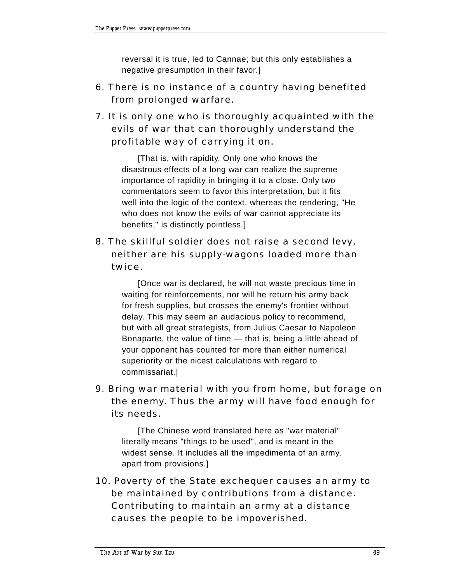reversal it is true, led to Cannae; but this only establishes a negative presumption in their favor.]

- 6. There is no instance of a country having benefited from prolonged warfare.
- 7. It is only one who is thoroughly acquainted with the evils of war that can thoroughly understand the profitable way of carrying it on.

[That is, with rapidity. Only one who knows the disastrous effects of a long war can realize the supreme importance of rapidity in bringing it to a close. Only two commentators seem to favor this interpretation, but it fits well into the logic of the context, whereas the rendering, "He who does not know the evils of war cannot appreciate its benefits," is distinctly pointless.]

8. The skillful soldier does not raise a second levy, neither are his supply-wagons loaded more than twice.

> [Once war is declared, he will not waste precious time in waiting for reinforcements, nor will he return his army back for fresh supplies, but crosses the enemy's frontier without delay. This may seem an audacious policy to recommend, but with all great strategists, from Julius Caesar to Napoleon Bonaparte, the value of time  $-$  that is, being a little ahead of your opponent has counted for more than either numerical superiority or the nicest calculations with regard to commissariat.]

9. Bring war material with you from home, but forage on the enemy. Thus the army will have food enough for its needs.

[The Chinese word translated here as "war material" literally means "things to be used", and is meant in the widest sense. It includes all the impedimenta of an army, apart from provisions.]

10. Poverty of the State exchequer causes an army to be maintained by contributions from a distance. Contributing to maintain an army at a distance causes the people to be impoverished.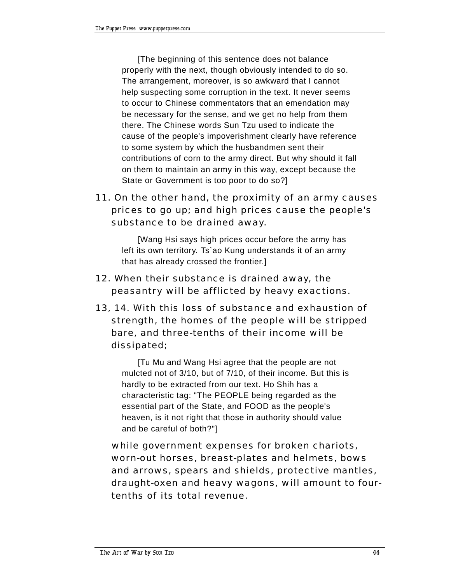[The beginning of this sentence does not balance properly with the next, though obviously intended to do so. The arrangement, moreover, is so awkward that I cannot help suspecting some corruption in the text. It never seems to occur to Chinese commentators that an emendation may be necessary for the sense, and we get no help from them there. The Chinese words Sun Tzu used to indicate the cause of the people's impoverishment clearly have reference to some system by which the husbandmen sent their contributions of corn to the army direct. But why should it fall on them to maintain an army in this way, except because the State or Government is too poor to do so?]

# 11. On the other hand, the proximity of an army causes prices to go up; and high prices cause the people's substance to be drained away.

[Wang Hsi says high prices occur before the army has left its own territory. Ts`ao Kung understands it of an army that has already crossed the frontier.]

- 12. When their substance is drained away, the peasantry will be afflicted by heavy exactions.
- 13, 14. With this loss of substance and exhaustion of strength, the homes of the people will be stripped bare, and three-tenths of their income will be dissipated;

[Tu Mu and Wang Hsi agree that the people are not mulcted not of 3/10, but of 7/10, of their income. But this is hardly to be extracted from our text. Ho Shih has a characteristic tag: "The PEOPLE being regarded as the essential part of the State, and FOOD as the people's heaven, is it not right that those in authority should value and be careful of both?"]

 while government expenses for broken chariots, worn-out horses, breast-plates and helmets, bows and arrows, spears and shields, protective mantles, draught-oxen and heavy wagons, will amount to fourtenths of its total revenue.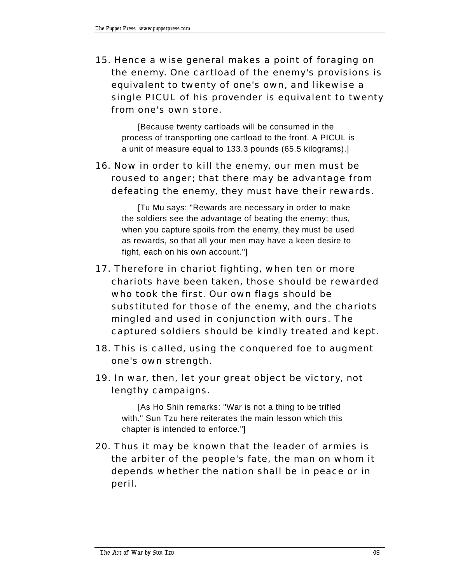15. Hence a wise general makes a point of foraging on the enemy. One cartload of the enemy's provisions is equivalent to twenty of one's own, and likewise a single PICUL of his provender is equivalent to twenty from one's own store.

[Because twenty cartloads will be consumed in the process of transporting one cartload to the front. A PICUL is a unit of measure equal to 133.3 pounds (65.5 kilograms).]

### 16. Now in order to kill the enemy, our men must be roused to anger; that there may be advantage from defeating the enemy, they must have their rewards.

[Tu Mu says: "Rewards are necessary in order to make the soldiers see the advantage of beating the enemy; thus, when you capture spoils from the enemy, they must be used as rewards, so that all your men may have a keen desire to fight, each on his own account."]

- 17. Therefore in chariot fighting, when ten or more chariots have been taken, those should be rewarded who took the first. Our own flags should be substituted for those of the enemy, and the chariots mingled and used in conjunction with ours. The captured soldiers should be kindly treated and kept.
- 18. This is called, using the conquered foe to augment one's own strength.
- 19. In war, then, let your great object be victory, not lengthy campaigns.

[As Ho Shih remarks: "War is not a thing to be trifled with." Sun Tzu here reiterates the main lesson which this chapter is intended to enforce."]

20. Thus it may be known that the leader of armies is the arbiter of the people's fate, the man on whom it depends whether the nation shall be in peace or in peril.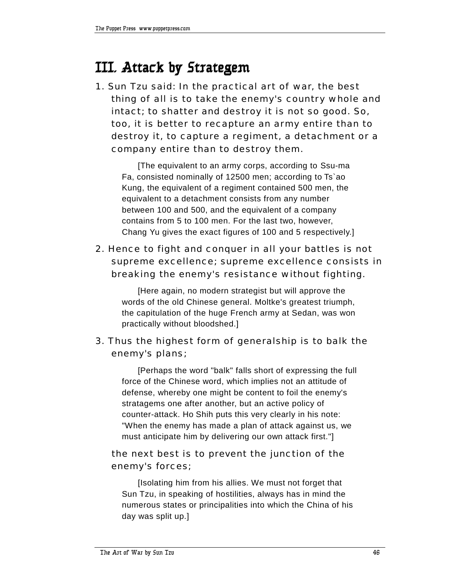# **III. Attack by Strategem**

1. Sun Tzu said: In the practical art of war, the best thing of all is to take the enemy's country whole and intact; to shatter and destroy it is not so good. So, too, it is better to recapture an army entire than to destroy it, to capture a regiment, a detachment or a company entire than to destroy them.

[The equivalent to an army corps, according to Ssu-ma Fa, consisted nominally of 12500 men; according to Ts`ao Kung, the equivalent of a regiment contained 500 men, the equivalent to a detachment consists from any number between 100 and 500, and the equivalent of a company contains from 5 to 100 men. For the last two, however, Chang Yu gives the exact figures of 100 and 5 respectively.]

# 2. Hence to fight and conquer in all your battles is not supreme excellence; supreme excellence consists in breaking the enemy's resistance without fighting.

[Here again, no modern strategist but will approve the words of the old Chinese general. Moltke's greatest triumph, the capitulation of the huge French army at Sedan, was won practically without bloodshed.]

# 3. Thus the highest form of generalship is to balk the enemy's plans;

[Perhaps the word "balk" falls short of expressing the full force of the Chinese word, which implies not an attitude of defense, whereby one might be content to foil the enemy's stratagems one after another, but an active policy of counter-attack. Ho Shih puts this very clearly in his note: "When the enemy has made a plan of attack against us, we must anticipate him by delivering our own attack first."]

# the next best is to prevent the junction of the enemy's forces;

[Isolating him from his allies. We must not forget that Sun Tzu, in speaking of hostilities, always has in mind the numerous states or principalities into which the China of his day was split up.]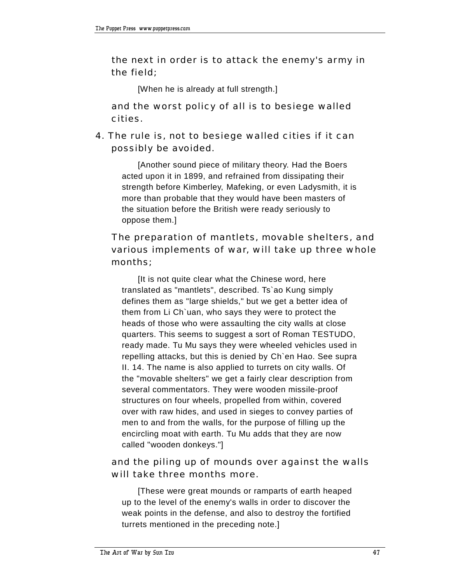the next in order is to attack the enemy's army in the field;

[When he is already at full strength.]

 and the worst policy of all is to besiege walled cities.

4. The rule is, not to besiege walled cities if it can possibly be avoided.

[Another sound piece of military theory. Had the Boers acted upon it in 1899, and refrained from dissipating their strength before Kimberley, Mafeking, or even Ladysmith, it is more than probable that they would have been masters of the situation before the British were ready seriously to oppose them.]

# The preparation of mantlets, movable shelters, and various implements of war, will take up three whole months;

[It is not quite clear what the Chinese word, here translated as "mantlets", described. Ts`ao Kung simply defines them as "large shields," but we get a better idea of them from Li Ch`uan, who says they were to protect the heads of those who were assaulting the city walls at close quarters. This seems to suggest a sort of Roman TESTUDO, ready made. Tu Mu says they were wheeled vehicles used in repelling attacks, but this is denied by Ch`en Hao. See supra II. 14. The name is also applied to turrets on city walls. Of the "movable shelters" we get a fairly clear description from several commentators. They were wooden missile-proof structures on four wheels, propelled from within, covered over with raw hides, and used in sieges to convey parties of men to and from the walls, for the purpose of filling up the encircling moat with earth. Tu Mu adds that they are now called "wooden donkeys."]

# and the piling up of mounds over against the walls will take three months more.

[These were great mounds or ramparts of earth heaped up to the level of the enemy's walls in order to discover the weak points in the defense, and also to destroy the fortified turrets mentioned in the preceding note.]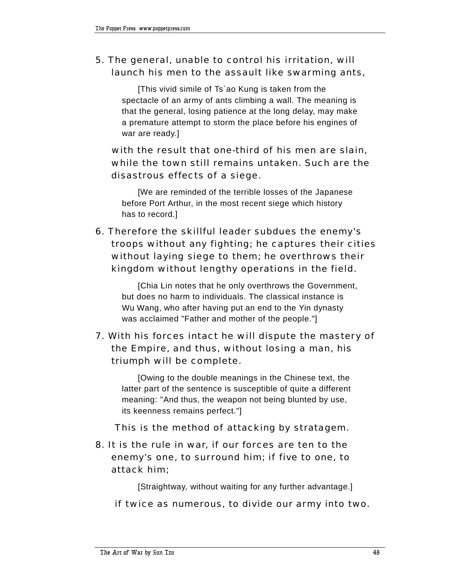# 5. The general, unable to control his irritation, will launch his men to the assault like swarming ants,

[This vivid simile of Ts`ao Kung is taken from the spectacle of an army of ants climbing a wall. The meaning is that the general, losing patience at the long delay, may make a premature attempt to storm the place before his engines of war are ready.]

 with the result that one-third of his men are slain, while the town still remains untaken. Such are the disastrous effects of a siege.

[We are reminded of the terrible losses of the Japanese before Port Arthur, in the most recent siege which history has to record.]

6. Therefore the skillful leader subdues the enemy's troops without any fighting; he captures their cities without laying siege to them; he overthrows their kingdom without lengthy operations in the field.

[Chia Lin notes that he only overthrows the Government, but does no harm to individuals. The classical instance is Wu Wang, who after having put an end to the Yin dynasty was acclaimed "Father and mother of the people."]

# 7. With his forces intact he will dispute the mastery of the Empire, and thus, without losing a man, his triumph will be complete.

[Owing to the double meanings in the Chinese text, the latter part of the sentence is susceptible of quite a different meaning: "And thus, the weapon not being blunted by use, its keenness remains perfect."]

This is the method of attacking by stratagem.

8. It is the rule in war, if our forces are ten to the enemy's one, to surround him; if five to one, to attack him;

[Straightway, without waiting for any further advantage.]

if twice as numerous, to divide our army into two.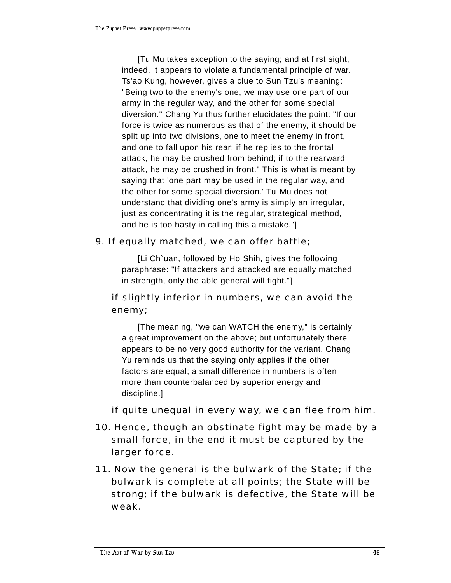[Tu Mu takes exception to the saying; and at first sight, indeed, it appears to violate a fundamental principle of war. Ts'ao Kung, however, gives a clue to Sun Tzu's meaning: "Being two to the enemy's one, we may use one part of our army in the regular way, and the other for some special diversion." Chang Yu thus further elucidates the point: "If our force is twice as numerous as that of the enemy, it should be split up into two divisions, one to meet the enemy in front, and one to fall upon his rear; if he replies to the frontal attack, he may be crushed from behind; if to the rearward attack, he may be crushed in front." This is what is meant by saying that 'one part may be used in the regular way, and the other for some special diversion.' Tu Mu does not understand that dividing one's army is simply an irregular, just as concentrating it is the regular, strategical method, and he is too hasty in calling this a mistake."]

#### 9. If equally matched, we can offer battle;

[Li Ch`uan, followed by Ho Shih, gives the following paraphrase: "If attackers and attacked are equally matched in strength, only the able general will fight."]

# if slightly inferior in numbers, we can avoid the enemy;

[The meaning, "we can WATCH the enemy," is certainly a great improvement on the above; but unfortunately there appears to be no very good authority for the variant. Chang Yu reminds us that the saying only applies if the other factors are equal; a small difference in numbers is often more than counterbalanced by superior energy and discipline.]

if quite unequal in every way, we can flee from him.

- 10. Hence, though an obstinate fight may be made by a small force, in the end it must be captured by the larger force.
- 11. Now the general is the bulwark of the State; if the bulwark is complete at all points; the State will be strong; if the bulwark is defective, the State will be weak.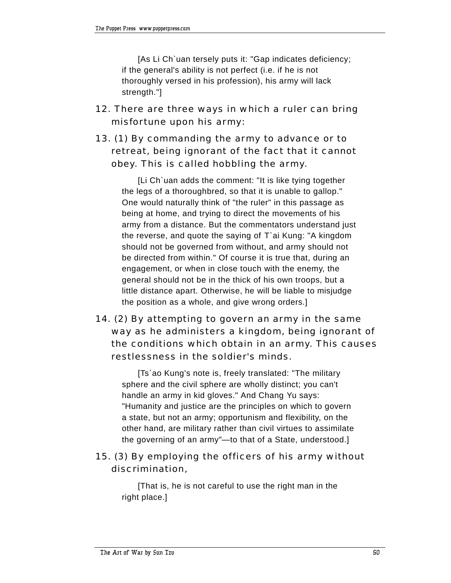[As Li Ch`uan tersely puts it: "Gap indicates deficiency; if the general's ability is not perfect (i.e. if he is not thoroughly versed in his profession), his army will lack strength."]

12. There are three ways in which a ruler can bring misfortune upon his army:

# 13. (1) By commanding the army to advance or to retreat, being ignorant of the fact that it cannot obey. This is called hobbling the army.

[Li Ch`uan adds the comment: "It is like tying together the legs of a thoroughbred, so that it is unable to gallop." One would naturally think of "the ruler" in this passage as being at home, and trying to direct the movements of his army from a distance. But the commentators understand just the reverse, and quote the saying of T`ai Kung: "A kingdom should not be governed from without, and army should not be directed from within." Of course it is true that, during an engagement, or when in close touch with the enemy, the general should not be in the thick of his own troops, but a little distance apart. Otherwise, he will be liable to misjudge the position as a whole, and give wrong orders.]

# 14. (2) By attempting to govern an army in the same way as he administers a kingdom, being ignorant of the conditions which obtain in an army. This causes restlessness in the soldier's minds.

[Ts`ao Kung's note is, freely translated: "The military sphere and the civil sphere are wholly distinct; you can't handle an army in kid gloves." And Chang Yu says: "Humanity and justice are the principles on which to govern a state, but not an army; opportunism and flexibility, on the other hand, are military rather than civil virtues to assimilate the governing of an army"—to that of a State, understood.]

### 15. (3) By employing the officers of his army without discrimination,

[That is, he is not careful to use the right man in the right place.]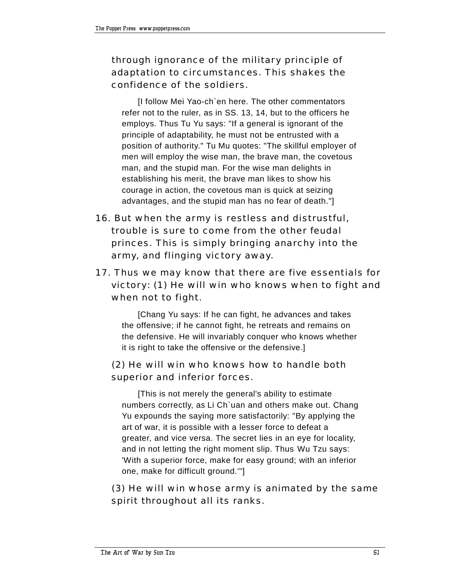# through ignorance of the military principle of adaptation to circumstances. This shakes the confidence of the soldiers.

II follow Mei Yao-ch`en here. The other commentators refer not to the ruler, as in SS. 13, 14, but to the officers he employs. Thus Tu Yu says: "If a general is ignorant of the principle of adaptability, he must not be entrusted with a position of authority." Tu Mu quotes: "The skillful employer of men will employ the wise man, the brave man, the covetous man, and the stupid man. For the wise man delights in establishing his merit, the brave man likes to show his courage in action, the covetous man is quick at seizing advantages, and the stupid man has no fear of death."]

- 16. But when the army is restless and distrustful, trouble is sure to come from the other feudal princes. This is simply bringing anarchy into the army, and flinging victory away.
- 17. Thus we may know that there are five essentials for victory: (1) He will win who knows when to fight and when not to fight.

[Chang Yu says: If he can fight, he advances and takes the offensive; if he cannot fight, he retreats and remains on the defensive. He will invariably conquer who knows whether it is right to take the offensive or the defensive.]

# (2) He will win who knows how to handle both superior and inferior forces.

[This is not merely the general's ability to estimate numbers correctly, as Li Ch`uan and others make out. Chang Yu expounds the saying more satisfactorily: "By applying the art of war, it is possible with a lesser force to defeat a greater, and vice versa. The secret lies in an eye for locality, and in not letting the right moment slip. Thus Wu Tzu says: 'With a superior force, make for easy ground; with an inferior one, make for difficult ground.'"]

# (3) He will win whose army is animated by the same spirit throughout all its ranks.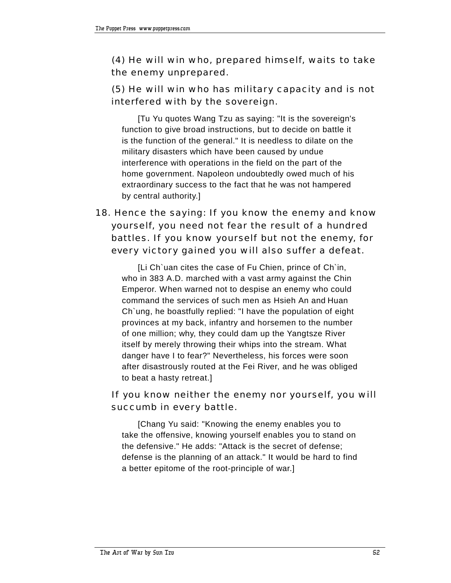## (4) He will win who, prepared himself, waits to take the enemy unprepared.

### (5) He will win who has military capacity and is not interfered with by the sovereign.

[Tu Yu quotes Wang Tzu as saying: "It is the sovereign's function to give broad instructions, but to decide on battle it is the function of the general." It is needless to dilate on the military disasters which have been caused by undue interference with operations in the field on the part of the home government. Napoleon undoubtedly owed much of his extraordinary success to the fact that he was not hampered by central authority.]

# 18. Hence the saying: If you know the enemy and know yourself, you need not fear the result of a hundred battles. If you know yourself but not the enemy, for every victory gained you will also suffer a defeat.

[Li Ch`uan cites the case of Fu Chien, prince of Ch`in, who in 383 A.D. marched with a vast army against the Chin Emperor. When warned not to despise an enemy who could command the services of such men as Hsieh An and Huan Ch`ung, he boastfully replied: "I have the population of eight provinces at my back, infantry and horsemen to the number of one million; why, they could dam up the Yangtsze River itself by merely throwing their whips into the stream. What danger have I to fear?" Nevertheless, his forces were soon after disastrously routed at the Fei River, and he was obliged to beat a hasty retreat.]

#### If you know neither the enemy nor yourself, you will succumb in every battle.

[Chang Yu said: "Knowing the enemy enables you to take the offensive, knowing yourself enables you to stand on the defensive." He adds: "Attack is the secret of defense; defense is the planning of an attack." It would be hard to find a better epitome of the root-principle of war.]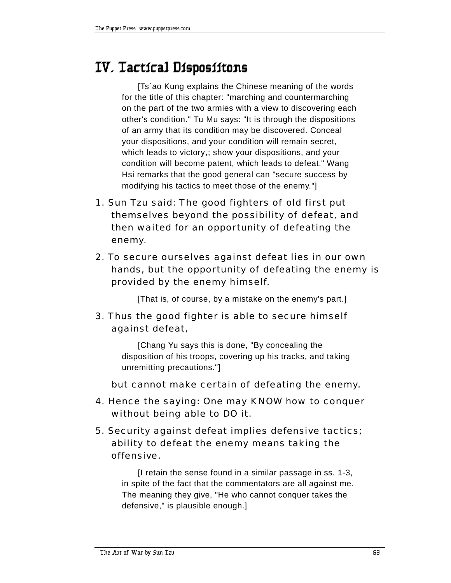# **IV. Tactical Disposiitons**

[Ts`ao Kung explains the Chinese meaning of the words for the title of this chapter: "marching and countermarching on the part of the two armies with a view to discovering each other's condition." Tu Mu says: "It is through the dispositions of an army that its condition may be discovered. Conceal your dispositions, and your condition will remain secret, which leads to victory,; show your dispositions, and your condition will become patent, which leads to defeat." Wang Hsi remarks that the good general can "secure success by modifying his tactics to meet those of the enemy."]

- 1. Sun Tzu said: The good fighters of old first put themselves beyond the possibility of defeat, and then waited for an opportunity of defeating the enemy.
- 2. To secure ourselves against defeat lies in our own hands, but the opportunity of defeating the enemy is provided by the enemy himself.

[That is, of course, by a mistake on the enemy's part.]

3. Thus the good fighter is able to secure himself against defeat,

> [Chang Yu says this is done, "By concealing the disposition of his troops, covering up his tracks, and taking unremitting precautions."]

but cannot make certain of defeating the enemy.

- 4. Hence the saying: One may KNOW how to conquer without being able to DO it.
- 5. Security against defeat implies defensive tactics; ability to defeat the enemy means taking the offensive.

[I retain the sense found in a similar passage in ss. 1-3, in spite of the fact that the commentators are all against me. The meaning they give, "He who cannot conquer takes the defensive," is plausible enough.]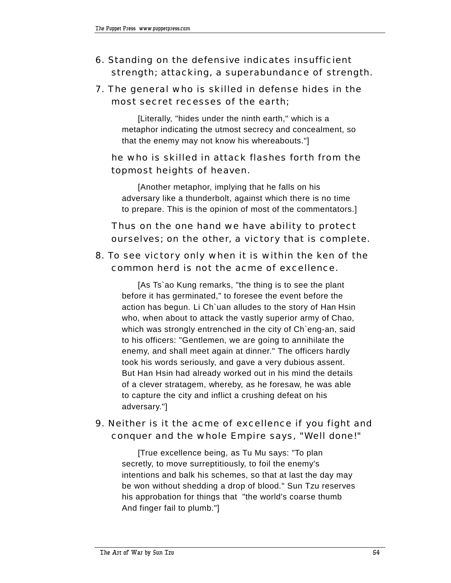# 6. Standing on the defensive indicates insufficient strength; attacking, a superabundance of strength.

# 7. The general who is skilled in defense hides in the most secret recesses of the earth;

[Literally, "hides under the ninth earth," which is a metaphor indicating the utmost secrecy and concealment, so that the enemy may not know his whereabouts."]

# he who is skilled in attack flashes forth from the topmost heights of heaven.

[Another metaphor, implying that he falls on his adversary like a thunderbolt, against which there is no time to prepare. This is the opinion of most of the commentators.]

# Thus on the one hand we have ability to protect ourselves; on the other, a victory that is complete.

#### 8. To see victory only when it is within the ken of the common herd is not the acme of excellence.

[As Ts`ao Kung remarks, "the thing is to see the plant before it has germinated," to foresee the event before the action has begun. Li Ch`uan alludes to the story of Han Hsin who, when about to attack the vastly superior army of Chao, which was strongly entrenched in the city of Ch`eng-an, said to his officers: "Gentlemen, we are going to annihilate the enemy, and shall meet again at dinner." The officers hardly took his words seriously, and gave a very dubious assent. But Han Hsin had already worked out in his mind the details of a clever stratagem, whereby, as he foresaw, he was able to capture the city and inflict a crushing defeat on his adversary."]

### 9. Neither is it the acme of excellence if you fight and conquer and the whole Empire says, "Well done!"

[True excellence being, as Tu Mu says: "To plan secretly, to move surreptitiously, to foil the enemy's intentions and balk his schemes, so that at last the day may be won without shedding a drop of blood." Sun Tzu reserves his approbation for things that "the world's coarse thumb And finger fail to plumb."]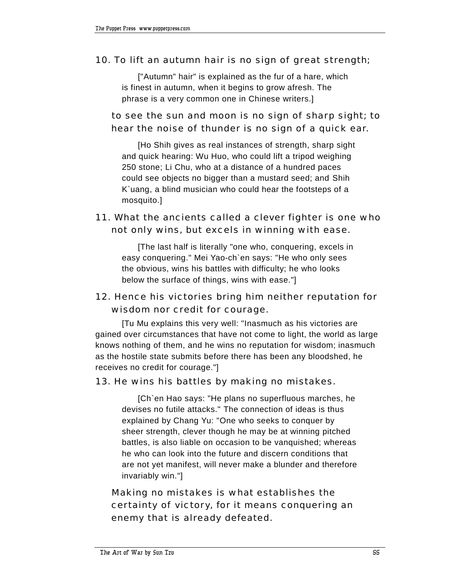#### 10. To lift an autumn hair is no sign of great strength;

["Autumn" hair" is explained as the fur of a hare, which is finest in autumn, when it begins to grow afresh. The phrase is a very common one in Chinese writers.]

## to see the sun and moon is no sign of sharp sight; to hear the noise of thunder is no sign of a quick ear.

[Ho Shih gives as real instances of strength, sharp sight and quick hearing: Wu Huo, who could lift a tripod weighing 250 stone; Li Chu, who at a distance of a hundred paces could see objects no bigger than a mustard seed; and Shih K`uang, a blind musician who could hear the footsteps of a mosquito.]

### 11. What the ancients called a clever fighter is one who not only wins, but excels in winning with ease.

[The last half is literally "one who, conquering, excels in easy conquering." Mei Yao-ch`en says: "He who only sees the obvious, wins his battles with difficulty; he who looks below the surface of things, wins with ease."]

# 12. Hence his victories bring him neither reputation for wisdom nor credit for courage.

[Tu Mu explains this very well: "Inasmuch as his victories are gained over circumstances that have not come to light, the world as large knows nothing of them, and he wins no reputation for wisdom; inasmuch as the hostile state submits before there has been any bloodshed, he receives no credit for courage."]

#### 13. He wins his battles by making no mistakes.

[Ch`en Hao says: "He plans no superfluous marches, he devises no futile attacks." The connection of ideas is thus explained by Chang Yu: "One who seeks to conquer by sheer strength, clever though he may be at winning pitched battles, is also liable on occasion to be vanquished; whereas he who can look into the future and discern conditions that are not yet manifest, will never make a blunder and therefore invariably win."]

# Making no mistakes is what establishes the certainty of victory, for it means conquering an enemy that is already defeated.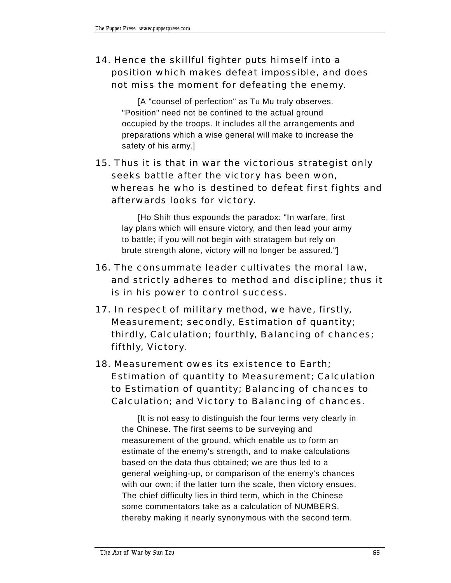# 14. Hence the skillful fighter puts himself into a position which makes defeat impossible, and does not miss the moment for defeating the enemy.

[A "counsel of perfection" as Tu Mu truly observes. "Position" need not be confined to the actual ground occupied by the troops. It includes all the arrangements and preparations which a wise general will make to increase the safety of his army.]

# 15. Thus it is that in war the victorious strategist only seeks battle after the victory has been won, whereas he who is destined to defeat first fights and afterwards looks for victory.

[Ho Shih thus expounds the paradox: "In warfare, first lay plans which will ensure victory, and then lead your army to battle; if you will not begin with stratagem but rely on brute strength alone, victory will no longer be assured."]

- 16. The consummate leader cultivates the moral law, and strictly adheres to method and discipline; thus it is in his power to control success.
- 17. In respect of military method, we have, firstly, Measurement; secondly, Estimation of quantity; thirdly, Calculation; fourthly, Balancing of chances; fifthly, Victory.
- 18. Measurement owes its existence to Earth; Estimation of quantity to Measurement; Calculation to Estimation of quantity; Balancing of chances to Calculation; and Victory to Balancing of chances.

[It is not easy to distinguish the four terms very clearly in the Chinese. The first seems to be surveying and measurement of the ground, which enable us to form an estimate of the enemy's strength, and to make calculations based on the data thus obtained; we are thus led to a general weighing-up, or comparison of the enemy's chances with our own; if the latter turn the scale, then victory ensues. The chief difficulty lies in third term, which in the Chinese some commentators take as a calculation of NUMBERS, thereby making it nearly synonymous with the second term.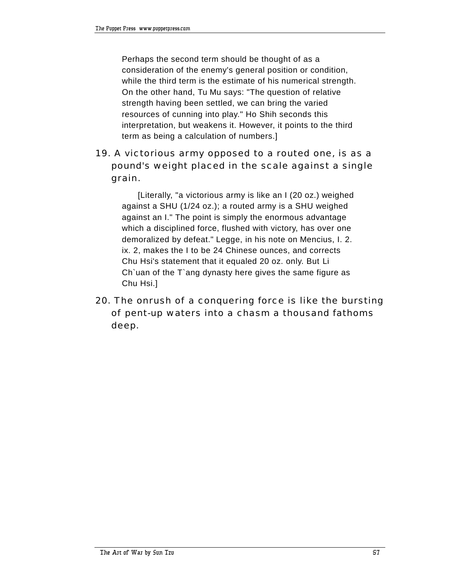Perhaps the second term should be thought of as a consideration of the enemy's general position or condition, while the third term is the estimate of his numerical strength. On the other hand, Tu Mu says: "The question of relative strength having been settled, we can bring the varied resources of cunning into play." Ho Shih seconds this interpretation, but weakens it. However, it points to the third term as being a calculation of numbers.]

# 19. A victorious army opposed to a routed one, is as a pound's weight placed in the scale against a single grain.

[Literally, "a victorious army is like an I (20 oz.) weighed against a SHU (1/24 oz.); a routed army is a SHU weighed against an I." The point is simply the enormous advantage which a disciplined force, flushed with victory, has over one demoralized by defeat." Legge, in his note on Mencius, I. 2. ix. 2, makes the I to be 24 Chinese ounces, and corrects Chu Hsi's statement that it equaled 20 oz. only. But Li Ch`uan of the T`ang dynasty here gives the same figure as Chu Hsi.]

20. The onrush of a conquering force is like the bursting of pent-up waters into a chasm a thousand fathoms deep.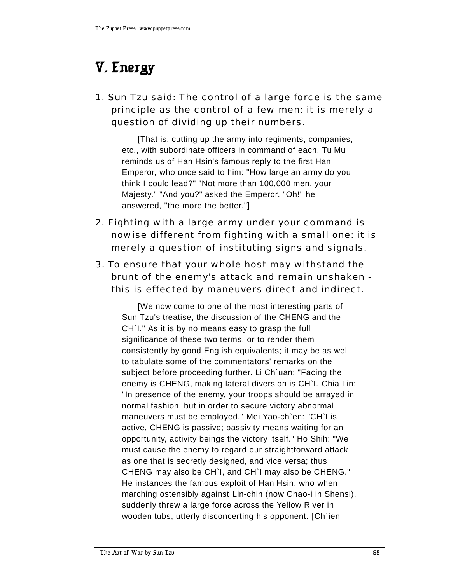# **V. Energy**

1. Sun Tzu said: The control of a large force is the same principle as the control of a few men: it is merely a question of dividing up their numbers.

[That is, cutting up the army into regiments, companies, etc., with subordinate officers in command of each. Tu Mu reminds us of Han Hsin's famous reply to the first Han Emperor, who once said to him: "How large an army do you think I could lead?" "Not more than 100,000 men, your Majesty." "And you?" asked the Emperor. "Oh!" he answered, "the more the better."]

- 2. Fighting with a large army under your command is nowise different from fighting with a small one: it is merely a question of instituting signs and signals.
- 3. To ensure that your whole host may withstand the brunt of the enemy's attack and remain unshaken this is effected by maneuvers direct and indirect.

[We now come to one of the most interesting parts of Sun Tzu's treatise, the discussion of the CHENG and the CH`I." As it is by no means easy to grasp the full significance of these two terms, or to render them consistently by good English equivalents; it may be as well to tabulate some of the commentators' remarks on the subject before proceeding further. Li Ch`uan: "Facing the enemy is CHENG, making lateral diversion is CH`I. Chia Lin: "In presence of the enemy, your troops should be arrayed in normal fashion, but in order to secure victory abnormal maneuvers must be employed." Mei Yao-ch`en: "CH`I is active, CHENG is passive; passivity means waiting for an opportunity, activity beings the victory itself." Ho Shih: "We must cause the enemy to regard our straightforward attack as one that is secretly designed, and vice versa; thus CHENG may also be CH`I, and CH`I may also be CHENG." He instances the famous exploit of Han Hsin, who when marching ostensibly against Lin-chin (now Chao-i in Shensi), suddenly threw a large force across the Yellow River in wooden tubs, utterly disconcerting his opponent. [Ch`ien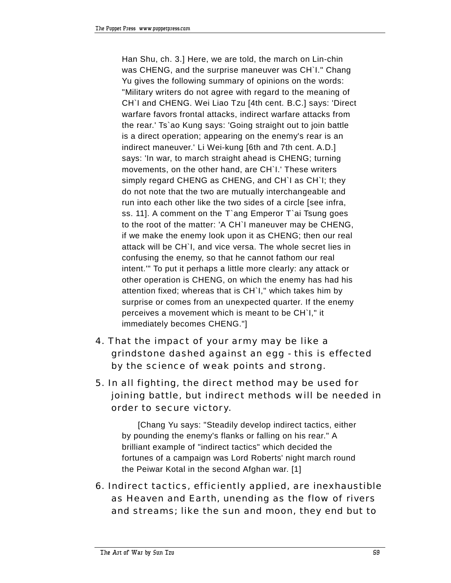Han Shu, ch. 3.] Here, we are told, the march on Lin-chin was CHENG, and the surprise maneuver was CH`I." Chang Yu gives the following summary of opinions on the words: "Military writers do not agree with regard to the meaning of CH`I and CHENG. Wei Liao Tzu [4th cent. B.C.] says: 'Direct warfare favors frontal attacks, indirect warfare attacks from the rear.' Ts`ao Kung says: 'Going straight out to join battle is a direct operation; appearing on the enemy's rear is an indirect maneuver.' Li Wei-kung [6th and 7th cent. A.D.] says: 'In war, to march straight ahead is CHENG; turning movements, on the other hand, are CH`I.' These writers simply regard CHENG as CHENG, and CH`I as CH`I; they do not note that the two are mutually interchangeable and run into each other like the two sides of a circle [see infra, ss. 11]. A comment on the T`ang Emperor T`ai Tsung goes to the root of the matter: 'A CH`I maneuver may be CHENG, if we make the enemy look upon it as CHENG; then our real attack will be CH`I, and vice versa. The whole secret lies in confusing the enemy, so that he cannot fathom our real intent.'" To put it perhaps a little more clearly: any attack or other operation is CHENG, on which the enemy has had his attention fixed; whereas that is CH`I," which takes him by surprise or comes from an unexpected quarter. If the enemy perceives a movement which is meant to be CH`I," it immediately becomes CHENG."]

- 4. That the impact of your army may be like a grindstone dashed against an egg - this is effected by the science of weak points and strong.
- 5. In all fighting, the direct method may be used for joining battle, but indirect methods will be needed in order to secure victory.

[Chang Yu says: "Steadily develop indirect tactics, either by pounding the enemy's flanks or falling on his rear." A brilliant example of "indirect tactics" which decided the fortunes of a campaign was Lord Roberts' night march round the Peiwar Kotal in the second Afghan war. [1]

6. Indirect tactics, efficiently applied, are inexhaustible as Heaven and Earth, unending as the flow of rivers and streams; like the sun and moon, they end but to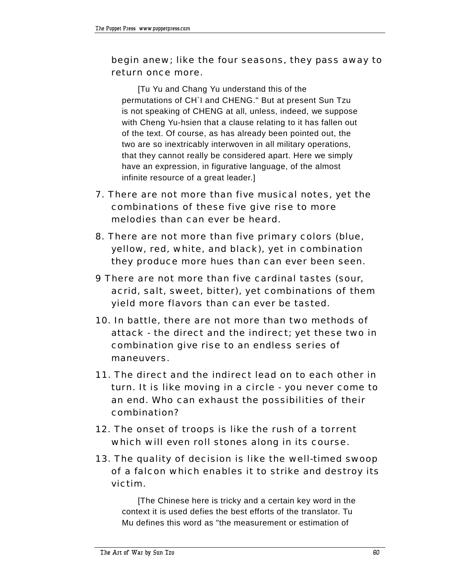### begin anew; like the four seasons, they pass away to return once more.

[Tu Yu and Chang Yu understand this of the permutations of CH`I and CHENG." But at present Sun Tzu is not speaking of CHENG at all, unless, indeed, we suppose with Cheng Yu-hsien that a clause relating to it has fallen out of the text. Of course, as has already been pointed out, the two are so inextricably interwoven in all military operations, that they cannot really be considered apart. Here we simply have an expression, in figurative language, of the almost infinite resource of a great leader.]

- 7. There are not more than five musical notes, yet the combinations of these five give rise to more melodies than can ever be heard.
- 8. There are not more than five primary colors (blue, yellow, red, white, and black), yet in combination they produce more hues than can ever been seen.
- 9 There are not more than five cardinal tastes (sour, acrid, salt, sweet, bitter), yet combinations of them yield more flavors than can ever be tasted.
- 10. In battle, there are not more than two methods of attack - the direct and the indirect; yet these two in combination give rise to an endless series of maneuvers.
- 11. The direct and the indirect lead on to each other in turn. It is like moving in a circle - you never come to an end. Who can exhaust the possibilities of their combination?
- 12. The onset of troops is like the rush of a torrent which will even roll stones along in its course.
- 13. The quality of decision is like the well-timed swoop of a falcon which enables it to strike and destroy its victim.

[The Chinese here is tricky and a certain key word in the context it is used defies the best efforts of the translator. Tu Mu defines this word as "the measurement or estimation of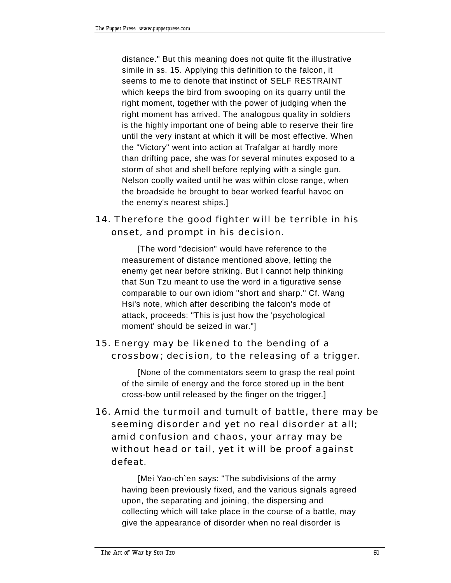distance." But this meaning does not quite fit the illustrative simile in ss. 15. Applying this definition to the falcon, it seems to me to denote that instinct of SELF RESTRAINT which keeps the bird from swooping on its quarry until the right moment, together with the power of judging when the right moment has arrived. The analogous quality in soldiers is the highly important one of being able to reserve their fire until the very instant at which it will be most effective. When the "Victory" went into action at Trafalgar at hardly more than drifting pace, she was for several minutes exposed to a storm of shot and shell before replying with a single gun. Nelson coolly waited until he was within close range, when the broadside he brought to bear worked fearful havoc on the enemy's nearest ships.]

# 14. Therefore the good fighter will be terrible in his onset, and prompt in his decision.

[The word "decision" would have reference to the measurement of distance mentioned above, letting the enemy get near before striking. But I cannot help thinking that Sun Tzu meant to use the word in a figurative sense comparable to our own idiom "short and sharp." Cf. Wang Hsi's note, which after describing the falcon's mode of attack, proceeds: "This is just how the 'psychological moment' should be seized in war."]

# 15. Energy may be likened to the bending of a crossbow; decision, to the releasing of a trigger.

[None of the commentators seem to grasp the real point of the simile of energy and the force stored up in the bent cross-bow until released by the finger on the trigger.]

16. Amid the turmoil and tumult of battle, there may be seeming disorder and yet no real disorder at all; amid confusion and chaos, your array may be without head or tail, yet it will be proof against defeat.

[Mei Yao-ch`en says: "The subdivisions of the army having been previously fixed, and the various signals agreed upon, the separating and joining, the dispersing and collecting which will take place in the course of a battle, may give the appearance of disorder when no real disorder is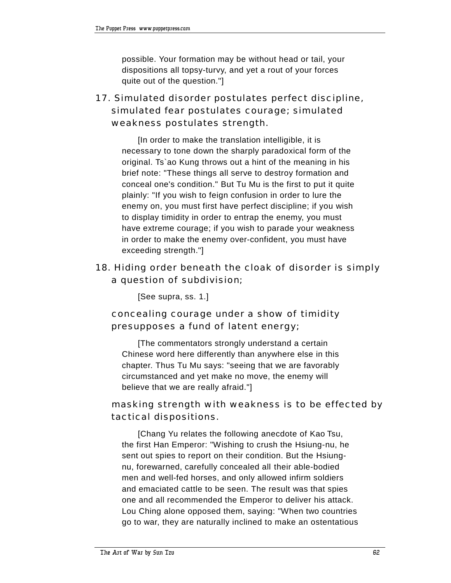possible. Your formation may be without head or tail, your dispositions all topsy-turvy, and yet a rout of your forces quite out of the question."]

# 17. Simulated disorder postulates perfect discipline, simulated fear postulates courage; simulated weakness postulates strength.

[In order to make the translation intelligible, it is necessary to tone down the sharply paradoxical form of the original. Ts`ao Kung throws out a hint of the meaning in his brief note: "These things all serve to destroy formation and conceal one's condition." But Tu Mu is the first to put it quite plainly: "If you wish to feign confusion in order to lure the enemy on, you must first have perfect discipline; if you wish to display timidity in order to entrap the enemy, you must have extreme courage; if you wish to parade your weakness in order to make the enemy over-confident, you must have exceeding strength."]

# 18. Hiding order beneath the cloak of disorder is simply a question of subdivision;

[See supra, ss. 1.]

# concealing courage under a show of timidity presupposes a fund of latent energy;

[The commentators strongly understand a certain Chinese word here differently than anywhere else in this chapter. Thus Tu Mu says: "seeing that we are favorably circumstanced and yet make no move, the enemy will believe that we are really afraid."]

# masking strength with weakness is to be effected by tactical dispositions.

[Chang Yu relates the following anecdote of Kao Tsu, the first Han Emperor: "Wishing to crush the Hsiung-nu, he sent out spies to report on their condition. But the Hsiungnu, forewarned, carefully concealed all their able-bodied men and well-fed horses, and only allowed infirm soldiers and emaciated cattle to be seen. The result was that spies one and all recommended the Emperor to deliver his attack. Lou Ching alone opposed them, saying: "When two countries go to war, they are naturally inclined to make an ostentatious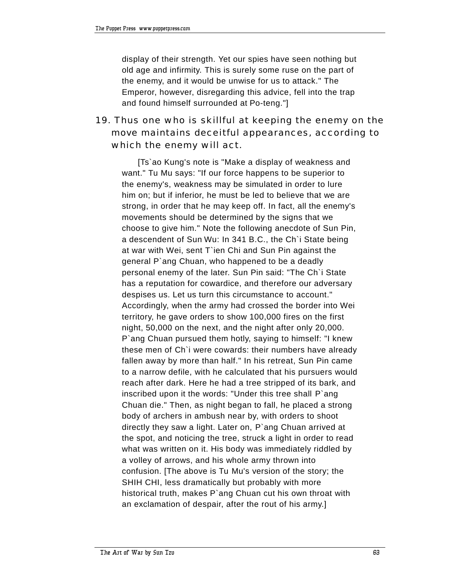display of their strength. Yet our spies have seen nothing but old age and infirmity. This is surely some ruse on the part of the enemy, and it would be unwise for us to attack." The Emperor, however, disregarding this advice, fell into the trap and found himself surrounded at Po-teng."]

# 19. Thus one who is skillful at keeping the enemy on the move maintains deceitful appearances, according to which the enemy will act.

[Ts`ao Kung's note is "Make a display of weakness and want." Tu Mu says: "If our force happens to be superior to the enemy's, weakness may be simulated in order to lure him on; but if inferior, he must be led to believe that we are strong, in order that he may keep off. In fact, all the enemy's movements should be determined by the signs that we choose to give him." Note the following anecdote of Sun Pin, a descendent of Sun Wu: In 341 B.C., the Ch`i State being at war with Wei, sent T`ien Chi and Sun Pin against the general P`ang Chuan, who happened to be a deadly personal enemy of the later. Sun Pin said: "The Ch`i State has a reputation for cowardice, and therefore our adversary despises us. Let us turn this circumstance to account." Accordingly, when the army had crossed the border into Wei territory, he gave orders to show 100,000 fires on the first night, 50,000 on the next, and the night after only 20,000. P`ang Chuan pursued them hotly, saying to himself: "I knew these men of Ch`i were cowards: their numbers have already fallen away by more than half." In his retreat, Sun Pin came to a narrow defile, with he calculated that his pursuers would reach after dark. Here he had a tree stripped of its bark, and inscribed upon it the words: "Under this tree shall P`ang Chuan die." Then, as night began to fall, he placed a strong body of archers in ambush near by, with orders to shoot directly they saw a light. Later on, P`ang Chuan arrived at the spot, and noticing the tree, struck a light in order to read what was written on it. His body was immediately riddled by a volley of arrows, and his whole army thrown into confusion. [The above is Tu Mu's version of the story; the SHIH CHI, less dramatically but probably with more historical truth, makes P`ang Chuan cut his own throat with an exclamation of despair, after the rout of his army.]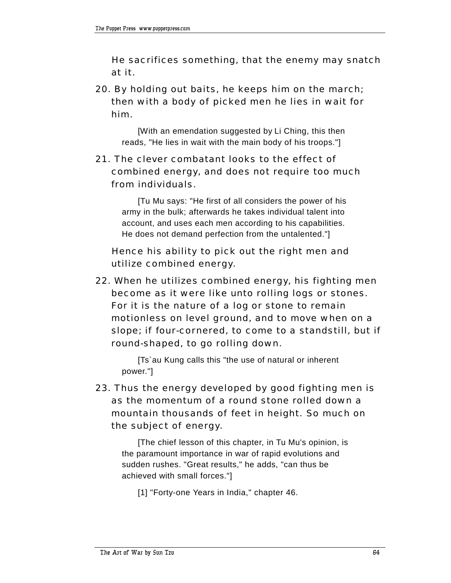He sacrifices something, that the enemy may snatch at it.

20. By holding out baits, he keeps him on the march; then with a body of picked men he lies in wait for him.

[With an emendation suggested by Li Ching, this then reads, "He lies in wait with the main body of his troops."]

# 21. The clever combatant looks to the effect of combined energy, and does not require too much from individuals.

[Tu Mu says: "He first of all considers the power of his army in the bulk; afterwards he takes individual talent into account, and uses each men according to his capabilities. He does not demand perfection from the untalented."]

 Hence his ability to pick out the right men and utilize combined energy.

22. When he utilizes combined energy, his fighting men become as it were like unto rolling logs or stones. For it is the nature of a log or stone to remain motionless on level ground, and to move when on a slope; if four-cornered, to come to a standstill, but if round-shaped, to go rolling down.

[Ts`au Kung calls this "the use of natural or inherent power."]

23. Thus the energy developed by good fighting men is as the momentum of a round stone rolled down a mountain thousands of feet in height. So much on the subject of energy.

[The chief lesson of this chapter, in Tu Mu's opinion, is the paramount importance in war of rapid evolutions and sudden rushes. "Great results," he adds, "can thus be achieved with small forces."]

[1] "Forty-one Years in India," chapter 46.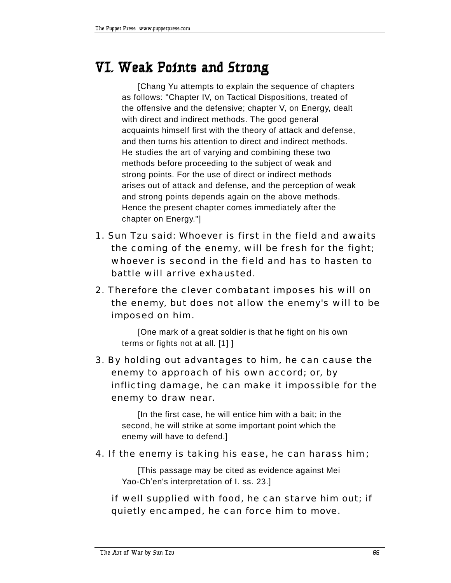# **VI. Weak Points and Strong**

[Chang Yu attempts to explain the sequence of chapters as follows: "Chapter IV, on Tactical Dispositions, treated of the offensive and the defensive; chapter V, on Energy, dealt with direct and indirect methods. The good general acquaints himself first with the theory of attack and defense, and then turns his attention to direct and indirect methods. He studies the art of varying and combining these two methods before proceeding to the subject of weak and strong points. For the use of direct or indirect methods arises out of attack and defense, and the perception of weak and strong points depends again on the above methods. Hence the present chapter comes immediately after the chapter on Energy."]

- 1. Sun Tzu said: Whoever is first in the field and awaits the coming of the enemy, will be fresh for the fight; whoever is second in the field and has to hasten to battle will arrive exhausted.
- 2. Therefore the clever combatant imposes his will on the enemy, but does not allow the enemy's will to be imposed on him.

[One mark of a great soldier is that he fight on his own terms or fights not at all. [1] ]

3. By holding out advantages to him, he can cause the enemy to approach of his own accord; or, by inflicting damage, he can make it impossible for the enemy to draw near.

[In the first case, he will entice him with a bait; in the second, he will strike at some important point which the enemy will have to defend.]

#### 4. If the enemy is taking his ease, he can harass him;

[This passage may be cited as evidence against Mei Yao-Ch'en's interpretation of I. ss. 23.]

 if well supplied with food, he can starve him out; if quietly encamped, he can force him to move.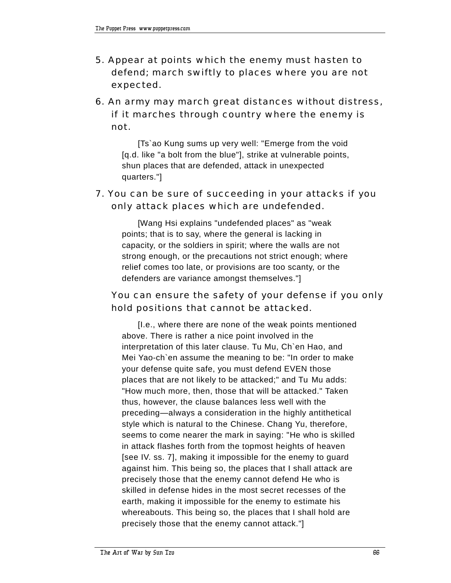- 5. Appear at points which the enemy must hasten to defend; march swiftly to places where you are not expected.
- 6. An army may march great distances without distress, if it marches through country where the enemy is not.

[Ts`ao Kung sums up very well: "Emerge from the void [q.d. like "a bolt from the blue"], strike at vulnerable points, shun places that are defended, attack in unexpected quarters."]

#### 7. You can be sure of succeeding in your attacks if you only attack places which are undefended.

[Wang Hsi explains "undefended places" as "weak points; that is to say, where the general is lacking in capacity, or the soldiers in spirit; where the walls are not strong enough, or the precautions not strict enough; where relief comes too late, or provisions are too scanty, or the defenders are variance amongst themselves."]

#### You can ensure the safety of your defense if you only hold positions that cannot be attacked.

[I.e., where there are none of the weak points mentioned above. There is rather a nice point involved in the interpretation of this later clause. Tu Mu, Ch`en Hao, and Mei Yao-ch`en assume the meaning to be: "In order to make your defense quite safe, you must defend EVEN those places that are not likely to be attacked;" and Tu Mu adds: "How much more, then, those that will be attacked." Taken thus, however, the clause balances less well with the preceding—always a consideration in the highly antithetical style which is natural to the Chinese. Chang Yu, therefore, seems to come nearer the mark in saying: "He who is skilled in attack flashes forth from the topmost heights of heaven [see IV. ss. 7], making it impossible for the enemy to guard against him. This being so, the places that I shall attack are precisely those that the enemy cannot defend He who is skilled in defense hides in the most secret recesses of the earth, making it impossible for the enemy to estimate his whereabouts. This being so, the places that I shall hold are precisely those that the enemy cannot attack."]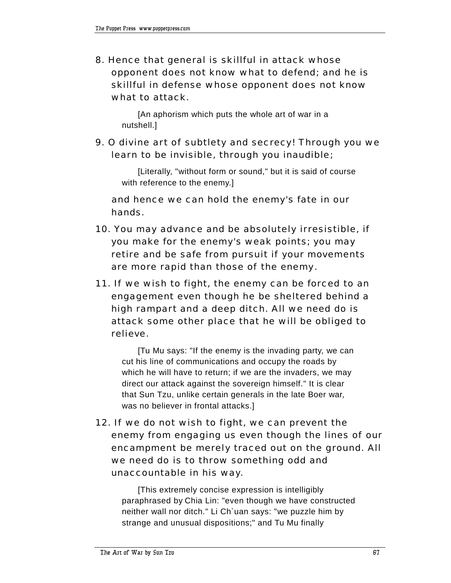8. Hence that general is skillful in attack whose opponent does not know what to defend; and he is skillful in defense whose opponent does not know what to attack.

[An aphorism which puts the whole art of war in a nutshell.]

9. O divine art of subtlety and secrecy! Through you we learn to be invisible, through you inaudible;

[Literally, "without form or sound," but it is said of course with reference to the enemy.]

 and hence we can hold the enemy's fate in our hands.

- 10. You may advance and be absolutely irresistible, if you make for the enemy's weak points; you may retire and be safe from pursuit if your movements are more rapid than those of the enemy.
- 11. If we wish to fight, the enemy can be forced to an engagement even though he be sheltered behind a high rampart and a deep ditch. All we need do is attack some other place that he will be obliged to relieve.

[Tu Mu says: "If the enemy is the invading party, we can cut his line of communications and occupy the roads by which he will have to return; if we are the invaders, we may direct our attack against the sovereign himself." It is clear that Sun Tzu, unlike certain generals in the late Boer war, was no believer in frontal attacks.]

12. If we do not wish to fight, we can prevent the enemy from engaging us even though the lines of our encampment be merely traced out on the ground. All we need do is to throw something odd and unaccountable in his way.

[This extremely concise expression is intelligibly paraphrased by Chia Lin: "even though we have constructed neither wall nor ditch." Li Ch`uan says: "we puzzle him by strange and unusual dispositions;" and Tu Mu finally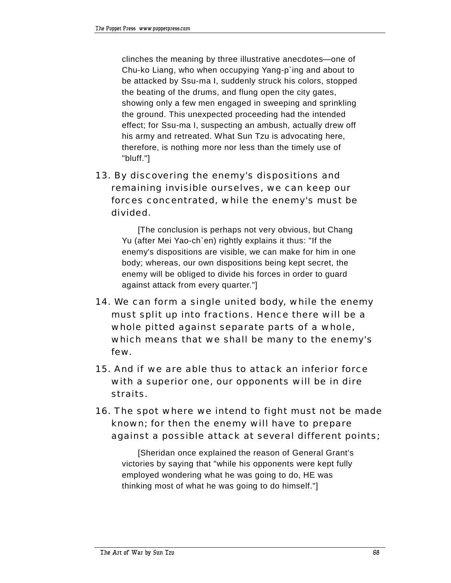clinches the meaning by three illustrative anecdotes—one of Chu-ko Liang, who when occupying Yang-p`ing and about to be attacked by Ssu-ma I, suddenly struck his colors, stopped the beating of the drums, and flung open the city gates, showing only a few men engaged in sweeping and sprinkling the ground. This unexpected proceeding had the intended effect; for Ssu-ma I, suspecting an ambush, actually drew off his army and retreated. What Sun Tzu is advocating here, therefore, is nothing more nor less than the timely use of "bluff."]

13. By discovering the enemy's dispositions and remaining invisible ourselves, we can keep our forces concentrated, while the enemy's must be divided.

[The conclusion is perhaps not very obvious, but Chang Yu (after Mei Yao-ch`en) rightly explains it thus: "If the enemy's dispositions are visible, we can make for him in one body; whereas, our own dispositions being kept secret, the enemy will be obliged to divide his forces in order to guard against attack from every quarter."]

- 14. We can form a single united body, while the enemy must split up into fractions. Hence there will be a whole pitted against separate parts of a whole, which means that we shall be many to the enemy's few.
- 15. And if we are able thus to attack an inferior force with a superior one, our opponents will be in dire straits.
- 16. The spot where we intend to fight must not be made known; for then the enemy will have to prepare against a possible attack at several different points;

[Sheridan once explained the reason of General Grant's victories by saying that "while his opponents were kept fully employed wondering what he was going to do, HE was thinking most of what he was going to do himself."]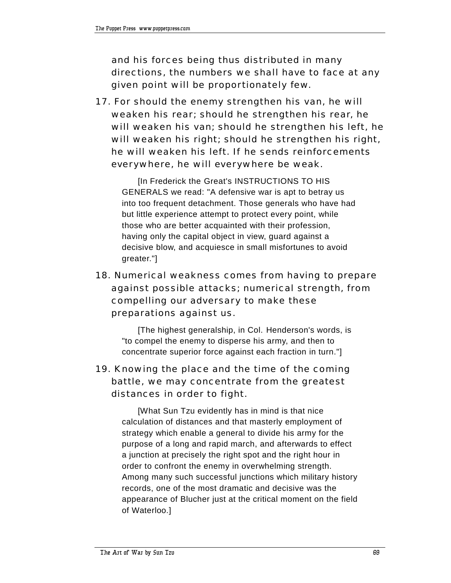and his forces being thus distributed in many directions, the numbers we shall have to face at any given point will be proportionately few.

17. For should the enemy strengthen his van, he will weaken his rear; should he strengthen his rear, he will weaken his van; should he strengthen his left, he will weaken his right; should he strengthen his right, he will weaken his left. If he sends reinforcements everywhere, he will everywhere be weak.

[In Frederick the Great's INSTRUCTIONS TO HIS GENERALS we read: "A defensive war is apt to betray us into too frequent detachment. Those generals who have had but little experience attempt to protect every point, while those who are better acquainted with their profession, having only the capital object in view, guard against a decisive blow, and acquiesce in small misfortunes to avoid greater."]

18. Numerical weakness comes from having to prepare against possible attacks; numerical strength, from compelling our adversary to make these preparations against us.

[The highest generalship, in Col. Henderson's words, is "to compel the enemy to disperse his army, and then to concentrate superior force against each fraction in turn."]

# 19. Knowing the place and the time of the coming battle, we may concentrate from the greatest distances in order to fight.

[What Sun Tzu evidently has in mind is that nice calculation of distances and that masterly employment of strategy which enable a general to divide his army for the purpose of a long and rapid march, and afterwards to effect a junction at precisely the right spot and the right hour in order to confront the enemy in overwhelming strength. Among many such successful junctions which military history records, one of the most dramatic and decisive was the appearance of Blucher just at the critical moment on the field of Waterloo.]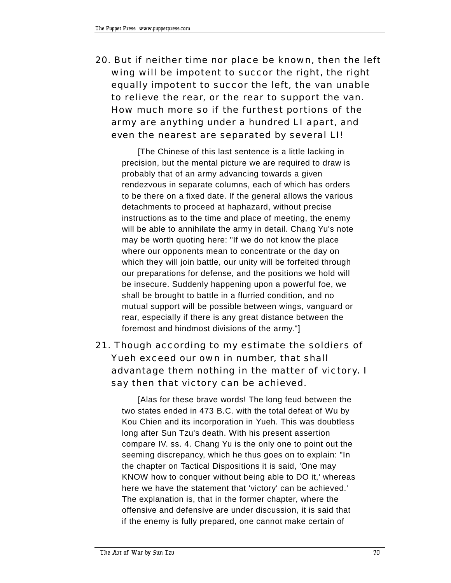20. But if neither time nor place be known, then the left wing will be impotent to succor the right, the right equally impotent to succor the left, the van unable to relieve the rear, or the rear to support the van. How much more so if the furthest portions of the army are anything under a hundred LI apart, and even the nearest are separated by several LI!

[The Chinese of this last sentence is a little lacking in precision, but the mental picture we are required to draw is probably that of an army advancing towards a given rendezvous in separate columns, each of which has orders to be there on a fixed date. If the general allows the various detachments to proceed at haphazard, without precise instructions as to the time and place of meeting, the enemy will be able to annihilate the army in detail. Chang Yu's note may be worth quoting here: "If we do not know the place where our opponents mean to concentrate or the day on which they will join battle, our unity will be forfeited through our preparations for defense, and the positions we hold will be insecure. Suddenly happening upon a powerful foe, we shall be brought to battle in a flurried condition, and no mutual support will be possible between wings, vanguard or rear, especially if there is any great distance between the foremost and hindmost divisions of the army."]

# 21. Though according to my estimate the soldiers of Yueh exceed our own in number, that shall advantage them nothing in the matter of victory. I say then that victory can be achieved.

[Alas for these brave words! The long feud between the two states ended in 473 B.C. with the total defeat of Wu by Kou Chien and its incorporation in Yueh. This was doubtless long after Sun Tzu's death. With his present assertion compare IV. ss. 4. Chang Yu is the only one to point out the seeming discrepancy, which he thus goes on to explain: "In the chapter on Tactical Dispositions it is said, 'One may KNOW how to conquer without being able to DO it,' whereas here we have the statement that 'victory' can be achieved.' The explanation is, that in the former chapter, where the offensive and defensive are under discussion, it is said that if the enemy is fully prepared, one cannot make certain of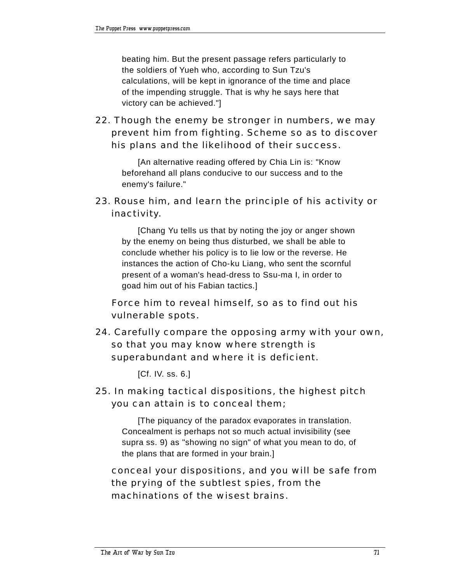beating him. But the present passage refers particularly to the soldiers of Yueh who, according to Sun Tzu's calculations, will be kept in ignorance of the time and place of the impending struggle. That is why he says here that victory can be achieved."]

22. Though the enemy be stronger in numbers, we may prevent him from fighting. Scheme so as to discover his plans and the likelihood of their success.

[An alternative reading offered by Chia Lin is: "Know beforehand all plans conducive to our success and to the enemy's failure."

23. Rouse him, and learn the principle of his activity or inactivity.

[Chang Yu tells us that by noting the joy or anger shown by the enemy on being thus disturbed, we shall be able to conclude whether his policy is to lie low or the reverse. He instances the action of Cho-ku Liang, who sent the scornful present of a woman's head-dress to Ssu-ma I, in order to goad him out of his Fabian tactics.]

 Force him to reveal himself, so as to find out his vulnerable spots.

24. Carefully compare the opposing army with your own, so that you may know where strength is superabundant and where it is deficient.

[Cf. IV. ss. 6.]

25. In making tactical dispositions, the highest pitch you can attain is to conceal them;

[The piquancy of the paradox evaporates in translation. Concealment is perhaps not so much actual invisibility (see supra ss. 9) as "showing no sign" of what you mean to do, of the plans that are formed in your brain.]

 conceal your dispositions, and you will be safe from the prying of the subtlest spies, from the machinations of the wisest brains.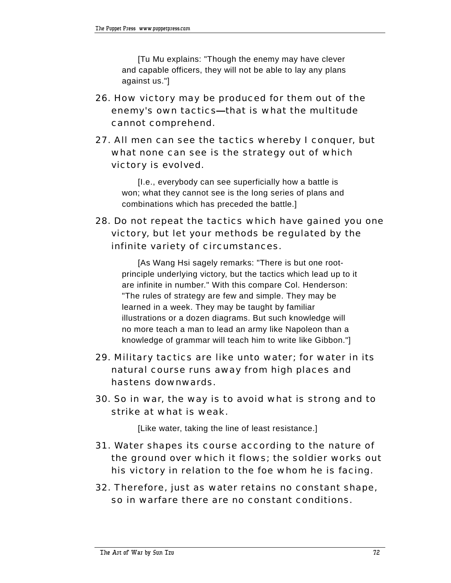[Tu Mu explains: "Though the enemy may have clever and capable officers, they will not be able to lay any plans against us."]

- 26. How victory may be produced for them out of the enemy's own tactics-that is what the multitude cannot comprehend.
- 27. All men can see the tactics whereby I conquer, but what none can see is the strategy out of which victory is evolved.

[I.e., everybody can see superficially how a battle is won; what they cannot see is the long series of plans and combinations which has preceded the battle.]

28. Do not repeat the tactics which have gained you one victory, but let your methods be regulated by the infinite variety of circumstances.

[As Wang Hsi sagely remarks: "There is but one rootprinciple underlying victory, but the tactics which lead up to it are infinite in number." With this compare Col. Henderson: "The rules of strategy are few and simple. They may be learned in a week. They may be taught by familiar illustrations or a dozen diagrams. But such knowledge will no more teach a man to lead an army like Napoleon than a knowledge of grammar will teach him to write like Gibbon."]

- 29. Military tactics are like unto water; for water in its natural course runs away from high places and hastens downwards.
- 30. So in war, the way is to avoid what is strong and to strike at what is weak.

[Like water, taking the line of least resistance.]

- 31. Water shapes its course according to the nature of the ground over which it flows; the soldier works out his victory in relation to the foe whom he is facing.
- 32. Therefore, just as water retains no constant shape, so in warfare there are no constant conditions.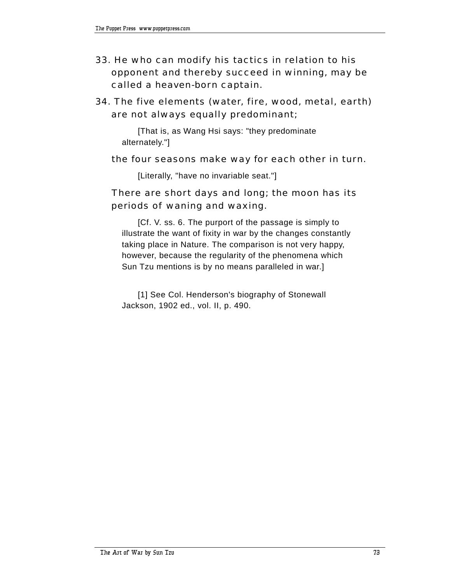- 33. He who can modify his tactics in relation to his opponent and thereby succeed in winning, may be called a heaven-born captain.
- 34. The five elements (water, fire, wood, metal, earth) are not always equally predominant;

[That is, as Wang Hsi says: "they predominate alternately."]

#### the four seasons make way for each other in turn.

[Literally, "have no invariable seat."]

## There are short days and long; the moon has its periods of waning and waxing.

[Cf. V. ss. 6. The purport of the passage is simply to illustrate the want of fixity in war by the changes constantly taking place in Nature. The comparison is not very happy, however, because the regularity of the phenomena which Sun Tzu mentions is by no means paralleled in war.]

[1] See Col. Henderson's biography of Stonewall Jackson, 1902 ed., vol. II, p. 490.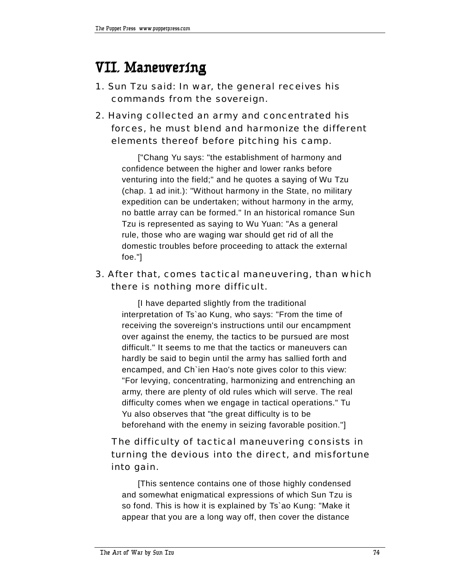# **VII. Maneuvering**

- 1. Sun Tzu said: In war, the general receives his commands from the sovereign.
- 2. Having collected an army and concentrated his forces, he must blend and harmonize the different elements thereof before pitching his camp.

["Chang Yu says: "the establishment of harmony and confidence between the higher and lower ranks before venturing into the field;" and he quotes a saying of Wu Tzu (chap. 1 ad init.): "Without harmony in the State, no military expedition can be undertaken; without harmony in the army, no battle array can be formed." In an historical romance Sun Tzu is represented as saying to Wu Yuan: "As a general rule, those who are waging war should get rid of all the domestic troubles before proceeding to attack the external foe."]

# 3. After that, comes tactical maneuvering, than which there is nothing more difficult.

[I have departed slightly from the traditional interpretation of Ts`ao Kung, who says: "From the time of receiving the sovereign's instructions until our encampment over against the enemy, the tactics to be pursued are most difficult." It seems to me that the tactics or maneuvers can hardly be said to begin until the army has sallied forth and encamped, and Ch`ien Hao's note gives color to this view: "For levying, concentrating, harmonizing and entrenching an army, there are plenty of old rules which will serve. The real difficulty comes when we engage in tactical operations." Tu Yu also observes that "the great difficulty is to be beforehand with the enemy in seizing favorable position."]

# The difficulty of tactical maneuvering consists in turning the devious into the direct, and misfortune into gain.

[This sentence contains one of those highly condensed and somewhat enigmatical expressions of which Sun Tzu is so fond. This is how it is explained by Ts`ao Kung: "Make it appear that you are a long way off, then cover the distance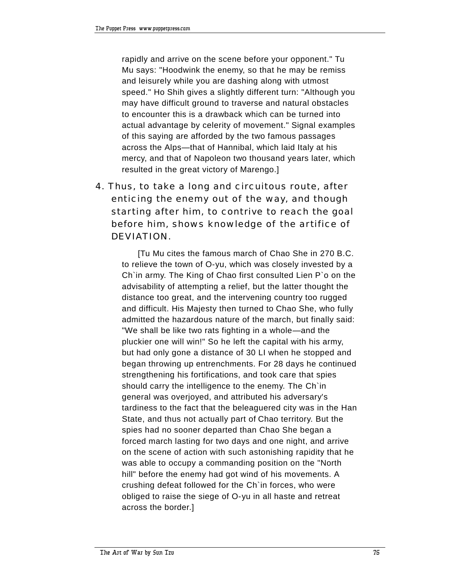rapidly and arrive on the scene before your opponent." Tu Mu says: "Hoodwink the enemy, so that he may be remiss and leisurely while you are dashing along with utmost speed." Ho Shih gives a slightly different turn: "Although you may have difficult ground to traverse and natural obstacles to encounter this is a drawback which can be turned into actual advantage by celerity of movement." Signal examples of this saying are afforded by the two famous passages across the Alps- that of Hannibal, which laid Italy at his mercy, and that of Napoleon two thousand years later, which resulted in the great victory of Marengo.]

4. Thus, to take a long and circuitous route, after enticing the enemy out of the way, and though starting after him, to contrive to reach the goal before him, shows knowledge of the artifice of DEVIATION.

[Tu Mu cites the famous march of Chao She in 270 B.C. to relieve the town of O-yu, which was closely invested by a Ch`in army. The King of Chao first consulted Lien P`o on the advisability of attempting a relief, but the latter thought the distance too great, and the intervening country too rugged and difficult. His Majesty then turned to Chao She, who fully admitted the hazardous nature of the march, but finally said: "We shall be like two rats fighting in a whole—and the pluckier one will win!" So he left the capital with his army, but had only gone a distance of 30 LI when he stopped and began throwing up entrenchments. For 28 days he continued strengthening his fortifications, and took care that spies should carry the intelligence to the enemy. The Ch`in general was overjoyed, and attributed his adversary's tardiness to the fact that the beleaguered city was in the Han State, and thus not actually part of Chao territory. But the spies had no sooner departed than Chao She began a forced march lasting for two days and one night, and arrive on the scene of action with such astonishing rapidity that he was able to occupy a commanding position on the "North hill" before the enemy had got wind of his movements. A crushing defeat followed for the Ch`in forces, who were obliged to raise the siege of O-yu in all haste and retreat across the border.]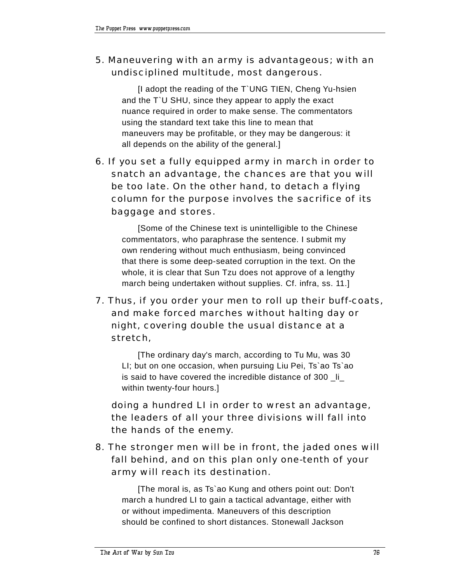# 5. Maneuvering with an army is advantageous; with an undisciplined multitude, most dangerous.

[I adopt the reading of the T`UNG TIEN, Cheng Yu-hsien and the T`U SHU, since they appear to apply the exact nuance required in order to make sense. The commentators using the standard text take this line to mean that maneuvers may be profitable, or they may be dangerous: it all depends on the ability of the general.]

6. If you set a fully equipped army in march in order to snatch an advantage, the chances are that you will be too late. On the other hand, to detach a flying column for the purpose involves the sacrifice of its baggage and stores.

[Some of the Chinese text is unintelligible to the Chinese commentators, who paraphrase the sentence. I submit my own rendering without much enthusiasm, being convinced that there is some deep-seated corruption in the text. On the whole, it is clear that Sun Tzu does not approve of a lengthy march being undertaken without supplies. Cf. infra, ss. 11.]

7. Thus, if you order your men to roll up their buff-coats, and make forced marches without halting day or night, covering double the usual distance at a stretch,

[The ordinary day's march, according to Tu Mu, was 30 LI; but on one occasion, when pursuing Liu Pei, Ts`ao Ts`ao is said to have covered the incredible distance of 300 li within twenty-four hours.]

 doing a hundred LI in order to wrest an advantage, the leaders of all your three divisions will fall into the hands of the enemy.

8. The stronger men will be in front, the jaded ones will fall behind, and on this plan only one-tenth of your army will reach its destination.

[The moral is, as Ts`ao Kung and others point out: Don't march a hundred LI to gain a tactical advantage, either with or without impedimenta. Maneuvers of this description should be confined to short distances. Stonewall Jackson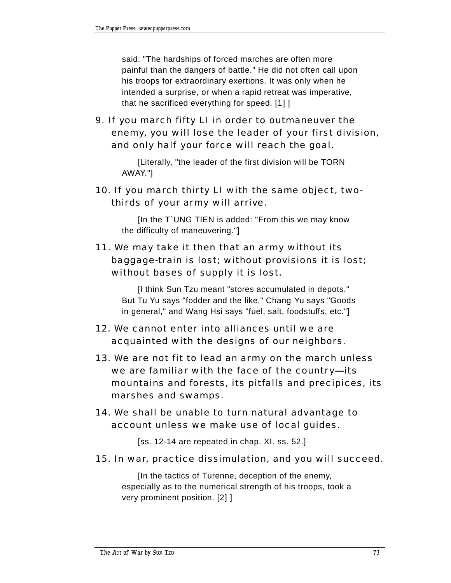said: "The hardships of forced marches are often more painful than the dangers of battle." He did not often call upon his troops for extraordinary exertions. It was only when he intended a surprise, or when a rapid retreat was imperative, that he sacrificed everything for speed. [1] ]

9. If you march fifty LI in order to outmaneuver the enemy, you will lose the leader of your first division, and only half your force will reach the goal.

[Literally, "the leader of the first division will be TORN AWAY."]

10. If you march thirty LI with the same object, twothirds of your army will arrive.

[In the T`UNG TIEN is added: "From this we may know the difficulty of maneuvering."]

# 11. We may take it then that an army without its baggage-train is lost; without provisions it is lost; without bases of supply it is lost.

[I think Sun Tzu meant "stores accumulated in depots." But Tu Yu says "fodder and the like," Chang Yu says "Goods in general," and Wang Hsi says "fuel, salt, foodstuffs, etc."]

- 12. We cannot enter into alliances until we are acquainted with the designs of our neighbors.
- 13. We are not fit to lead an army on the march unless we are familiar with the face of the country-its mountains and forests, its pitfalls and precipices, its marshes and swamps.
- 14. We shall be unable to turn natural advantage to account unless we make use of local guides.

[ss. 12-14 are repeated in chap. XI. ss. 52.]

15. In war, practice dissimulation, and you will succeed.

[In the tactics of Turenne, deception of the enemy, especially as to the numerical strength of his troops, took a very prominent position. [2] ]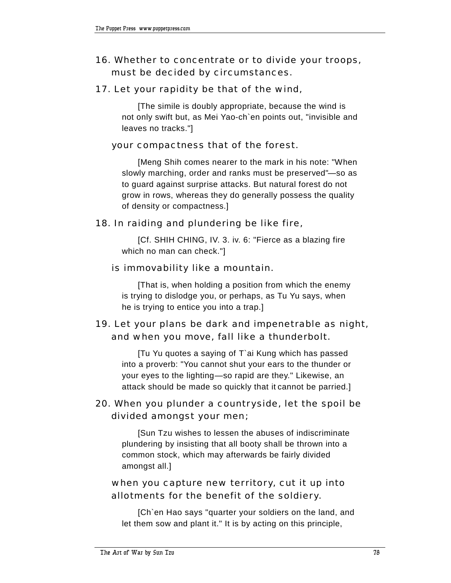# 16. Whether to concentrate or to divide your troops, must be decided by circumstances.

## 17. Let your rapidity be that of the wind,

[The simile is doubly appropriate, because the wind is not only swift but, as Mei Yao-ch`en points out, "invisible and leaves no tracks."]

## your compactness that of the forest.

[Meng Shih comes nearer to the mark in his note: "When slowly marching, order and ranks must be preserved"-so as to guard against surprise attacks. But natural forest do not grow in rows, whereas they do generally possess the quality of density or compactness.]

## 18. In raiding and plundering be like fire,

[Cf. SHIH CHING, IV. 3. iv. 6: "Fierce as a blazing fire which no man can check."]

## is immovability like a mountain.

[That is, when holding a position from which the enemy is trying to dislodge you, or perhaps, as Tu Yu says, when he is trying to entice you into a trap.]

# 19. Let your plans be dark and impenetrable as night, and when you move, fall like a thunderbolt.

[Tu Yu quotes a saying of T`ai Kung which has passed into a proverb: "You cannot shut your ears to the thunder or your eyes to the lighting-so rapid are they." Likewise, an attack should be made so quickly that it cannot be parried.]

## 20. When you plunder a countryside, let the spoil be divided amongst your men;

[Sun Tzu wishes to lessen the abuses of indiscriminate plundering by insisting that all booty shall be thrown into a common stock, which may afterwards be fairly divided amongst all.]

## when you capture new territory, cut it up into allotments for the benefit of the soldiery.

[Ch`en Hao says "quarter your soldiers on the land, and let them sow and plant it." It is by acting on this principle,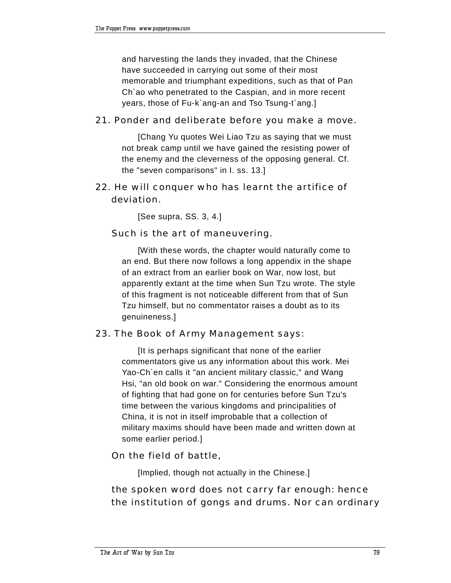and harvesting the lands they invaded, that the Chinese have succeeded in carrying out some of their most memorable and triumphant expeditions, such as that of Pan Ch`ao who penetrated to the Caspian, and in more recent years, those of Fu-k`ang-an and Tso Tsung-t`ang.]

### 21. Ponder and deliberate before you make a move.

[Chang Yu quotes Wei Liao Tzu as saying that we must not break camp until we have gained the resisting power of the enemy and the cleverness of the opposing general. Cf. the "seven comparisons" in I. ss. 13.]

## 22. He will conquer who has learnt the artifice of deviation.

[See supra, SS. 3, 4.]

### Such is the art of maneuvering.

[With these words, the chapter would naturally come to an end. But there now follows a long appendix in the shape of an extract from an earlier book on War, now lost, but apparently extant at the time when Sun Tzu wrote. The style of this fragment is not noticeable different from that of Sun Tzu himself, but no commentator raises a doubt as to its genuineness.]

#### 23. The Book of Army Management says:

[It is perhaps significant that none of the earlier commentators give us any information about this work. Mei Yao-Ch`en calls it "an ancient military classic," and Wang Hsi, "an old book on war." Considering the enormous amount of fighting that had gone on for centuries before Sun Tzu's time between the various kingdoms and principalities of China, it is not in itself improbable that a collection of military maxims should have been made and written down at some earlier period.]

#### On the field of battle,

[Implied, though not actually in the Chinese.]

## the spoken word does not carry far enough: hence the institution of gongs and drums. Nor can ordinary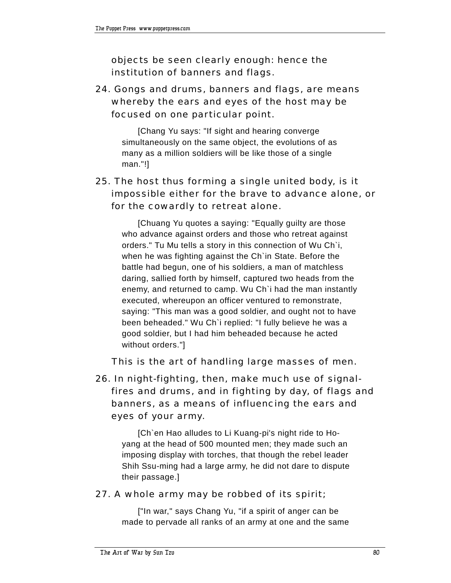objects be seen clearly enough: hence the institution of banners and flags.

# 24. Gongs and drums, banners and flags, are means whereby the ears and eyes of the host may be focused on one particular point.

[Chang Yu says: "If sight and hearing converge simultaneously on the same object, the evolutions of as many as a million soldiers will be like those of a single man."!]

# 25. The host thus forming a single united body, is it impossible either for the brave to advance alone, or for the cowardly to retreat alone.

[Chuang Yu quotes a saying: "Equally guilty are those who advance against orders and those who retreat against orders." Tu Mu tells a story in this connection of Wu Ch`i, when he was fighting against the Ch`in State. Before the battle had begun, one of his soldiers, a man of matchless daring, sallied forth by himself, captured two heads from the enemy, and returned to camp. Wu Ch`i had the man instantly executed, whereupon an officer ventured to remonstrate, saying: "This man was a good soldier, and ought not to have been beheaded." Wu Ch`i replied: "I fully believe he was a good soldier, but I had him beheaded because he acted without orders."]

This is the art of handling large masses of men.

26. In night-fighting, then, make much use of signalfires and drums, and in fighting by day, of flags and banners, as a means of influencing the ears and eyes of your army.

[Ch`en Hao alludes to Li Kuang-pi's night ride to Hoyang at the head of 500 mounted men; they made such an imposing display with torches, that though the rebel leader Shih Ssu-ming had a large army, he did not dare to dispute their passage.]

## 27. A whole army may be robbed of its spirit;

["In war," says Chang Yu, "if a spirit of anger can be made to pervade all ranks of an army at one and the same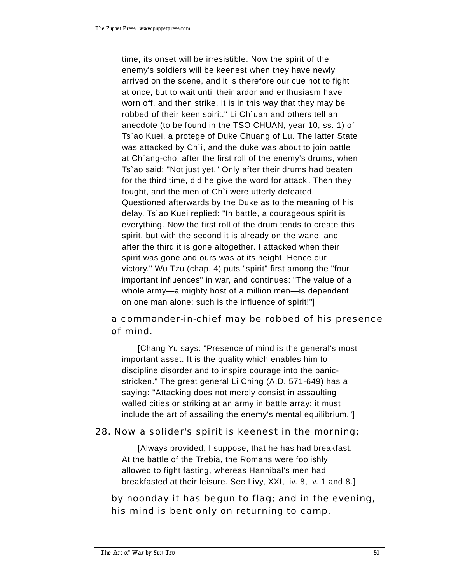time, its onset will be irresistible. Now the spirit of the enemy's soldiers will be keenest when they have newly arrived on the scene, and it is therefore our cue not to fight at once, but to wait until their ardor and enthusiasm have worn off, and then strike. It is in this way that they may be robbed of their keen spirit." Li Ch`uan and others tell an anecdote (to be found in the TSO CHUAN, year 10, ss. 1) of Ts`ao Kuei, a protege of Duke Chuang of Lu. The latter State was attacked by Ch`i, and the duke was about to join battle at Ch`ang-cho, after the first roll of the enemy's drums, when Ts`ao said: "Not just yet." Only after their drums had beaten for the third time, did he give the word for attack . Then they fought, and the men of Ch`i were utterly defeated. Questioned afterwards by the Duke as to the meaning of his delay, Ts`ao Kuei replied: "In battle, a courageous spirit is everything. Now the first roll of the drum tends to create this spirit, but with the second it is already on the wane, and after the third it is gone altogether. I attacked when their spirit was gone and ours was at its height. Hence our victory." Wu Tzu (chap. 4) puts "spirit" first among the "four important influences" in war, and continues: "The value of a whole army-a mighty host of a million men- is dependent on one man alone: such is the influence of spirit!"]

# a commander-in-chief may be robbed of his presence of mind.

[Chang Yu says: "Presence of mind is the general's most important asset. It is the quality which enables him to discipline disorder and to inspire courage into the panicstricken." The great general Li Ching (A.D. 571-649) has a saying: "Attacking does not merely consist in assaulting walled cities or striking at an army in battle array; it must include the art of assailing the enemy's mental equilibrium."]

## 28. Now a solider's spirit is keenest in the morning;

[Always provided, I suppose, that he has had breakfast. At the battle of the Trebia, the Romans were foolishly allowed to fight fasting, whereas Hannibal's men had breakfasted at their leisure. See Livy, XXI, liv. 8, lv. 1 and 8.]

 by noonday it has begun to flag; and in the evening, his mind is bent only on returning to camp.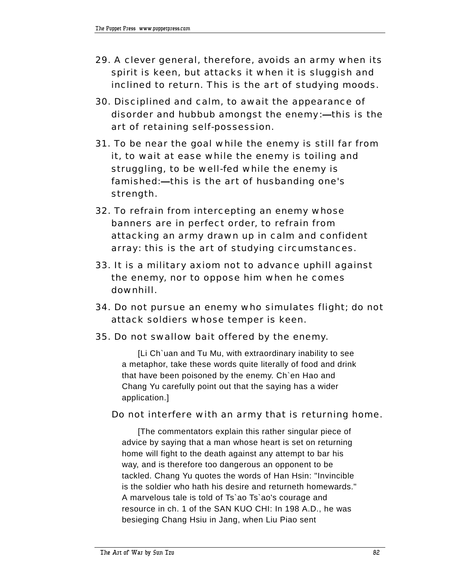- 29. A clever general, therefore, avoids an army when its spirit is keen, but attacks it when it is sluggish and inclined to return. This is the art of studying moods.
- 30. Disciplined and calm, to await the appearance of disorder and hubbub amongst the enemy:- this is the art of retaining self-possession.
- 31. To be near the goal while the enemy is still far from it, to wait at ease while the enemy is toiling and struggling, to be well-fed while the enemy is famished:—this is the art of husbanding one's strength.
- 32. To refrain from intercepting an enemy whose banners are in perfect order, to refrain from attacking an army drawn up in calm and confident array: this is the art of studying circumstances.
- 33. It is a military axiom not to advance uphill against the enemy, nor to oppose him when he comes downhill.
- 34. Do not pursue an enemy who simulates flight; do not attack soldiers whose temper is keen.
- 35. Do not swallow bait offered by the enemy.

[Li Ch`uan and Tu Mu, with extraordinary inability to see a metaphor, take these words quite literally of food and drink that have been poisoned by the enemy. Ch`en Hao and Chang Yu carefully point out that the saying has a wider application.]

## Do not interfere with an army that is returning home.

[The commentators explain this rather singular piece of advice by saying that a man whose heart is set on returning home will fight to the death against any attempt to bar his way, and is therefore too dangerous an opponent to be tackled. Chang Yu quotes the words of Han Hsin: "Invincible is the soldier who hath his desire and returneth homewards." A marvelous tale is told of Ts`ao Ts`ao's courage and resource in ch. 1 of the SAN KUO CHI: In 198 A.D., he was besieging Chang Hsiu in Jang, when Liu Piao sent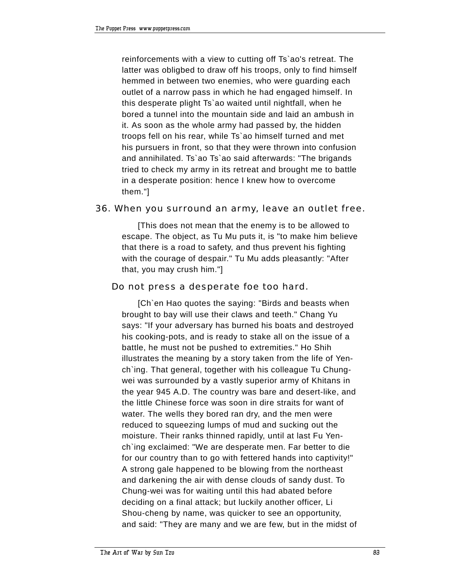reinforcements with a view to cutting off Ts`ao's retreat. The latter was obligbed to draw off his troops, only to find himself hemmed in between two enemies, who were guarding each outlet of a narrow pass in which he had engaged himself. In this desperate plight Ts`ao waited until nightfall, when he bored a tunnel into the mountain side and laid an ambush in it. As soon as the whole army had passed by, the hidden troops fell on his rear, while Ts`ao himself turned and met his pursuers in front, so that they were thrown into confusion and annihilated. Ts`ao Ts`ao said afterwards: "The brigands tried to check my army in its retreat and brought me to battle in a desperate position: hence I knew how to overcome them."]

#### 36. When you surround an army, leave an outlet free.

[This does not mean that the enemy is to be allowed to escape. The object, as Tu Mu puts it, is "to make him believe that there is a road to safety, and thus prevent his fighting with the courage of despair." Tu Mu adds pleasantly: "After that, you may crush him."]

#### Do not press a desperate foe too hard.

[Ch`en Hao quotes the saying: "Birds and beasts when brought to bay will use their claws and teeth." Chang Yu says: "If your adversary has burned his boats and destroyed his cooking-pots, and is ready to stake all on the issue of a battle, he must not be pushed to extremities." Ho Shih illustrates the meaning by a story taken from the life of Yench`ing. That general, together with his colleague Tu Chungwei was surrounded by a vastly superior army of Khitans in the year 945 A.D. The country was bare and desert-like, and the little Chinese force was soon in dire straits for want of water. The wells they bored ran dry, and the men were reduced to squeezing lumps of mud and sucking out the moisture. Their ranks thinned rapidly, until at last Fu Yench`ing exclaimed: "We are desperate men. Far better to die for our country than to go with fettered hands into captivity!" A strong gale happened to be blowing from the northeast and darkening the air with dense clouds of sandy dust. To Chung-wei was for waiting until this had abated before deciding on a final attack; but luckily another officer, Li Shou-cheng by name, was quicker to see an opportunity, and said: "They are many and we are few, but in the midst of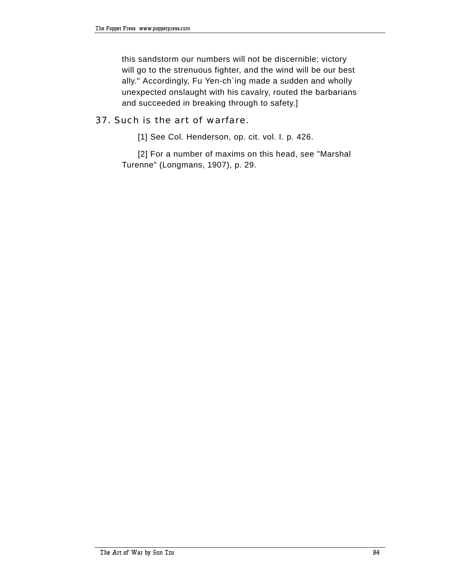this sandstorm our numbers will not be discernible; victory will go to the strenuous fighter, and the wind will be our best ally." Accordingly, Fu Yen-ch`ing made a sudden and wholly unexpected onslaught with his cavalry, routed the barbarians and succeeded in breaking through to safety.]

#### 37. Such is the art of warfare.

[1] See Col. Henderson, op. cit. vol. I. p. 426.

[2] For a number of maxims on this head, see "Marshal Turenne" (Longmans, 1907), p. 29.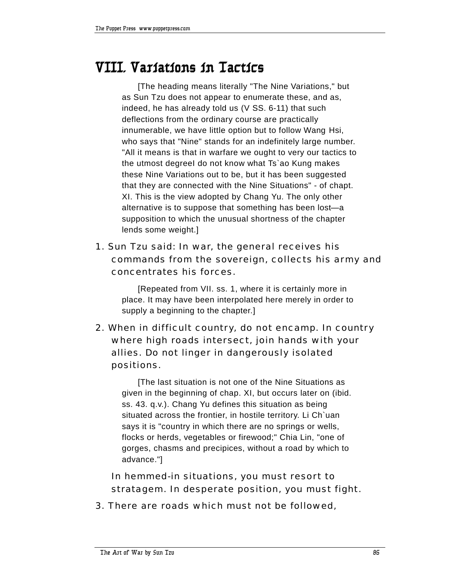# **VIII. Variations in Tactics**

[The heading means literally "The Nine Variations," but as Sun Tzu does not appear to enumerate these, and as, indeed, he has already told us (V SS. 6-11) that such deflections from the ordinary course are practically innumerable, we have little option but to follow Wang Hsi, who says that "Nine" stands for an indefinitely large number. "All it means is that in warfare we ought to very our tactics to the utmost degreeI do not know what Ts`ao Kung makes these Nine Variations out to be, but it has been suggested that they are connected with the Nine Situations" - of chapt. XI. This is the view adopted by Chang Yu. The only other alternative is to suppose that something has been lost-a supposition to which the unusual shortness of the chapter lends some weight.]

1. Sun Tzu said: In war, the general receives his commands from the sovereign, collects his army and concentrates his forces.

[Repeated from VII. ss. 1, where it is certainly more in place. It may have been interpolated here merely in order to supply a beginning to the chapter.]

2. When in difficult country, do not encamp. In country where high roads intersect, join hands with your allies. Do not linger in dangerously isolated positions.

[The last situation is not one of the Nine Situations as given in the beginning of chap. XI, but occurs later on (ibid. ss. 43. q.v.). Chang Yu defines this situation as being situated across the frontier, in hostile territory. Li Ch`uan says it is "country in which there are no springs or wells, flocks or herds, vegetables or firewood;" Chia Lin, "one of gorges, chasms and precipices, without a road by which to advance."]

 In hemmed-in situations, you must resort to stratagem. In desperate position, you must fight.

3. There are roads which must not be followed,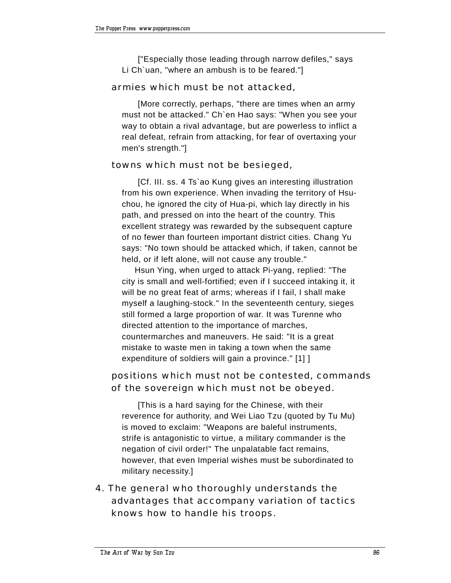["Especially those leading through narrow defiles," says Li Ch`uan, "where an ambush is to be feared."]

### armies which must be not attacked,

[More correctly, perhaps, "there are times when an army must not be attacked." Ch`en Hao says: "When you see your way to obtain a rival advantage, but are powerless to inflict a real defeat, refrain from attacking, for fear of overtaxing your men's strength."]

### towns which must not be besieged,

[Cf. III. ss. 4 Ts`ao Kung gives an interesting illustration from his own experience. When invading the territory of Hsuchou, he ignored the city of Hua-pi, which lay directly in his path, and pressed on into the heart of the country. This excellent strategy was rewarded by the subsequent capture of no fewer than fourteen important district cities. Chang Yu says: "No town should be attacked which, if taken, cannot be held, or if left alone, will not cause any trouble."

 Hsun Ying, when urged to attack Pi-yang, replied: "The city is small and well-fortified; even if I succeed intaking it, it will be no great feat of arms; whereas if I fail, I shall make myself a laughing-stock." In the seventeenth century, sieges still formed a large proportion of war. It was Turenne who directed attention to the importance of marches, countermarches and maneuvers. He said: "It is a great mistake to waste men in taking a town when the same expenditure of soldiers will gain a province." [1] ]

## positions which must not be contested, commands of the sovereign which must not be obeyed.

[This is a hard saying for the Chinese, with their reverence for authority, and Wei Liao Tzu (quoted by Tu Mu) is moved to exclaim: "Weapons are baleful instruments, strife is antagonistic to virtue, a military commander is the negation of civil order!" The unpalatable fact remains, however, that even Imperial wishes must be subordinated to military necessity.]

4. The general who thoroughly understands the advantages that accompany variation of tactics knows how to handle his troops.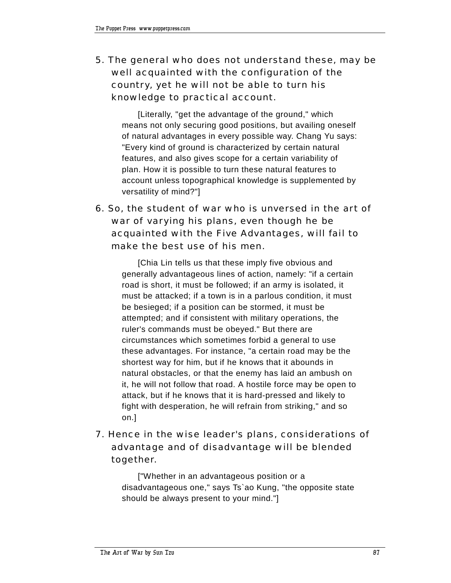5. The general who does not understand these, may be well acquainted with the configuration of the country, yet he will not be able to turn his knowledge to practical account.

[Literally, "get the advantage of the ground," which means not only securing good positions, but availing oneself of natural advantages in every possible way. Chang Yu says: "Every kind of ground is characterized by certain natural features, and also gives scope for a certain variability of plan. How it is possible to turn these natural features to account unless topographical knowledge is supplemented by versatility of mind?"]

6. So, the student of war who is unversed in the art of war of varying his plans, even though he be acquainted with the Five Advantages, will fail to make the best use of his men.

[Chia Lin tells us that these imply five obvious and generally advantageous lines of action, namely: "if a certain road is short, it must be followed; if an army is isolated, it must be attacked; if a town is in a parlous condition, it must be besieged; if a position can be stormed, it must be attempted; and if consistent with military operations, the ruler's commands must be obeyed." But there are circumstances which sometimes forbid a general to use these advantages. For instance, "a certain road may be the shortest way for him, but if he knows that it abounds in natural obstacles, or that the enemy has laid an ambush on it, he will not follow that road. A hostile force may be open to attack, but if he knows that it is hard-pressed and likely to fight with desperation, he will refrain from striking," and so on.]

# 7. Hence in the wise leader's plans, considerations of advantage and of disadvantage will be blended together.

["Whether in an advantageous position or a disadvantageous one," says Ts`ao Kung, "the opposite state should be always present to your mind."]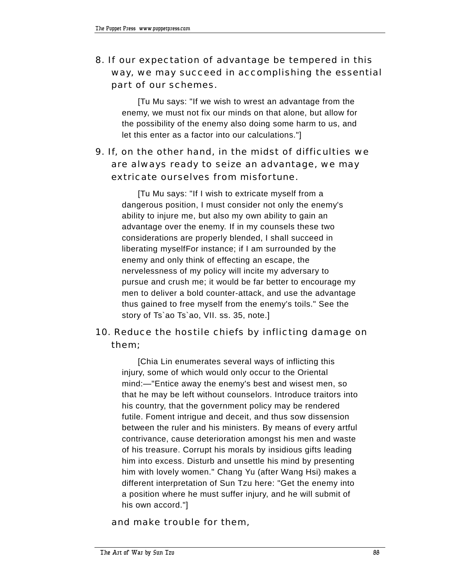# 8. If our expectation of advantage be tempered in this way, we may succeed in accomplishing the essential part of our schemes.

[Tu Mu says: "If we wish to wrest an advantage from the enemy, we must not fix our minds on that alone, but allow for the possibility of the enemy also doing some harm to us, and let this enter as a factor into our calculations."]

# 9. If, on the other hand, in the midst of difficulties we are always ready to seize an advantage, we may extricate ourselves from misfortune.

[Tu Mu says: "If I wish to extricate myself from a dangerous position, I must consider not only the enemy's ability to injure me, but also my own ability to gain an advantage over the enemy. If in my counsels these two considerations are properly blended, I shall succeed in liberating myselfFor instance; if I am surrounded by the enemy and only think of effecting an escape, the nervelessness of my policy will incite my adversary to pursue and crush me; it would be far better to encourage my men to deliver a bold counter-attack, and use the advantage thus gained to free myself from the enemy's toils." See the story of Ts`ao Ts`ao, VII. ss. 35, note.]

# 10. Reduce the hostile chiefs by inflicting damage on them;

[Chia Lin enumerates several ways of inflicting this injury, some of which would only occur to the Oriental mind:—"Entice away the enemy's best and wisest men, so that he may be left without counselors. Introduce traitors into his country, that the government policy may be rendered futile. Foment intrigue and deceit, and thus sow dissension between the ruler and his ministers. By means of every artful contrivance, cause deterioration amongst his men and waste of his treasure. Corrupt his morals by insidious gifts leading him into excess. Disturb and unsettle his mind by presenting him with lovely women." Chang Yu (after Wang Hsi) makes a different interpretation of Sun Tzu here: "Get the enemy into a position where he must suffer injury, and he will submit of his own accord."]

and make trouble for them,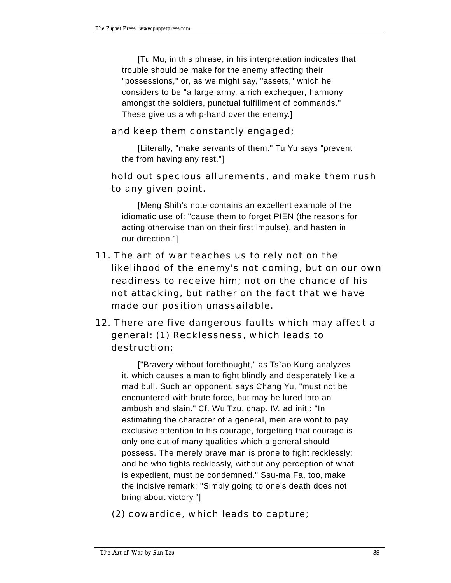[Tu Mu, in this phrase, in his interpretation indicates that trouble should be make for the enemy affecting their "possessions," or, as we might say, "assets," which he considers to be "a large army, a rich exchequer, harmony amongst the soldiers, punctual fulfillment of commands." These give us a whip-hand over the enemy.]

### and keep them constantly engaged;

[Literally, "make servants of them." Tu Yu says "prevent the from having any rest."]

## hold out specious allurements, and make them rush to any given point.

[Meng Shih's note contains an excellent example of the idiomatic use of: "cause them to forget PIEN (the reasons for acting otherwise than on their first impulse), and hasten in our direction."]

- 11. The art of war teaches us to rely not on the likelihood of the enemy's not coming, but on our own readiness to receive him; not on the chance of his not attacking, but rather on the fact that we have made our position unassailable.
- 12. There are five dangerous faults which may affect a general: (1) Recklessness, which leads to destruction;

["Bravery without forethought," as Ts`ao Kung analyzes it, which causes a man to fight blindly and desperately like a mad bull. Such an opponent, says Chang Yu, "must not be encountered with brute force, but may be lured into an ambush and slain." Cf. Wu Tzu, chap. IV. ad init.: "In estimating the character of a general, men are wont to pay exclusive attention to his courage, forgetting that courage is only one out of many qualities which a general should possess. The merely brave man is prone to fight recklessly; and he who fights recklessly, without any perception of what is expedient, must be condemned." Ssu-ma Fa, too, make the incisive remark: "Simply going to one's death does not bring about victory."]

(2) cowardice, which leads to capture;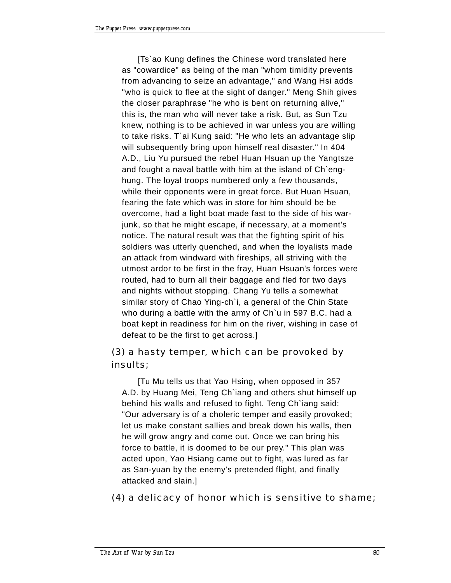[Ts`ao Kung defines the Chinese word translated here as "cowardice" as being of the man "whom timidity prevents from advancing to seize an advantage," and Wang Hsi adds "who is quick to flee at the sight of danger." Meng Shih gives the closer paraphrase "he who is bent on returning alive," this is, the man who will never take a risk. But, as Sun Tzu knew, nothing is to be achieved in war unless you are willing to take risks. T`ai Kung said: "He who lets an advantage slip will subsequently bring upon himself real disaster." In 404 A.D., Liu Yu pursued the rebel Huan Hsuan up the Yangtsze and fought a naval battle with him at the island of Ch`enghung. The loyal troops numbered only a few thousands, while their opponents were in great force. But Huan Hsuan, fearing the fate which was in store for him should be be overcome, had a light boat made fast to the side of his warjunk, so that he might escape, if necessary, at a moment's notice. The natural result was that the fighting spirit of his soldiers was utterly quenched, and when the loyalists made an attack from windward with fireships, all striving with the utmost ardor to be first in the fray, Huan Hsuan's forces were routed, had to burn all their baggage and fled for two days and nights without stopping. Chang Yu tells a somewhat similar story of Chao Ying-ch`i, a general of the Chin State who during a battle with the army of Ch`u in 597 B.C. had a boat kept in readiness for him on the river, wishing in case of defeat to be the first to get across.]

# (3) a hasty temper, which can be provoked by insults;

[Tu Mu tells us that Yao Hsing, when opposed in 357 A.D. by Huang Mei, Teng Ch`iang and others shut himself up behind his walls and refused to fight. Teng Ch`iang said: "Our adversary is of a choleric temper and easily provoked; let us make constant sallies and break down his walls, then he will grow angry and come out. Once we can bring his force to battle, it is doomed to be our prey." This plan was acted upon, Yao Hsiang came out to fight, was lured as far as San-yuan by the enemy's pretended flight, and finally attacked and slain.]

(4) a delicacy of honor which is sensitive to shame;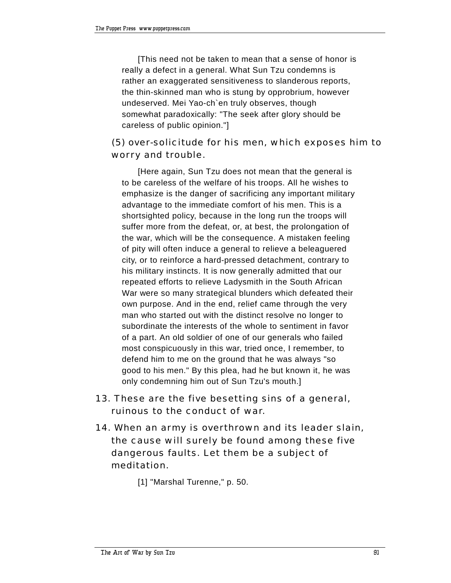[This need not be taken to mean that a sense of honor is really a defect in a general. What Sun Tzu condemns is rather an exaggerated sensitiveness to slanderous reports, the thin-skinned man who is stung by opprobrium, however undeserved. Mei Yao-ch`en truly observes, though somewhat paradoxically: "The seek after glory should be careless of public opinion."]

# (5) over-solicitude for his men, which exposes him to worry and trouble.

[Here again, Sun Tzu does not mean that the general is to be careless of the welfare of his troops. All he wishes to emphasize is the danger of sacrificing any important military advantage to the immediate comfort of his men. This is a shortsighted policy, because in the long run the troops will suffer more from the defeat, or, at best, the prolongation of the war, which will be the consequence. A mistaken feeling of pity will often induce a general to relieve a beleaguered city, or to reinforce a hard-pressed detachment, contrary to his military instincts. It is now generally admitted that our repeated efforts to relieve Ladysmith in the South African War were so many strategical blunders which defeated their own purpose. And in the end, relief came through the very man who started out with the distinct resolve no longer to subordinate the interests of the whole to sentiment in favor of a part. An old soldier of one of our generals who failed most conspicuously in this war, tried once, I remember, to defend him to me on the ground that he was always "so good to his men." By this plea, had he but known it, he was only condemning him out of Sun Tzu's mouth.]

- 13. These are the five besetting sins of a general, ruinous to the conduct of war.
- 14. When an army is overthrown and its leader slain, the cause will surely be found among these five dangerous faults. Let them be a subject of meditation.

[1] "Marshal Turenne," p. 50.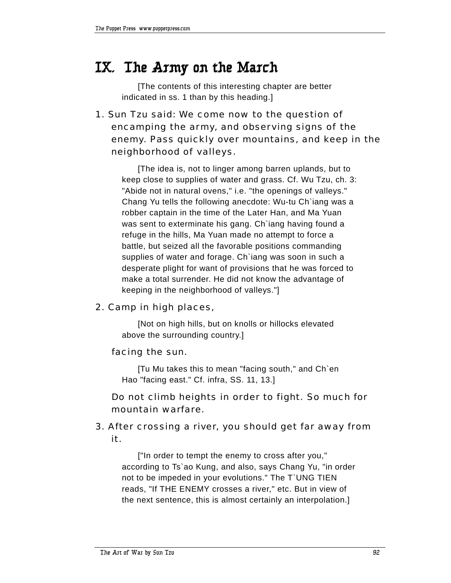# **IX. The Army on the March**

[The contents of this interesting chapter are better indicated in ss. 1 than by this heading.]

1. Sun Tzu said: We come now to the question of encamping the army, and observing signs of the enemy. Pass quickly over mountains, and keep in the neighborhood of valleys.

[The idea is, not to linger among barren uplands, but to keep close to supplies of water and grass. Cf. Wu Tzu, ch. 3: "Abide not in natural ovens," i.e. "the openings of valleys." Chang Yu tells the following anecdote: Wu-tu Ch`iang was a robber captain in the time of the Later Han, and Ma Yuan was sent to exterminate his gang. Ch`iang having found a refuge in the hills, Ma Yuan made no attempt to force a battle, but seized all the favorable positions commanding supplies of water and forage. Ch`iang was soon in such a desperate plight for want of provisions that he was forced to make a total surrender. He did not know the advantage of keeping in the neighborhood of valleys."]

## 2. Camp in high places,

[Not on high hills, but on knolls or hillocks elevated above the surrounding country.]

## facing the sun.

[Tu Mu takes this to mean "facing south," and Ch`en Hao "facing east." Cf. infra, SS. 11, 13.]

## Do not climb heights in order to fight. So much for mountain warfare.

# 3. After crossing a river, you should get far away from it.

["In order to tempt the enemy to cross after you," according to Ts`ao Kung, and also, says Chang Yu, "in order not to be impeded in your evolutions." The T`UNG TIEN reads, "If THE ENEMY crosses a river," etc. But in view of the next sentence, this is almost certainly an interpolation.]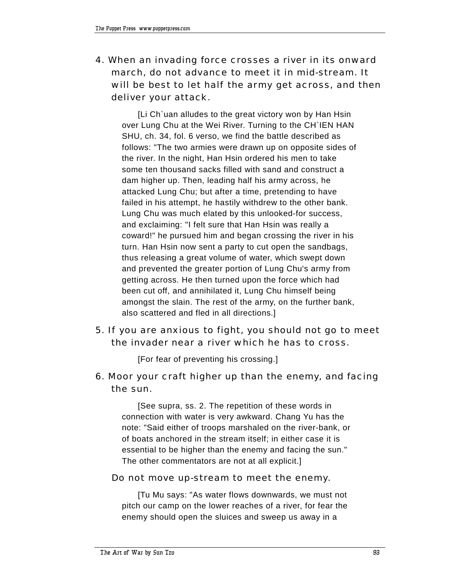4. When an invading force crosses a river in its onward march, do not advance to meet it in mid-stream. It will be best to let half the army get across, and then deliver your attack.

[Li Ch`uan alludes to the great victory won by Han Hsin over Lung Chu at the Wei River. Turning to the CH`IEN HAN SHU, ch. 34, fol. 6 verso, we find the battle described as follows: "The two armies were drawn up on opposite sides of the river. In the night, Han Hsin ordered his men to take some ten thousand sacks filled with sand and construct a dam higher up. Then, leading half his army across, he attacked Lung Chu; but after a time, pretending to have failed in his attempt, he hastily withdrew to the other bank. Lung Chu was much elated by this unlooked-for success, and exclaiming: "I felt sure that Han Hsin was really a coward!" he pursued him and began crossing the river in his turn. Han Hsin now sent a party to cut open the sandbags, thus releasing a great volume of water, which swept down and prevented the greater portion of Lung Chu's army from getting across. He then turned upon the force which had been cut off, and annihilated it, Lung Chu himself being amongst the slain. The rest of the army, on the further bank, also scattered and fled in all directions.]

5. If you are anxious to fight, you should not go to meet the invader near a river which he has to cross.

[For fear of preventing his crossing.]

6. Moor your craft higher up than the enemy, and facing the sun.

[See supra, ss. 2. The repetition of these words in connection with water is very awkward. Chang Yu has the note: "Said either of troops marshaled on the river-bank, or of boats anchored in the stream itself; in either case it is essential to be higher than the enemy and facing the sun." The other commentators are not at all explicit.]

## Do not move up-stream to meet the enemy.

[Tu Mu says: "As water flows downwards, we must not pitch our camp on the lower reaches of a river, for fear the enemy should open the sluices and sweep us away in a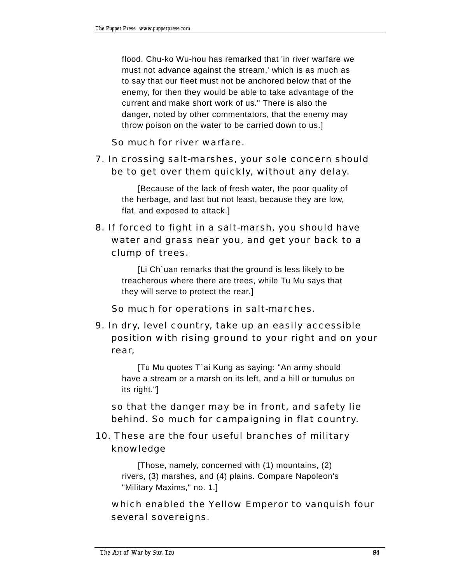flood. Chu-ko Wu-hou has remarked that 'in river warfare we must not advance against the stream,' which is as much as to say that our fleet must not be anchored below that of the enemy, for then they would be able to take advantage of the current and make short work of us." There is also the danger, noted by other commentators, that the enemy may throw poison on the water to be carried down to us.]

So much for river warfare.

7. In crossing salt-marshes, your sole concern should be to get over them quickly, without any delay.

[Because of the lack of fresh water, the poor quality of the herbage, and last but not least, because they are low, flat, and exposed to attack.]

# 8. If forced to fight in a salt-marsh, you should have water and grass near you, and get your back to a clump of trees.

[Li Ch`uan remarks that the ground is less likely to be treacherous where there are trees, while Tu Mu says that they will serve to protect the rear.]

So much for operations in salt-marches.

9. In dry, level country, take up an easily accessible position with rising ground to your right and on your rear,

[Tu Mu quotes T`ai Kung as saying: "An army should have a stream or a marsh on its left, and a hill or tumulus on its right."]

 so that the danger may be in front, and safety lie behind. So much for campaigning in flat country.

# 10. These are the four useful branches of military knowledge

[Those, namely, concerned with (1) mountains, (2) rivers, (3) marshes, and (4) plains. Compare Napoleon's "Military Maxims," no. 1.]

 which enabled the Yellow Emperor to vanquish four several sovereigns.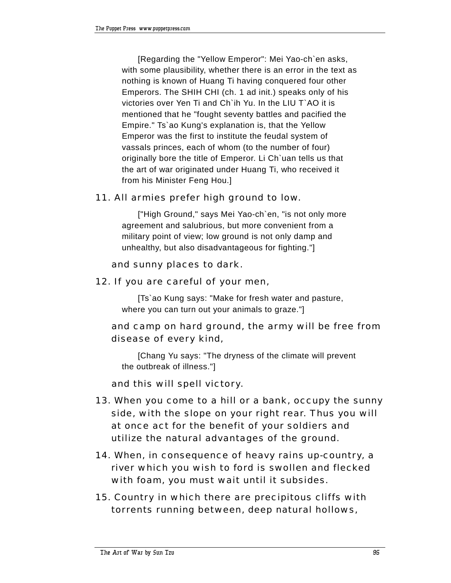[Regarding the "Yellow Emperor": Mei Yao-ch`en asks, with some plausibility, whether there is an error in the text as nothing is known of Huang Ti having conquered four other Emperors. The SHIH CHI (ch. 1 ad init.) speaks only of his victories over Yen Ti and Ch`ih Yu. In the LIU T`AO it is mentioned that he "fought seventy battles and pacified the Empire." Ts`ao Kung's explanation is, that the Yellow Emperor was the first to institute the feudal system of vassals princes, each of whom (to the number of four) originally bore the title of Emperor. Li Ch`uan tells us that the art of war originated under Huang Ti, who received it from his Minister Feng Hou.]

## 11. All armies prefer high ground to low.

["High Ground," says Mei Yao-ch`en, "is not only more agreement and salubrious, but more convenient from a military point of view; low ground is not only damp and unhealthy, but also disadvantageous for fighting."]

### and sunny places to dark.

12. If you are careful of your men,

[Ts`ao Kung says: "Make for fresh water and pasture, where you can turn out your animals to graze."]

## and camp on hard ground, the army will be free from disease of every kind,

[Chang Yu says: "The dryness of the climate will prevent the outbreak of illness."]

and this will spell victory.

- 13. When you come to a hill or a bank, occupy the sunny side, with the slope on your right rear. Thus you will at once act for the benefit of your soldiers and utilize the natural advantages of the ground.
- 14. When, in consequence of heavy rains up-country, a river which you wish to ford is swollen and flecked with foam, you must wait until it subsides.
- 15. Country in which there are precipitous cliffs with torrents running between, deep natural hollows,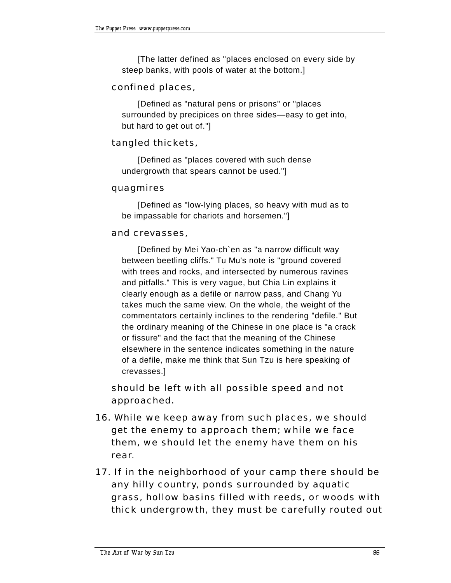[The latter defined as "places enclosed on every side by steep banks, with pools of water at the bottom.]

### confined places,

[Defined as "natural pens or prisons" or "places surrounded by precipices on three sides—easy to get into, but hard to get out of."]

### tangled thickets,

[Defined as "places covered with such dense undergrowth that spears cannot be used."]

#### quagmires

[Defined as "low-lying places, so heavy with mud as to be impassable for chariots and horsemen."]

#### and crevasses,

[Defined by Mei Yao-ch`en as "a narrow difficult way between beetling cliffs." Tu Mu's note is "ground covered with trees and rocks, and intersected by numerous ravines and pitfalls." This is very vague, but Chia Lin explains it clearly enough as a defile or narrow pass, and Chang Yu takes much the same view. On the whole, the weight of the commentators certainly inclines to the rendering "defile." But the ordinary meaning of the Chinese in one place is "a crack or fissure" and the fact that the meaning of the Chinese elsewhere in the sentence indicates something in the nature of a defile, make me think that Sun Tzu is here speaking of crevasses.]

 should be left with all possible speed and not approached.

- 16. While we keep away from such places, we should get the enemy to approach them; while we face them, we should let the enemy have them on his rear.
- 17. If in the neighborhood of your camp there should be any hilly country, ponds surrounded by aquatic grass, hollow basins filled with reeds, or woods with thick undergrowth, they must be carefully routed out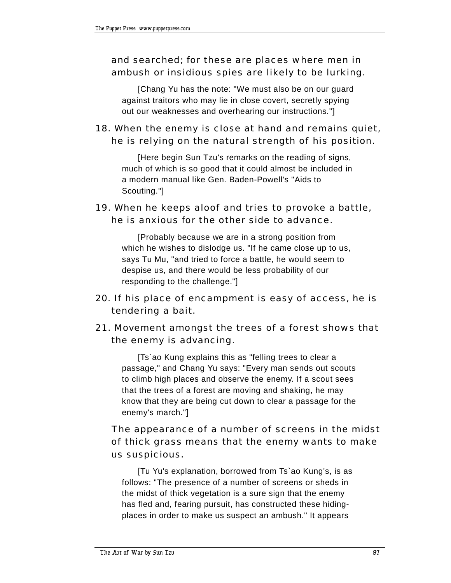# and searched; for these are places where men in ambush or insidious spies are likely to be lurking.

[Chang Yu has the note: "We must also be on our guard against traitors who may lie in close covert, secretly spying out our weaknesses and overhearing our instructions."]

# 18. When the enemy is close at hand and remains quiet, he is relying on the natural strength of his position.

[Here begin Sun Tzu's remarks on the reading of signs, much of which is so good that it could almost be included in a modern manual like Gen. Baden-Powell's "Aids to Scouting."]

# 19. When he keeps aloof and tries to provoke a battle, he is anxious for the other side to advance.

[Probably because we are in a strong position from which he wishes to dislodge us. "If he came close up to us, says Tu Mu, "and tried to force a battle, he would seem to despise us, and there would be less probability of our responding to the challenge."]

# 20. If his place of encampment is easy of access, he is tendering a bait.

# 21. Movement amongst the trees of a forest shows that the enemy is advancing.

[Ts`ao Kung explains this as "felling trees to clear a passage," and Chang Yu says: "Every man sends out scouts to climb high places and observe the enemy. If a scout sees that the trees of a forest are moving and shaking, he may know that they are being cut down to clear a passage for the enemy's march."]

# The appearance of a number of screens in the midst of thick grass means that the enemy wants to make us suspicious.

[Tu Yu's explanation, borrowed from Ts`ao Kung's, is as follows: "The presence of a number of screens or sheds in the midst of thick vegetation is a sure sign that the enemy has fled and, fearing pursuit, has constructed these hidingplaces in order to make us suspect an ambush." It appears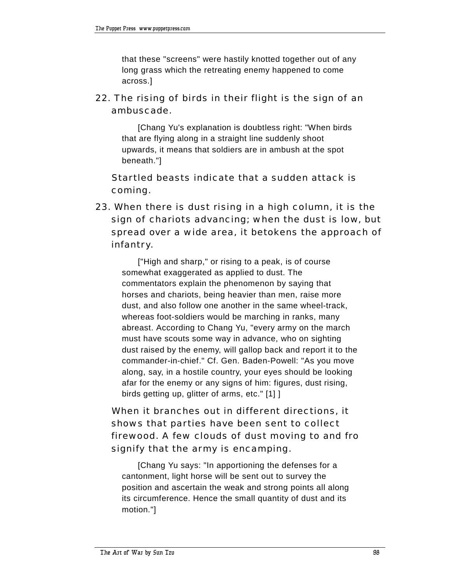that these "screens" were hastily knotted together out of any long grass which the retreating enemy happened to come across.]

## 22. The rising of birds in their flight is the sign of an ambuscade.

[Chang Yu's explanation is doubtless right: "When birds that are flying along in a straight line suddenly shoot upwards, it means that soldiers are in ambush at the spot beneath."]

 Startled beasts indicate that a sudden attack is coming.

23. When there is dust rising in a high column, it is the sign of chariots advancing; when the dust is low, but spread over a wide area, it betokens the approach of infantry.

["High and sharp," or rising to a peak, is of course somewhat exaggerated as applied to dust. The commentators explain the phenomenon by saying that horses and chariots, being heavier than men, raise more dust, and also follow one another in the same wheel-track, whereas foot-soldiers would be marching in ranks, many abreast. According to Chang Yu, "every army on the march must have scouts some way in advance, who on sighting dust raised by the enemy, will gallop back and report it to the commander-in-chief." Cf. Gen. Baden-Powell: "As you move along, say, in a hostile country, your eyes should be looking afar for the enemy or any signs of him: figures, dust rising, birds getting up, glitter of arms, etc." [1] ]

# When it branches out in different directions, it shows that parties have been sent to collect firewood. A few clouds of dust moving to and fro signify that the army is encamping.

[Chang Yu says: "In apportioning the defenses for a cantonment, light horse will be sent out to survey the position and ascertain the weak and strong points all along its circumference. Hence the small quantity of dust and its motion."]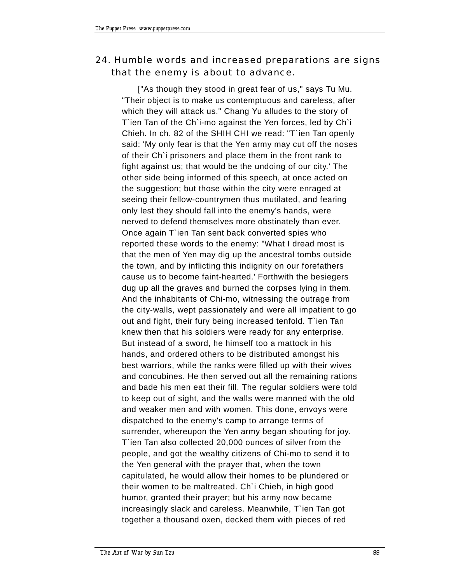# 24. Humble words and increased preparations are signs that the enemy is about to advance.

["As though they stood in great fear of us," says Tu Mu. "Their object is to make us contemptuous and careless, after which they will attack us." Chang Yu alludes to the story of T`ien Tan of the Ch`i-mo against the Yen forces, led by Ch`i Chieh. In ch. 82 of the SHIH CHI we read: "T`ien Tan openly said: 'My only fear is that the Yen army may cut off the noses of their Ch`i prisoners and place them in the front rank to fight against us; that would be the undoing of our city.' The other side being informed of this speech, at once acted on the suggestion; but those within the city were enraged at seeing their fellow-countrymen thus mutilated, and fearing only lest they should fall into the enemy's hands, were nerved to defend themselves more obstinately than ever. Once again T`ien Tan sent back converted spies who reported these words to the enemy: "What I dread most is that the men of Yen may dig up the ancestral tombs outside the town, and by inflicting this indignity on our forefathers cause us to become faint-hearted.' Forthwith the besiegers dug up all the graves and burned the corpses lying in them. And the inhabitants of Chi-mo, witnessing the outrage from the city-walls, wept passionately and were all impatient to go out and fight, their fury being increased tenfold. T`ien Tan knew then that his soldiers were ready for any enterprise. But instead of a sword, he himself too a mattock in his hands, and ordered others to be distributed amongst his best warriors, while the ranks were filled up with their wives and concubines. He then served out all the remaining rations and bade his men eat their fill. The regular soldiers were told to keep out of sight, and the walls were manned with the old and weaker men and with women. This done, envoys were dispatched to the enemy's camp to arrange terms of surrender, whereupon the Yen army began shouting for joy. T`ien Tan also collected 20,000 ounces of silver from the people, and got the wealthy citizens of Chi-mo to send it to the Yen general with the prayer that, when the town capitulated, he would allow their homes to be plundered or their women to be maltreated. Ch`i Chieh, in high good humor, granted their prayer; but his army now became increasingly slack and careless. Meanwhile, T`ien Tan got together a thousand oxen, decked them with pieces of red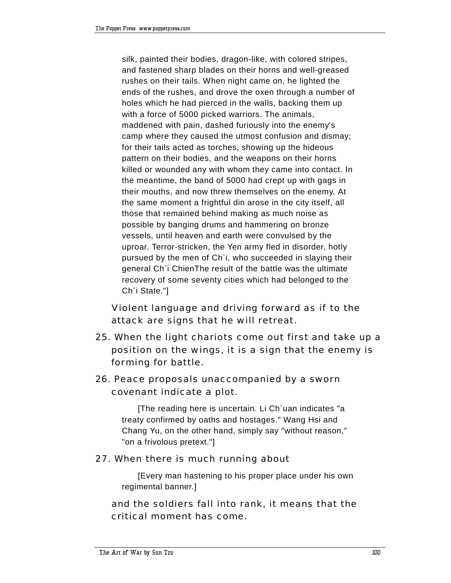silk, painted their bodies, dragon-like, with colored stripes, and fastened sharp blades on their horns and well-greased rushes on their tails. When night came on, he lighted the ends of the rushes, and drove the oxen through a number of holes which he had pierced in the walls, backing them up with a force of 5000 picked warriors. The animals, maddened with pain, dashed furiously into the enemy's camp where they caused the utmost confusion and dismay; for their tails acted as torches, showing up the hideous pattern on their bodies, and the weapons on their horns killed or wounded any with whom they came into contact. In the meantime, the band of 5000 had crept up with gags in their mouths, and now threw themselves on the enemy. At the same moment a frightful din arose in the city itself, all those that remained behind making as much noise as possible by banging drums and hammering on bronze vessels, until heaven and earth were convulsed by the uproar. Terror-stricken, the Yen army fled in disorder, hotly pursued by the men of Ch`i, who succeeded in slaying their general Ch`i ChienThe result of the battle was the ultimate recovery of some seventy cities which had belonged to the Ch`i State."]

 Violent language and driving forward as if to the attack are signs that he will retreat.

- 25. When the light chariots come out first and take up a position on the wings, it is a sign that the enemy is forming for battle.
- 26. Peace proposals unaccompanied by a sworn covenant indicate a plot.

[The reading here is uncertain. Li Ch`uan indicates "a treaty confirmed by oaths and hostages." Wang Hsi and Chang Yu, on the other hand, simply say "without reason," "on a frivolous pretext."]

## 27. When there is much running about

[Every man hastening to his proper place under his own regimental banner.]

 and the soldiers fall into rank, it means that the critical moment has come.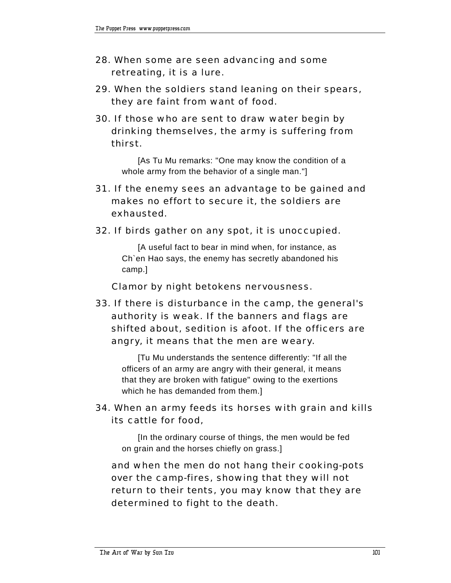- 28. When some are seen advancing and some retreating, it is a lure.
- 29. When the soldiers stand leaning on their spears, they are faint from want of food.
- 30. If those who are sent to draw water begin by drinking themselves, the army is suffering from thirst.

[As Tu Mu remarks: "One may know the condition of a whole army from the behavior of a single man."]

- 31. If the enemy sees an advantage to be gained and makes no effort to secure it, the soldiers are exhausted.
- 32. If birds gather on any spot, it is unoccupied.

[A useful fact to bear in mind when, for instance, as Ch`en Hao says, the enemy has secretly abandoned his camp.]

Clamor by night betokens nervousness.

33. If there is disturbance in the camp, the general's authority is weak. If the banners and flags are shifted about, sedition is afoot. If the officers are angry, it means that the men are weary.

[Tu Mu understands the sentence differently: "If all the officers of an army are angry with their general, it means that they are broken with fatigue" owing to the exertions which he has demanded from them.]

## 34. When an army feeds its horses with grain and kills its cattle for food,

[In the ordinary course of things, the men would be fed on grain and the horses chiefly on grass.]

 and when the men do not hang their cooking-pots over the camp-fires, showing that they will not return to their tents, you may know that they are determined to fight to the death.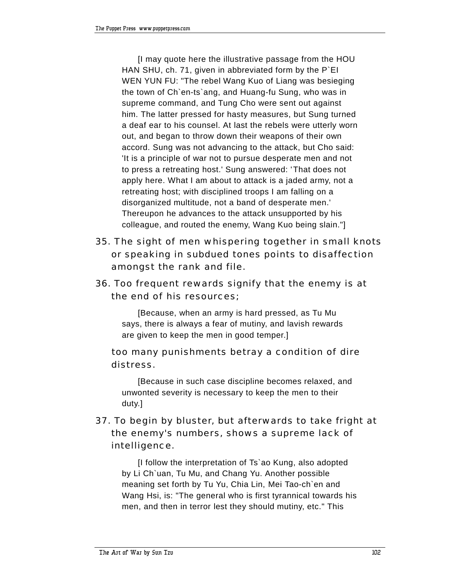[I may quote here the illustrative passage from the HOU HAN SHU, ch. 71, given in abbreviated form by the P`EI WEN YUN FU: "The rebel Wang Kuo of Liang was besieging the town of Ch`en-ts`ang, and Huang-fu Sung, who was in supreme command, and Tung Cho were sent out against him. The latter pressed for hasty measures, but Sung turned a deaf ear to his counsel. At last the rebels were utterly worn out, and began to throw down their weapons of their own accord. Sung was not advancing to the attack, but Cho said: 'It is a principle of war not to pursue desperate men and not to press a retreating host.' Sung answered: 'That does not apply here. What I am about to attack is a jaded army, not a retreating host; with disciplined troops I am falling on a disorganized multitude, not a band of desperate men.' Thereupon he advances to the attack unsupported by his colleague, and routed the enemy, Wang Kuo being slain."]

- 35. The sight of men whispering together in small knots or speaking in subdued tones points to disaffection amongst the rank and file.
- 36. Too frequent rewards signify that the enemy is at the end of his resources;

[Because, when an army is hard pressed, as Tu Mu says, there is always a fear of mutiny, and lavish rewards are given to keep the men in good temper.]

# too many punishments betray a condition of dire distress.

[Because in such case discipline becomes relaxed, and unwonted severity is necessary to keep the men to their duty.]

# 37. To begin by bluster, but afterwards to take fright at the enemy's numbers, shows a supreme lack of intelligence.

[I follow the interpretation of Ts`ao Kung, also adopted by Li Ch`uan, Tu Mu, and Chang Yu. Another possible meaning set forth by Tu Yu, Chia Lin, Mei Tao-ch`en and Wang Hsi, is: "The general who is first tyrannical towards his men, and then in terror lest they should mutiny, etc." This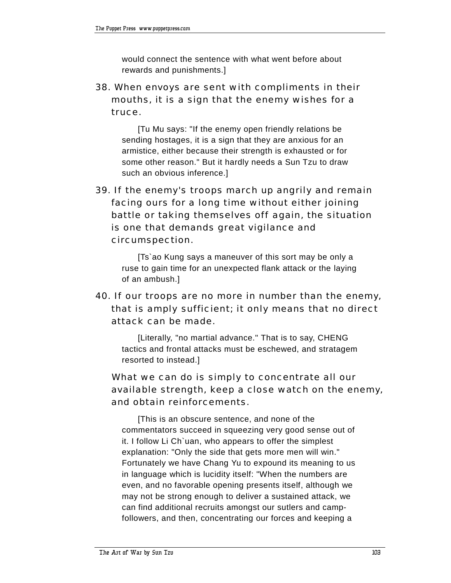would connect the sentence with what went before about rewards and punishments.]

38. When envoys are sent with compliments in their mouths, it is a sign that the enemy wishes for a truce.

[Tu Mu says: "If the enemy open friendly relations be sending hostages, it is a sign that they are anxious for an armistice, either because their strength is exhausted or for some other reason." But it hardly needs a Sun Tzu to draw such an obvious inference.]

39. If the enemy's troops march up angrily and remain facing ours for a long time without either joining battle or taking themselves off again, the situation is one that demands great vigilance and circumspection.

[Ts`ao Kung says a maneuver of this sort may be only a ruse to gain time for an unexpected flank attack or the laying of an ambush.]

# 40. If our troops are no more in number than the enemy, that is amply sufficient; it only means that no direct attack can be made.

[Literally, "no martial advance." That is to say, CHENG tactics and frontal attacks must be eschewed, and stratagem resorted to instead.]

# What we can do is simply to concentrate all our available strength, keep a close watch on the enemy, and obtain reinforcements.

[This is an obscure sentence, and none of the commentators succeed in squeezing very good sense out of it. I follow Li Ch`uan, who appears to offer the simplest explanation: "Only the side that gets more men will win." Fortunately we have Chang Yu to expound its meaning to us in language which is lucidity itself: "When the numbers are even, and no favorable opening presents itself, although we may not be strong enough to deliver a sustained attack, we can find additional recruits amongst our sutlers and campfollowers, and then, concentrating our forces and keeping a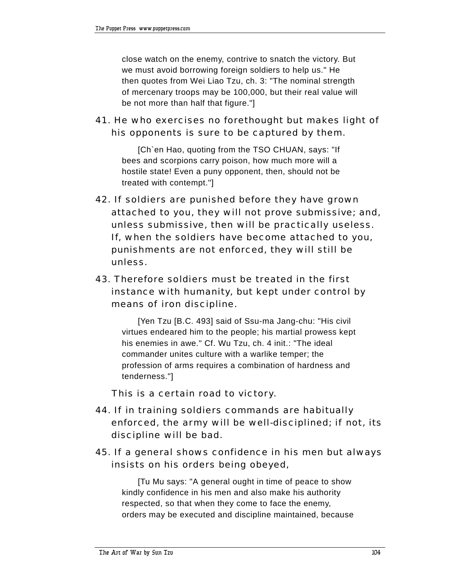close watch on the enemy, contrive to snatch the victory. But we must avoid borrowing foreign soldiers to help us." He then quotes from Wei Liao Tzu, ch. 3: "The nominal strength of mercenary troops may be 100,000, but their real value will be not more than half that figure."]

# 41. He who exercises no forethought but makes light of his opponents is sure to be captured by them.

[Ch`en Hao, quoting from the TSO CHUAN, says: "If bees and scorpions carry poison, how much more will a hostile state! Even a puny opponent, then, should not be treated with contempt."]

- 42. If soldiers are punished before they have grown attached to you, they will not prove submissive; and, unless submissive, then will be practically useless. If, when the soldiers have become attached to you, punishments are not enforced, they will still be unless.
- 43. Therefore soldiers must be treated in the first instance with humanity, but kept under control by means of iron discipline.

[Yen Tzu [B.C. 493] said of Ssu-ma Jang-chu: "His civil virtues endeared him to the people; his martial prowess kept his enemies in awe." Cf. Wu Tzu, ch. 4 init.: "The ideal commander unites culture with a warlike temper; the profession of arms requires a combination of hardness and tenderness."]

This is a certain road to victory.

- 44. If in training soldiers commands are habitually enforced, the army will be well-disciplined; if not, its discipline will be bad.
- 45. If a general shows confidence in his men but always insists on his orders being obeyed,

[Tu Mu says: "A general ought in time of peace to show kindly confidence in his men and also make his authority respected, so that when they come to face the enemy, orders may be executed and discipline maintained, because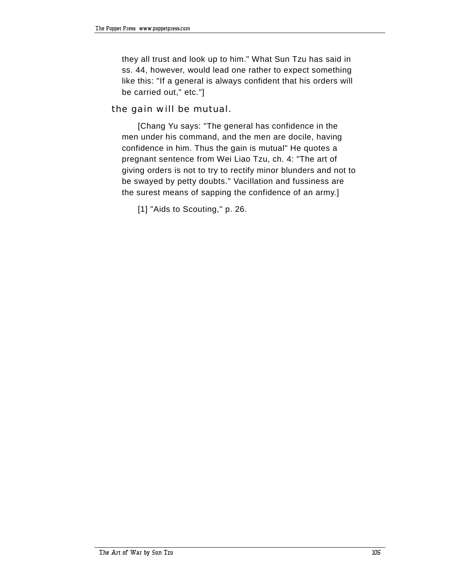they all trust and look up to him." What Sun Tzu has said in ss. 44, however, would lead one rather to expect something like this: "If a general is always confident that his orders will be carried out," etc."]

### the gain will be mutual.

[Chang Yu says: "The general has confidence in the men under his command, and the men are docile, having confidence in him. Thus the gain is mutual" He quotes a pregnant sentence from Wei Liao Tzu, ch. 4: "The art of giving orders is not to try to rectify minor blunders and not to be swayed by petty doubts." Vacillation and fussiness are the surest means of sapping the confidence of an army.]

[1] "Aids to Scouting," p. 26.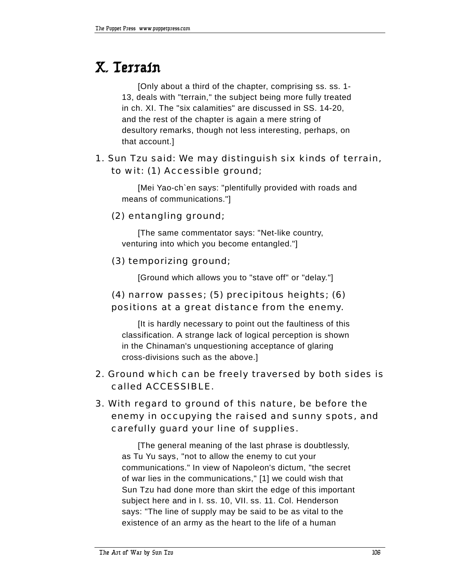# **X. Terrain**

[Only about a third of the chapter, comprising ss. ss. 1- 13, deals with "terrain," the subject being more fully treated in ch. XI. The "six calamities" are discussed in SS. 14-20, and the rest of the chapter is again a mere string of desultory remarks, though not less interesting, perhaps, on that account.]

# 1. Sun Tzu said: We may distinguish six kinds of terrain, to wit: (1) Accessible ground;

[Mei Yao-ch`en says: "plentifully provided with roads and means of communications."]

## (2) entangling ground;

[The same commentator says: "Net-like country, venturing into which you become entangled."]

## (3) temporizing ground;

[Ground which allows you to "stave off" or "delay."]

# (4) narrow passes; (5) precipitous heights; (6) positions at a great distance from the enemy.

[It is hardly necessary to point out the faultiness of this classification. A strange lack of logical perception is shown in the Chinaman's unquestioning acceptance of glaring cross-divisions such as the above.]

# 2. Ground which can be freely traversed by both sides is called ACCESSIBLE.

# 3. With regard to ground of this nature, be before the enemy in occupying the raised and sunny spots, and carefully guard your line of supplies.

[The general meaning of the last phrase is doubtlessly, as Tu Yu says, "not to allow the enemy to cut your communications." In view of Napoleon's dictum, "the secret of war lies in the communications," [1] we could wish that Sun Tzu had done more than skirt the edge of this important subject here and in I. ss. 10, VII. ss. 11. Col. Henderson says: "The line of supply may be said to be as vital to the existence of an army as the heart to the life of a human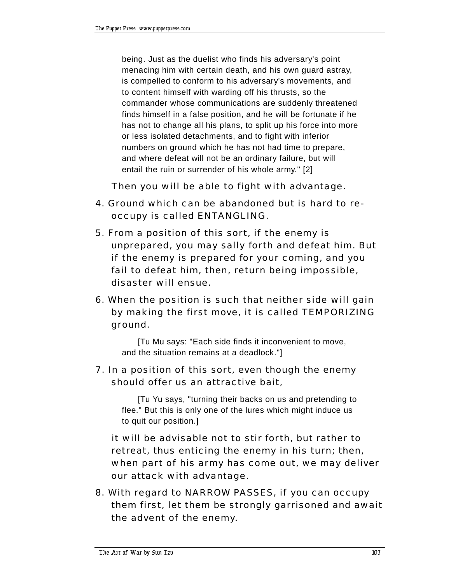being. Just as the duelist who finds his adversary's point menacing him with certain death, and his own guard astray, is compelled to conform to his adversary's movements, and to content himself with warding off his thrusts, so the commander whose communications are suddenly threatened finds himself in a false position, and he will be fortunate if he has not to change all his plans, to split up his force into more or less isolated detachments, and to fight with inferior numbers on ground which he has not had time to prepare, and where defeat will not be an ordinary failure, but will entail the ruin or surrender of his whole army." [2]

Then you will be able to fight with advantage.

- 4. Ground which can be abandoned but is hard to reoccupy is called ENTANGLING.
- 5. From a position of this sort, if the enemy is unprepared, you may sally forth and defeat him. But if the enemy is prepared for your coming, and you fail to defeat him, then, return being impossible, disaster will ensue.
- 6. When the position is such that neither side will gain by making the first move, it is called TEMPORIZING ground.

[Tu Mu says: "Each side finds it inconvenient to move, and the situation remains at a deadlock."]

# 7. In a position of this sort, even though the enemy should offer us an attractive bait,

[Tu Yu says, "turning their backs on us and pretending to flee." But this is only one of the lures which might induce us to quit our position.]

 it will be advisable not to stir forth, but rather to retreat, thus enticing the enemy in his turn; then, when part of his army has come out, we may deliver our attack with advantage.

8. With regard to NARROW PASSES, if you can occupy them first, let them be strongly garrisoned and await the advent of the enemy.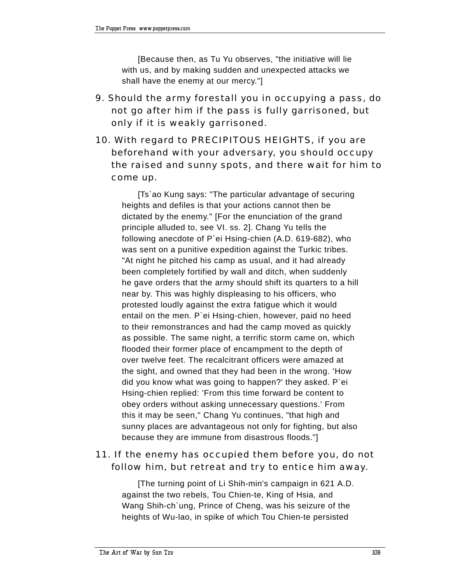[Because then, as Tu Yu observes, "the initiative will lie with us, and by making sudden and unexpected attacks we shall have the enemy at our mercy."]

- 9. Should the army forestall you in occupying a pass, do not go after him if the pass is fully garrisoned, but only if it is weakly garrisoned.
- 10. With regard to PRECIPITOUS HEIGHTS, if you are beforehand with your adversary, you should occupy the raised and sunny spots, and there wait for him to come up.

[Ts`ao Kung says: "The particular advantage of securing heights and defiles is that your actions cannot then be dictated by the enemy." [For the enunciation of the grand principle alluded to, see VI. ss. 2]. Chang Yu tells the following anecdote of P`ei Hsing-chien (A.D. 619-682), who was sent on a punitive expedition against the Turkic tribes. "At night he pitched his camp as usual, and it had already been completely fortified by wall and ditch, when suddenly he gave orders that the army should shift its quarters to a hill near by. This was highly displeasing to his officers, who protested loudly against the extra fatigue which it would entail on the men. P`ei Hsing-chien, however, paid no heed to their remonstrances and had the camp moved as quickly as possible. The same night, a terrific storm came on, which flooded their former place of encampment to the depth of over twelve feet. The recalcitrant officers were amazed at the sight, and owned that they had been in the wrong. 'How did you know what was going to happen?' they asked. P`ei Hsing-chien replied: 'From this time forward be content to obey orders without asking unnecessary questions.' From this it may be seen," Chang Yu continues, "that high and sunny places are advantageous not only for fighting, but also because they are immune from disastrous floods."]

## 11. If the enemy has occupied them before you, do not follow him, but retreat and try to entice him away.

[The turning point of Li Shih-min's campaign in 621 A.D. against the two rebels, Tou Chien-te, King of Hsia, and Wang Shih-ch`ung, Prince of Cheng, was his seizure of the heights of Wu-lao, in spike of which Tou Chien-te persisted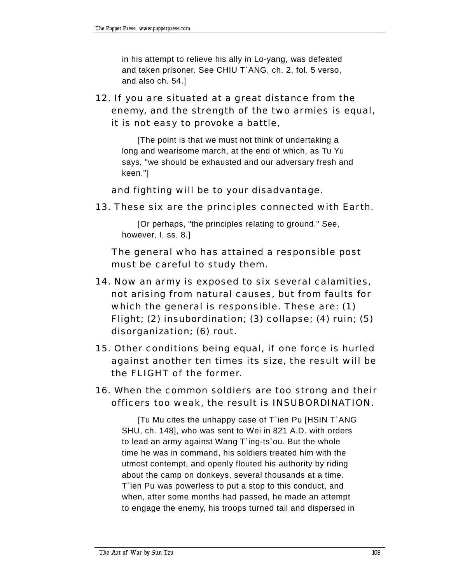in his attempt to relieve his ally in Lo-yang, was defeated and taken prisoner. See CHIU T`ANG, ch. 2, fol. 5 verso, and also ch. 54.]

12. If you are situated at a great distance from the enemy, and the strength of the two armies is equal, it is not easy to provoke a battle,

[The point is that we must not think of undertaking a long and wearisome march, at the end of which, as Tu Yu says, "we should be exhausted and our adversary fresh and keen."]

and fighting will be to your disadvantage.

13. These six are the principles connected with Earth.

[Or perhaps, "the principles relating to ground." See, however, I. ss. 8.]

 The general who has attained a responsible post must be careful to study them.

- 14. Now an army is exposed to six several calamities, not arising from natural causes, but from faults for which the general is responsible. These are: (1) Flight; (2) insubordination; (3) collapse; (4) ruin; (5) disorganization; (6) rout.
- 15. Other conditions being equal, if one force is hurled against another ten times its size, the result will be the FLIGHT of the former.
- 16. When the common soldiers are too strong and their officers too weak, the result is INSUBORDINATION.

[Tu Mu cites the unhappy case of T`ien Pu [HSIN T`ANG SHU, ch. 148], who was sent to Wei in 821 A.D. with orders to lead an army against Wang T`ing-ts`ou. But the whole time he was in command, his soldiers treated him with the utmost contempt, and openly flouted his authority by riding about the camp on donkeys, several thousands at a time. T`ien Pu was powerless to put a stop to this conduct, and when, after some months had passed, he made an attempt to engage the enemy, his troops turned tail and dispersed in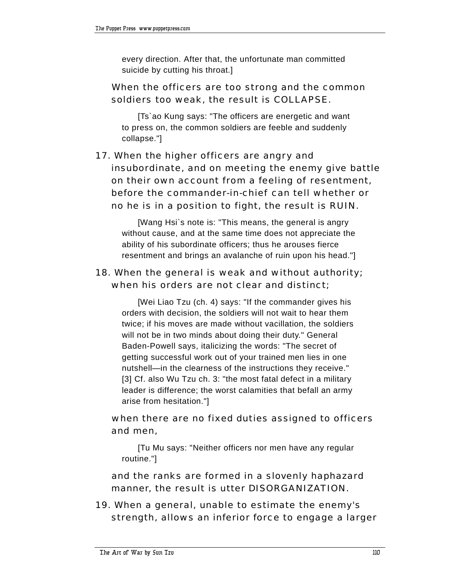every direction. After that, the unfortunate man committed suicide by cutting his throat.]

## When the officers are too strong and the common soldiers too weak, the result is COLLAPSE.

[Ts`ao Kung says: "The officers are energetic and want to press on, the common soldiers are feeble and suddenly collapse."]

# 17. When the higher officers are angry and insubordinate, and on meeting the enemy give battle on their own account from a feeling of resentment, before the commander-in-chief can tell whether or no he is in a position to fight, the result is RUIN.

[Wang Hsi`s note is: "This means, the general is angry without cause, and at the same time does not appreciate the ability of his subordinate officers; thus he arouses fierce resentment and brings an avalanche of ruin upon his head."]

# 18. When the general is weak and without authority; when his orders are not clear and distinct;

[Wei Liao Tzu (ch. 4) says: "If the commander gives his orders with decision, the soldiers will not wait to hear them twice; if his moves are made without vacillation, the soldiers will not be in two minds about doing their duty." General Baden-Powell says, italicizing the words: "The secret of getting successful work out of your trained men lies in one nutshell-in the clearness of the instructions they receive." [3] Cf. also Wu Tzu ch. 3: "the most fatal defect in a military leader is difference; the worst calamities that befall an army arise from hesitation."]

# when there are no fixed duties assigned to officers and men,

[Tu Mu says: "Neither officers nor men have any regular routine."]

 and the ranks are formed in a slovenly haphazard manner, the result is utter DISORGANIZATION.

19. When a general, unable to estimate the enemy's strength, allows an inferior force to engage a larger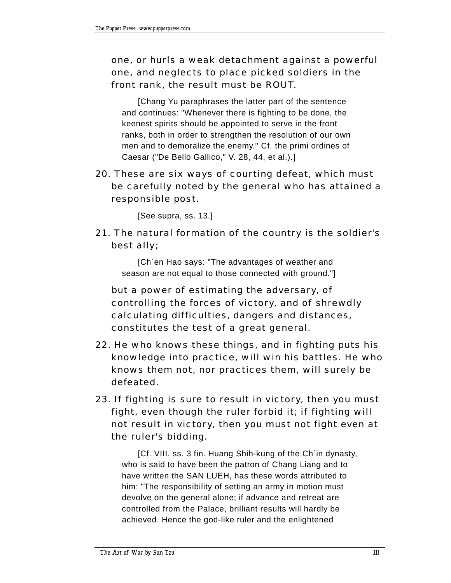# one, or hurls a weak detachment against a powerful one, and neglects to place picked soldiers in the front rank, the result must be ROUT.

[Chang Yu paraphrases the latter part of the sentence and continues: "Whenever there is fighting to be done, the keenest spirits should be appointed to serve in the front ranks, both in order to strengthen the resolution of our own men and to demoralize the enemy." Cf. the primi ordines of Caesar ("De Bello Gallico," V. 28, 44, et al.).]

## 20. These are six ways of courting defeat, which must be carefully noted by the general who has attained a responsible post.

[See supra, ss. 13.]

21. The natural formation of the country is the soldier's best ally;

[Ch`en Hao says: "The advantages of weather and season are not equal to those connected with ground."]

 but a power of estimating the adversary, of controlling the forces of victory, and of shrewdly calculating difficulties, dangers and distances, constitutes the test of a great general.

- 22. He who knows these things, and in fighting puts his knowledge into practice, will win his battles. He who knows them not, nor practices them, will surely be defeated.
- 23. If fighting is sure to result in victory, then you must fight, even though the ruler forbid it; if fighting will not result in victory, then you must not fight even at the ruler's bidding.

[Cf. VIII. ss. 3 fin. Huang Shih-kung of the Ch`in dynasty, who is said to have been the patron of Chang Liang and to have written the SAN LUEH, has these words attributed to him: "The responsibility of setting an army in motion must devolve on the general alone; if advance and retreat are controlled from the Palace, brilliant results will hardly be achieved. Hence the god-like ruler and the enlightened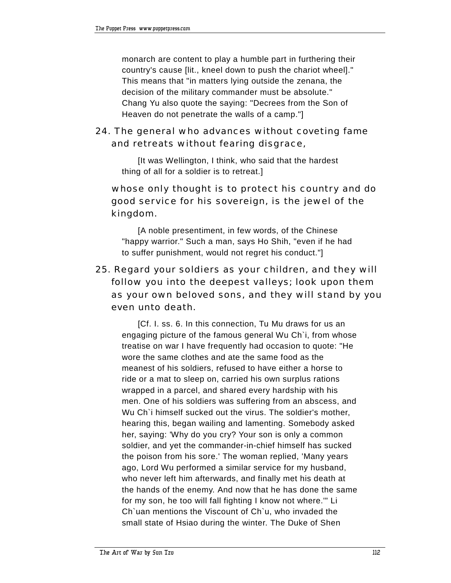monarch are content to play a humble part in furthering their country's cause [lit., kneel down to push the chariot wheel]." This means that "in matters lying outside the zenana, the decision of the military commander must be absolute." Chang Yu also quote the saying: "Decrees from the Son of Heaven do not penetrate the walls of a camp."]

# 24. The general who advances without coveting fame and retreats without fearing disgrace,

[It was Wellington, I think, who said that the hardest thing of all for a soldier is to retreat.]

# whose only thought is to protect his country and do good service for his sovereign, is the jewel of the kingdom.

[A noble presentiment, in few words, of the Chinese "happy warrior." Such a man, says Ho Shih, "even if he had to suffer punishment, would not regret his conduct."]

# 25. Regard your soldiers as your children, and they will follow you into the deepest valleys; look upon them as your own beloved sons, and they will stand by you even unto death.

[Cf. I. ss. 6. In this connection, Tu Mu draws for us an engaging picture of the famous general Wu Ch`i, from whose treatise on war I have frequently had occasion to quote: "He wore the same clothes and ate the same food as the meanest of his soldiers, refused to have either a horse to ride or a mat to sleep on, carried his own surplus rations wrapped in a parcel, and shared every hardship with his men. One of his soldiers was suffering from an abscess, and Wu Ch`i himself sucked out the virus. The soldier's mother, hearing this, began wailing and lamenting. Somebody asked her, saying: 'Why do you cry? Your son is only a common soldier, and yet the commander-in-chief himself has sucked the poison from his sore.' The woman replied, 'Many years ago, Lord Wu performed a similar service for my husband, who never left him afterwards, and finally met his death at the hands of the enemy. And now that he has done the same for my son, he too will fall fighting I know not where.'" Li Ch`uan mentions the Viscount of Ch`u, who invaded the small state of Hsiao during the winter. The Duke of Shen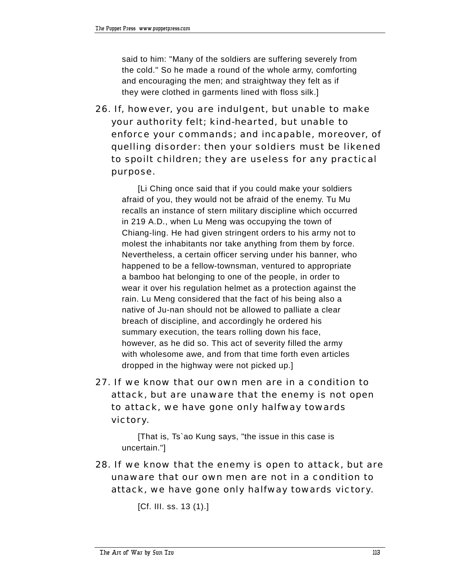said to him: "Many of the soldiers are suffering severely from the cold." So he made a round of the whole army, comforting and encouraging the men; and straightway they felt as if they were clothed in garments lined with floss silk.]

26. If, however, you are indulgent, but unable to make your authority felt; kind-hearted, but unable to enforce your commands; and incapable, moreover, of quelling disorder: then your soldiers must be likened to spoilt children; they are useless for any practical purpose.

[Li Ching once said that if you could make your soldiers afraid of you, they would not be afraid of the enemy. Tu Mu recalls an instance of stern military discipline which occurred in 219 A.D., when Lu Meng was occupying the town of Chiang-ling. He had given stringent orders to his army not to molest the inhabitants nor take anything from them by force. Nevertheless, a certain officer serving under his banner, who happened to be a fellow-townsman, ventured to appropriate a bamboo hat belonging to one of the people, in order to wear it over his regulation helmet as a protection against the rain. Lu Meng considered that the fact of his being also a native of Ju-nan should not be allowed to palliate a clear breach of discipline, and accordingly he ordered his summary execution, the tears rolling down his face, however, as he did so. This act of severity filled the army with wholesome awe, and from that time forth even articles dropped in the highway were not picked up.]

27. If we know that our own men are in a condition to attack, but are unaware that the enemy is not open to attack, we have gone only halfway towards victory.

[That is, Ts`ao Kung says, "the issue in this case is uncertain."]

28. If we know that the enemy is open to attack, but are unaware that our own men are not in a condition to attack, we have gone only halfway towards victory.

[Cf. III. ss. 13 (1).]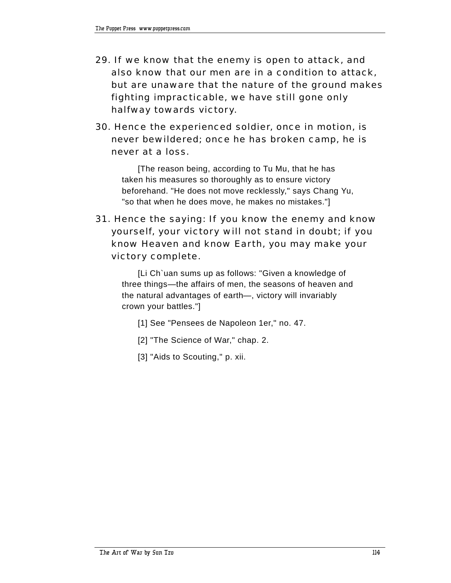- 29. If we know that the enemy is open to attack, and also know that our men are in a condition to attack, but are unaware that the nature of the ground makes fighting impracticable, we have still gone only halfway towards victory.
- 30. Hence the experienced soldier, once in motion, is never bewildered; once he has broken camp, he is never at a loss.

[The reason being, according to Tu Mu, that he has taken his measures so thoroughly as to ensure victory beforehand. "He does not move recklessly," says Chang Yu, "so that when he does move, he makes no mistakes."]

31. Hence the saying: If you know the enemy and know yourself, your victory will not stand in doubt; if you know Heaven and know Earth, you may make your victory complete.

[Li Ch`uan sums up as follows: "Given a knowledge of three things—the affairs of men, the seasons of heaven and the natural advantages of earth-, victory will invariably crown your battles."]

- [1] See "Pensees de Napoleon 1er," no. 47.
- [2] "The Science of War," chap. 2.
- [3] "Aids to Scouting," p. xii.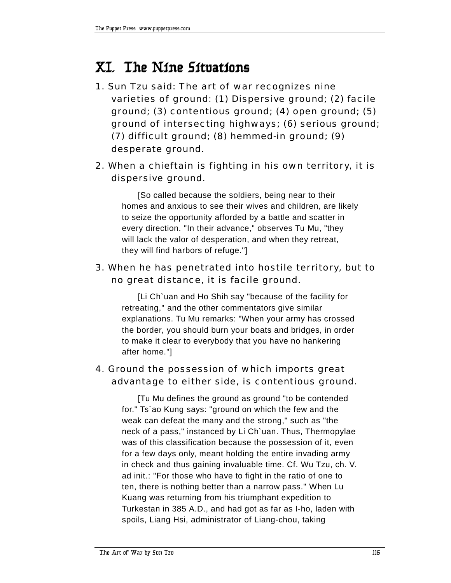# **XI. The Nine Situations**

- 1. Sun Tzu said: The art of war recognizes nine varieties of ground: (1) Dispersive ground; (2) facile ground; (3) contentious ground; (4) open ground; (5) ground of intersecting highways; (6) serious ground; (7) difficult ground; (8) hemmed-in ground; (9) desperate ground.
- 2. When a chieftain is fighting in his own territory, it is dispersive ground.

[So called because the soldiers, being near to their homes and anxious to see their wives and children, are likely to seize the opportunity afforded by a battle and scatter in every direction. "In their advance," observes Tu Mu, "they will lack the valor of desperation, and when they retreat, they will find harbors of refuge."]

# 3. When he has penetrated into hostile territory, but to no great distance, it is facile ground.

[Li Ch`uan and Ho Shih say "because of the facility for retreating," and the other commentators give similar explanations. Tu Mu remarks: "When your army has crossed the border, you should burn your boats and bridges, in order to make it clear to everybody that you have no hankering after home."]

# 4. Ground the possession of which imports great advantage to either side, is contentious ground.

[Tu Mu defines the ground as ground "to be contended for." Ts`ao Kung says: "ground on which the few and the weak can defeat the many and the strong," such as "the neck of a pass," instanced by Li Ch`uan. Thus, Thermopylae was of this classification because the possession of it, even for a few days only, meant holding the entire invading army in check and thus gaining invaluable time. Cf. Wu Tzu, ch. V. ad init.: "For those who have to fight in the ratio of one to ten, there is nothing better than a narrow pass." When Lu Kuang was returning from his triumphant expedition to Turkestan in 385 A.D., and had got as far as I-ho, laden with spoils, Liang Hsi, administrator of Liang-chou, taking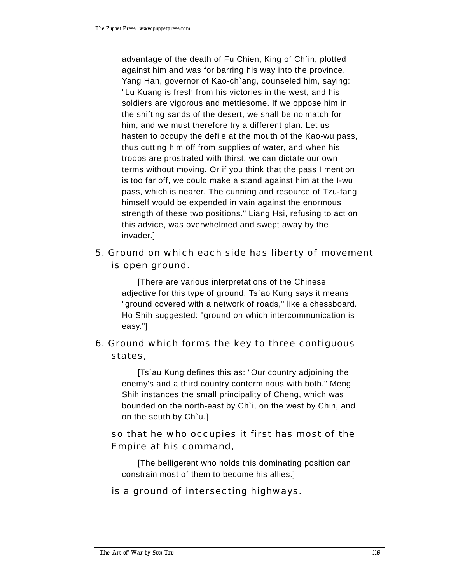advantage of the death of Fu Chien, King of Ch`in, plotted against him and was for barring his way into the province. Yang Han, governor of Kao-ch`ang, counseled him, saying: "Lu Kuang is fresh from his victories in the west, and his soldiers are vigorous and mettlesome. If we oppose him in the shifting sands of the desert, we shall be no match for him, and we must therefore try a different plan. Let us hasten to occupy the defile at the mouth of the Kao-wu pass, thus cutting him off from supplies of water, and when his troops are prostrated with thirst, we can dictate our own terms without moving. Or if you think that the pass I mention is too far off, we could make a stand against him at the I-wu pass, which is nearer. The cunning and resource of Tzu-fang himself would be expended in vain against the enormous strength of these two positions." Liang Hsi, refusing to act on this advice, was overwhelmed and swept away by the invader.]

## 5. Ground on which each side has liberty of movement is open ground.

[There are various interpretations of the Chinese adjective for this type of ground. Ts`ao Kung says it means "ground covered with a network of roads," like a chessboard. Ho Shih suggested: "ground on which intercommunication is easy."]

# 6. Ground which forms the key to three contiguous states,

[Ts`au Kung defines this as: "Our country adjoining the enemy's and a third country conterminous with both." Meng Shih instances the small principality of Cheng, which was bounded on the north-east by Ch`i, on the west by Chin, and on the south by Ch`u.]

# so that he who occupies it first has most of the Empire at his command,

[The belligerent who holds this dominating position can constrain most of them to become his allies.]

## is a ground of intersecting highways.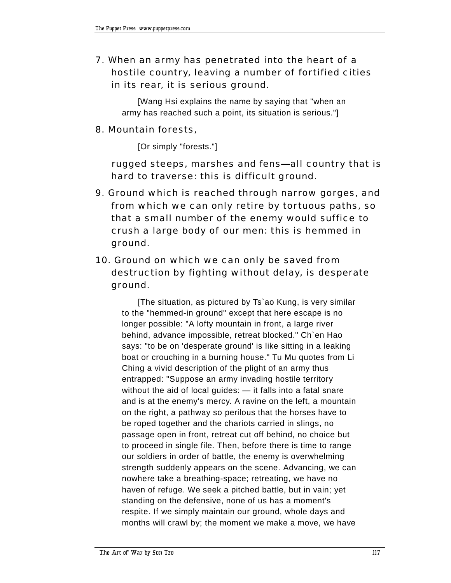7. When an army has penetrated into the heart of a hostile country, leaving a number of fortified cities in its rear, it is serious ground.

[Wang Hsi explains the name by saying that "when an army has reached such a point, its situation is serious."]

#### 8. Mountain forests,

[Or simply "forests."]

rugged steeps, marshes and fens—all country that is hard to traverse: this is difficult ground.

9. Ground which is reached through narrow gorges, and from which we can only retire by tortuous paths, so that a small number of the enemy would suffice to crush a large body of our men: this is hemmed in ground.

# 10. Ground on which we can only be saved from destruction by fighting without delay, is desperate ground.

[The situation, as pictured by Ts`ao Kung, is very similar to the "hemmed-in ground" except that here escape is no longer possible: "A lofty mountain in front, a large river behind, advance impossible, retreat blocked." Ch`en Hao says: "to be on 'desperate ground' is like sitting in a leaking boat or crouching in a burning house." Tu Mu quotes from Li Ching a vivid description of the plight of an army thus entrapped: "Suppose an army invading hostile territory without the aid of local guides:  $-$  it falls into a fatal snare and is at the enemy's mercy. A ravine on the left, a mountain on the right, a pathway so perilous that the horses have to be roped together and the chariots carried in slings, no passage open in front, retreat cut off behind, no choice but to proceed in single file. Then, before there is time to range our soldiers in order of battle, the enemy is overwhelming strength suddenly appears on the scene. Advancing, we can nowhere take a breathing-space; retreating, we have no haven of refuge. We seek a pitched battle, but in vain; yet standing on the defensive, none of us has a moment's respite. If we simply maintain our ground, whole days and months will crawl by; the moment we make a move, we have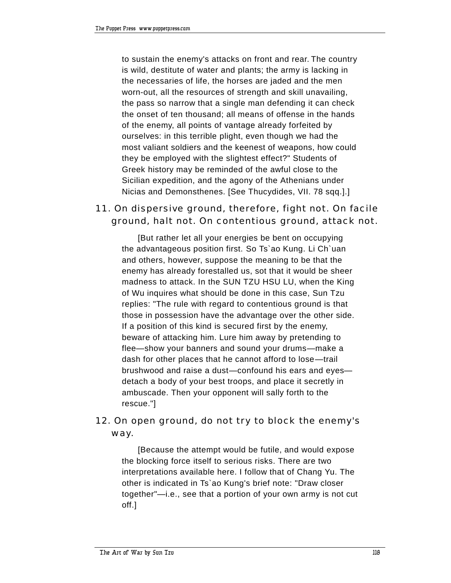to sustain the enemy's attacks on front and rear. The country is wild, destitute of water and plants; the army is lacking in the necessaries of life, the horses are jaded and the men worn-out, all the resources of strength and skill unavailing, the pass so narrow that a single man defending it can check the onset of ten thousand; all means of offense in the hands of the enemy, all points of vantage already forfeited by ourselves: in this terrible plight, even though we had the most valiant soldiers and the keenest of weapons, how could they be employed with the slightest effect?" Students of Greek history may be reminded of the awful close to the Sicilian expedition, and the agony of the Athenians under Nicias and Demonsthenes. [See Thucydides, VII. 78 sqq.].]

## 11. On dispersive ground, therefore, fight not. On facile ground, halt not. On contentious ground, attack not.

[But rather let all your energies be bent on occupying the advantageous position first. So Ts`ao Kung. Li Ch`uan and others, however, suppose the meaning to be that the enemy has already forestalled us, sot that it would be sheer madness to attack. In the SUN TZU HSU LU, when the King of Wu inquires what should be done in this case, Sun Tzu replies: "The rule with regard to contentious ground is that those in possession have the advantage over the other side. If a position of this kind is secured first by the enemy, beware of attacking him. Lure him away by pretending to flee-show your banners and sound your drums-make a dash for other places that he cannot afford to lose—trail brushwood and raise a dust-confound his ears and eyesdetach a body of your best troops, and place it secretly in ambuscade. Then your opponent will sally forth to the rescue."]

## 12. On open ground, do not try to block the enemy's way.

[Because the attempt would be futile, and would expose the blocking force itself to serious risks. There are two interpretations available here. I follow that of Chang Yu. The other is indicated in Ts`ao Kung's brief note: "Draw closer together"-i.e., see that a portion of your own army is not cut off.]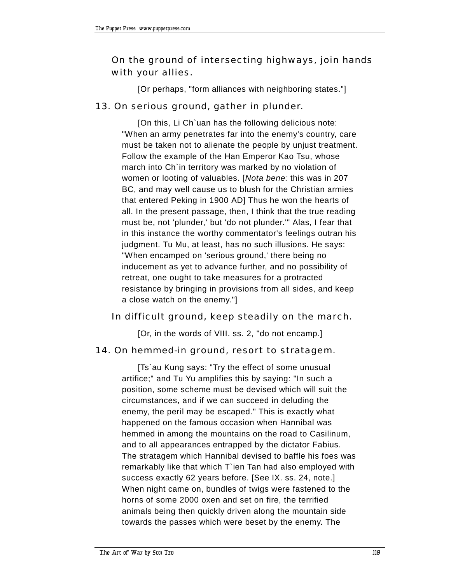# On the ground of intersecting highways, join hands with your allies.

[Or perhaps, "form alliances with neighboring states."]

#### 13. On serious ground, gather in plunder.

[On this, Li Ch`uan has the following delicious note: "When an army penetrates far into the enemy's country, care must be taken not to alienate the people by unjust treatment. Follow the example of the Han Emperor Kao Tsu, whose march into Ch`in territory was marked by no violation of women or looting of valuables. [*Nota bene:* this was in 207 BC, and may well cause us to blush for the Christian armies that entered Peking in 1900 AD] Thus he won the hearts of all. In the present passage, then, I think that the true reading must be, not 'plunder,' but 'do not plunder.'" Alas, I fear that in this instance the worthy commentator's feelings outran his judgment. Tu Mu, at least, has no such illusions. He says: "When encamped on 'serious ground,' there being no inducement as yet to advance further, and no possibility of retreat, one ought to take measures for a protracted resistance by bringing in provisions from all sides, and keep a close watch on the enemy."]

## In difficult ground, keep steadily on the march.

[Or, in the words of VIII. ss. 2, "do not encamp.]

#### 14. On hemmed-in ground, resort to stratagem.

[Ts`au Kung says: "Try the effect of some unusual artifice;" and Tu Yu amplifies this by saying: "In such a position, some scheme must be devised which will suit the circumstances, and if we can succeed in deluding the enemy, the peril may be escaped." This is exactly what happened on the famous occasion when Hannibal was hemmed in among the mountains on the road to Casilinum, and to all appearances entrapped by the dictator Fabius. The stratagem which Hannibal devised to baffle his foes was remarkably like that which T`ien Tan had also employed with success exactly 62 years before. [See IX. ss. 24, note.] When night came on, bundles of twigs were fastened to the horns of some 2000 oxen and set on fire, the terrified animals being then quickly driven along the mountain side towards the passes which were beset by the enemy. The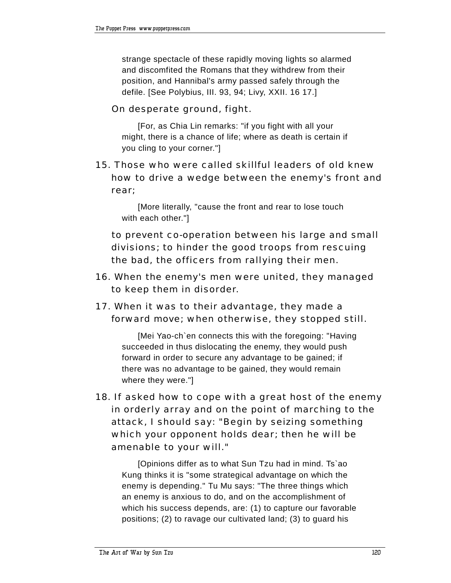strange spectacle of these rapidly moving lights so alarmed and discomfited the Romans that they withdrew from their position, and Hannibal's army passed safely through the defile. [See Polybius, III. 93, 94; Livy, XXII. 16 17.]

#### On desperate ground, fight.

[For, as Chia Lin remarks: "if you fight with all your might, there is a chance of life; where as death is certain if you cling to your corner."]

## 15. Those who were called skillful leaders of old knew how to drive a wedge between the enemy's front and rear;

[More literally, "cause the front and rear to lose touch with each other."]

 to prevent co-operation between his large and small divisions; to hinder the good troops from rescuing the bad, the officers from rallying their men.

- 16. When the enemy's men were united, they managed to keep them in disorder.
- 17. When it was to their advantage, they made a forward move; when otherwise, they stopped still.

[Mei Yao-ch`en connects this with the foregoing: "Having succeeded in thus dislocating the enemy, they would push forward in order to secure any advantage to be gained; if there was no advantage to be gained, they would remain where they were."]

18. If asked how to cope with a great host of the enemy in orderly array and on the point of marching to the attack, I should say: "Begin by seizing something which your opponent holds dear; then he will be amenable to your will."

[Opinions differ as to what Sun Tzu had in mind. Ts`ao Kung thinks it is "some strategical advantage on which the enemy is depending." Tu Mu says: "The three things which an enemy is anxious to do, and on the accomplishment of which his success depends, are: (1) to capture our favorable positions; (2) to ravage our cultivated land; (3) to guard his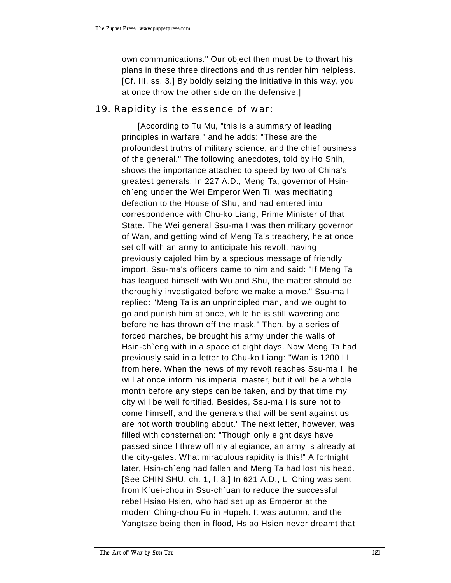own communications." Our object then must be to thwart his plans in these three directions and thus render him helpless. [Cf. III. ss. 3.] By boldly seizing the initiative in this way, you at once throw the other side on the defensive.]

#### 19. Rapidity is the essence of war:

[According to Tu Mu, "this is a summary of leading principles in warfare," and he adds: "These are the profoundest truths of military science, and the chief business of the general." The following anecdotes, told by Ho Shih, shows the importance attached to speed by two of China's greatest generals. In 227 A.D., Meng Ta, governor of Hsinch`eng under the Wei Emperor Wen Ti, was meditating defection to the House of Shu, and had entered into correspondence with Chu-ko Liang, Prime Minister of that State. The Wei general Ssu-ma I was then military governor of Wan, and getting wind of Meng Ta's treachery, he at once set off with an army to anticipate his revolt, having previously cajoled him by a specious message of friendly import. Ssu-ma's officers came to him and said: "If Meng Ta has leagued himself with Wu and Shu, the matter should be thoroughly investigated before we make a move." Ssu-ma I replied: "Meng Ta is an unprincipled man, and we ought to go and punish him at once, while he is still wavering and before he has thrown off the mask." Then, by a series of forced marches, be brought his army under the walls of Hsin-ch`eng with in a space of eight days. Now Meng Ta had previously said in a letter to Chu-ko Liang: "Wan is 1200 LI from here. When the news of my revolt reaches Ssu-ma I, he will at once inform his imperial master, but it will be a whole month before any steps can be taken, and by that time my city will be well fortified. Besides, Ssu-ma I is sure not to come himself, and the generals that will be sent against us are not worth troubling about." The next letter, however, was filled with consternation: "Though only eight days have passed since I threw off my allegiance, an army is already at the city-gates. What miraculous rapidity is this!" A fortnight later, Hsin-ch`eng had fallen and Meng Ta had lost his head. [See CHIN SHU, ch. 1, f. 3.] In 621 A.D., Li Ching was sent from K`uei-chou in Ssu-ch`uan to reduce the successful rebel Hsiao Hsien, who had set up as Emperor at the modern Ching-chou Fu in Hupeh. It was autumn, and the Yangtsze being then in flood, Hsiao Hsien never dreamt that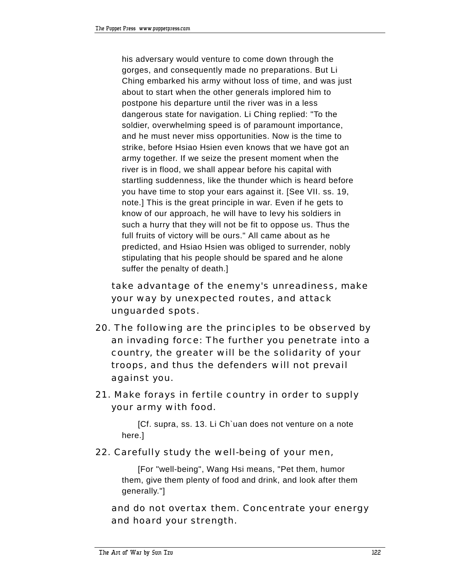his adversary would venture to come down through the gorges, and consequently made no preparations. But Li Ching embarked his army without loss of time, and was just about to start when the other generals implored him to postpone his departure until the river was in a less dangerous state for navigation. Li Ching replied: "To the soldier, overwhelming speed is of paramount importance, and he must never miss opportunities. Now is the time to strike, before Hsiao Hsien even knows that we have got an army together. If we seize the present moment when the river is in flood, we shall appear before his capital with startling suddenness, like the thunder which is heard before you have time to stop your ears against it. [See VII. ss. 19, note.] This is the great principle in war. Even if he gets to know of our approach, he will have to levy his soldiers in such a hurry that they will not be fit to oppose us. Thus the full fruits of victory will be ours." All came about as he predicted, and Hsiao Hsien was obliged to surrender, nobly stipulating that his people should be spared and he alone suffer the penalty of death.]

 take advantage of the enemy's unreadiness, make your way by unexpected routes, and attack unguarded spots.

- 20. The following are the principles to be observed by an invading force: The further you penetrate into a country, the greater will be the solidarity of your troops, and thus the defenders will not prevail against you.
- 21. Make forays in fertile country in order to supply your army with food.

[Cf. supra, ss. 13. Li Ch`uan does not venture on a note here.]

## 22. Carefully study the well-being of your men,

[For "well-being", Wang Hsi means, "Pet them, humor them, give them plenty of food and drink, and look after them generally."]

 and do not overtax them. Concentrate your energy and hoard your strength.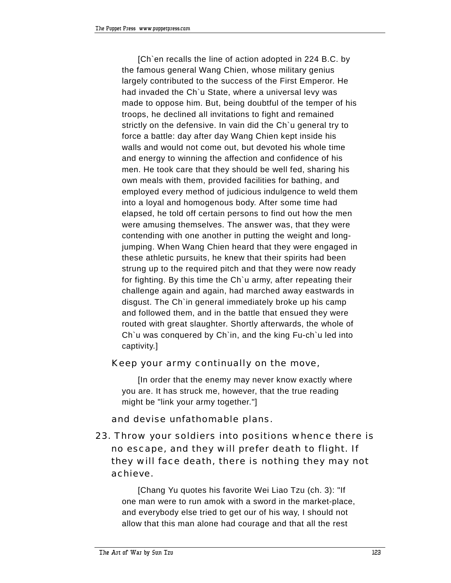[Ch`en recalls the line of action adopted in 224 B.C. by the famous general Wang Chien, whose military genius largely contributed to the success of the First Emperor. He had invaded the Ch`u State, where a universal levy was made to oppose him. But, being doubtful of the temper of his troops, he declined all invitations to fight and remained strictly on the defensive. In vain did the Ch`u general try to force a battle: day after day Wang Chien kept inside his walls and would not come out, but devoted his whole time and energy to winning the affection and confidence of his men. He took care that they should be well fed, sharing his own meals with them, provided facilities for bathing, and employed every method of judicious indulgence to weld them into a loyal and homogenous body. After some time had elapsed, he told off certain persons to find out how the men were amusing themselves. The answer was, that they were contending with one another in putting the weight and longjumping. When Wang Chien heard that they were engaged in these athletic pursuits, he knew that their spirits had been strung up to the required pitch and that they were now ready for fighting. By this time the Ch`u army, after repeating their challenge again and again, had marched away eastwards in disgust. The Ch`in general immediately broke up his camp and followed them, and in the battle that ensued they were routed with great slaughter. Shortly afterwards, the whole of Ch`u was conquered by Ch`in, and the king Fu-ch`u led into captivity.]

#### Keep your army continually on the move,

[In order that the enemy may never know exactly where you are. It has struck me, however, that the true reading might be "link your army together."]

## and devise unfathomable plans.

23. Throw your soldiers into positions whence there is no escape, and they will prefer death to flight. If they will face death, there is nothing they may not achieve.

[Chang Yu quotes his favorite Wei Liao Tzu (ch. 3): "If one man were to run amok with a sword in the market-place, and everybody else tried to get our of his way, I should not allow that this man alone had courage and that all the rest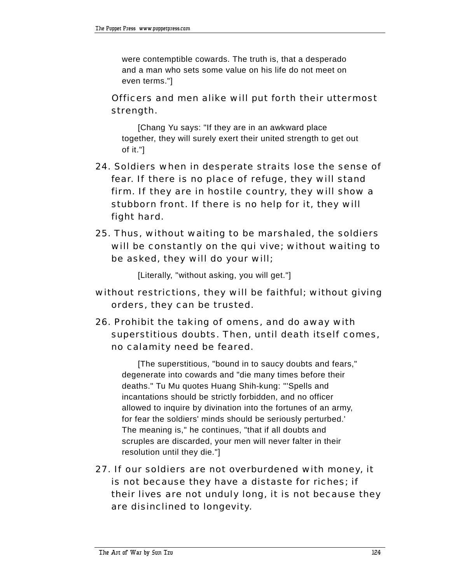were contemptible cowards. The truth is, that a desperado and a man who sets some value on his life do not meet on even terms."]

# Officers and men alike will put forth their uttermost strength.

[Chang Yu says: "If they are in an awkward place together, they will surely exert their united strength to get out of it."]

- 24. Soldiers when in desperate straits lose the sense of fear. If there is no place of refuge, they will stand firm. If they are in hostile country, they will show a stubborn front. If there is no help for it, they will fight hard.
- 25. Thus, without waiting to be marshaled, the soldiers will be constantly on the qui vive; without waiting to be asked, they will do your will;

[Literally, "without asking, you will get."]

- without restrictions, they will be faithful; without giving orders, they can be trusted.
- 26. Prohibit the taking of omens, and do away with superstitious doubts. Then, until death itself comes, no calamity need be feared.

[The superstitious, "bound in to saucy doubts and fears," degenerate into cowards and "die many times before their deaths." Tu Mu quotes Huang Shih-kung: "'Spells and incantations should be strictly forbidden, and no officer allowed to inquire by divination into the fortunes of an army, for fear the soldiers' minds should be seriously perturbed.' The meaning is," he continues, "that if all doubts and scruples are discarded, your men will never falter in their resolution until they die."]

27. If our soldiers are not overburdened with money, it is not because they have a distaste for riches; if their lives are not unduly long, it is not because they are disinclined to longevity.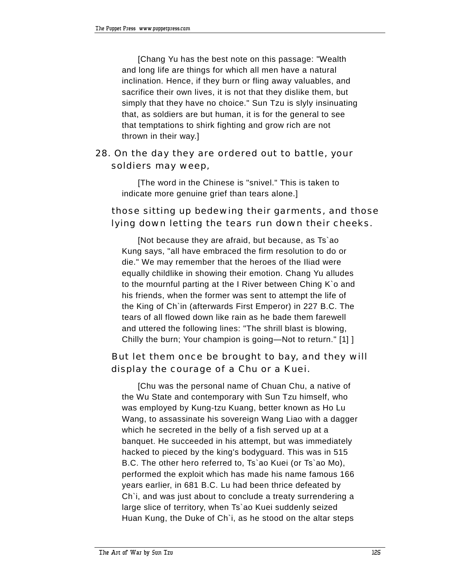[Chang Yu has the best note on this passage: "Wealth and long life are things for which all men have a natural inclination. Hence, if they burn or fling away valuables, and sacrifice their own lives, it is not that they dislike them, but simply that they have no choice." Sun Tzu is slyly insinuating that, as soldiers are but human, it is for the general to see that temptations to shirk fighting and grow rich are not thrown in their way.]

# 28. On the day they are ordered out to battle, your soldiers may weep,

[The word in the Chinese is "snivel." This is taken to indicate more genuine grief than tears alone.]

## those sitting up bedewing their garments, and those lying down letting the tears run down their cheeks.

[Not because they are afraid, but because, as Ts`ao Kung says, "all have embraced the firm resolution to do or die." We may remember that the heroes of the Iliad were equally childlike in showing their emotion. Chang Yu alludes to the mournful parting at the I River between Ching K`o and his friends, when the former was sent to attempt the life of the King of Ch`in (afterwards First Emperor) in 227 B.C. The tears of all flowed down like rain as he bade them farewell and uttered the following lines: "The shrill blast is blowing, Chilly the burn; Your champion is going-Not to return." [1] ]

# But let them once be brought to bay, and they will display the courage of a Chu or a Kuei.

[Chu was the personal name of Chuan Chu, a native of the Wu State and contemporary with Sun Tzu himself, who was employed by Kung-tzu Kuang, better known as Ho Lu Wang, to assassinate his sovereign Wang Liao with a dagger which he secreted in the belly of a fish served up at a banquet. He succeeded in his attempt, but was immediately hacked to pieced by the king's bodyguard. This was in 515 B.C. The other hero referred to, Ts`ao Kuei (or Ts`ao Mo), performed the exploit which has made his name famous 166 years earlier, in 681 B.C. Lu had been thrice defeated by Ch`i, and was just about to conclude a treaty surrendering a large slice of territory, when Ts`ao Kuei suddenly seized Huan Kung, the Duke of Ch`i, as he stood on the altar steps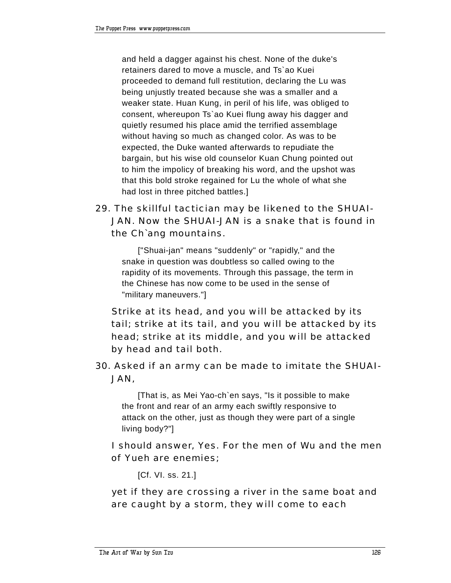and held a dagger against his chest. None of the duke's retainers dared to move a muscle, and Ts`ao Kuei proceeded to demand full restitution, declaring the Lu was being unjustly treated because she was a smaller and a weaker state. Huan Kung, in peril of his life, was obliged to consent, whereupon Ts`ao Kuei flung away his dagger and quietly resumed his place amid the terrified assemblage without having so much as changed color. As was to be expected, the Duke wanted afterwards to repudiate the bargain, but his wise old counselor Kuan Chung pointed out to him the impolicy of breaking his word, and the upshot was that this bold stroke regained for Lu the whole of what she had lost in three pitched battles.]

# 29. The skillful tactician may be likened to the SHUAI-JAN. Now the SHUAI-JAN is a snake that is found in the Ch`ang mountains.

["Shuai-jan" means "suddenly" or "rapidly," and the snake in question was doubtless so called owing to the rapidity of its movements. Through this passage, the term in the Chinese has now come to be used in the sense of "military maneuvers."]

 Strike at its head, and you will be attacked by its tail; strike at its tail, and you will be attacked by its head; strike at its middle, and you will be attacked by head and tail both.

30. Asked if an army can be made to imitate the SHUAI-JAN,

[That is, as Mei Yao-ch`en says, "Is it possible to make the front and rear of an army each swiftly responsive to attack on the other, just as though they were part of a single living body?"]

 I should answer, Yes. For the men of Wu and the men of Yueh are enemies;

[Cf. VI. ss. 21.]

 yet if they are crossing a river in the same boat and are caught by a storm, they will come to each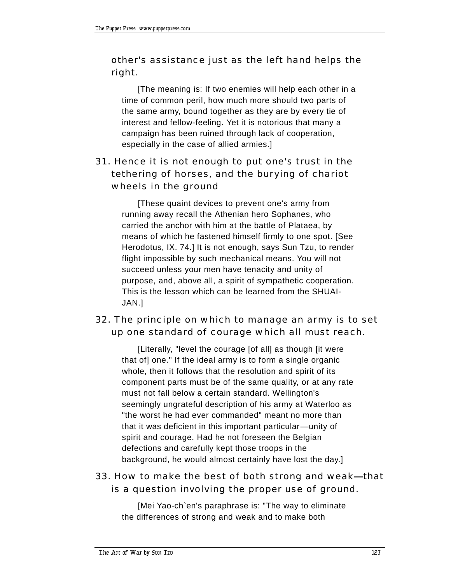# other's assistance just as the left hand helps the right.

[The meaning is: If two enemies will help each other in a time of common peril, how much more should two parts of the same army, bound together as they are by every tie of interest and fellow-feeling. Yet it is notorious that many a campaign has been ruined through lack of cooperation, especially in the case of allied armies.]

# 31. Hence it is not enough to put one's trust in the tethering of horses, and the burying of chariot wheels in the ground

[These quaint devices to prevent one's army from running away recall the Athenian hero Sophanes, who carried the anchor with him at the battle of Plataea, by means of which he fastened himself firmly to one spot. [See Herodotus, IX. 74.] It is not enough, says Sun Tzu, to render flight impossible by such mechanical means. You will not succeed unless your men have tenacity and unity of purpose, and, above all, a spirit of sympathetic cooperation. This is the lesson which can be learned from the SHUAI-JAN.]

## 32. The principle on which to manage an army is to set up one standard of courage which all must reach.

[Literally, "level the courage [of all] as though [it were that of] one." If the ideal army is to form a single organic whole, then it follows that the resolution and spirit of its component parts must be of the same quality, or at any rate must not fall below a certain standard. Wellington's seemingly ungrateful description of his army at Waterloo as "the worst he had ever commanded" meant no more than that it was deficient in this important particular—unity of spirit and courage. Had he not foreseen the Belgian defections and carefully kept those troops in the background, he would almost certainly have lost the day.]

## 33. How to make the best of both strong and weak—that is a question involving the proper use of ground.

[Mei Yao-ch`en's paraphrase is: "The way to eliminate the differences of strong and weak and to make both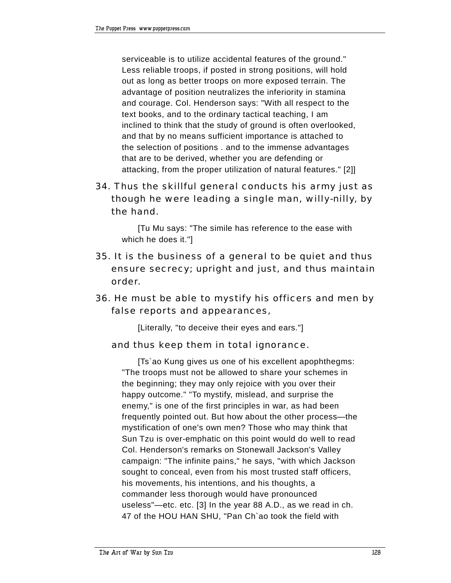serviceable is to utilize accidental features of the ground." Less reliable troops, if posted in strong positions, will hold out as long as better troops on more exposed terrain. The advantage of position neutralizes the inferiority in stamina and courage. Col. Henderson says: "With all respect to the text books, and to the ordinary tactical teaching, I am inclined to think that the study of ground is often overlooked, and that by no means sufficient importance is attached to the selection of positions . and to the immense advantages that are to be derived, whether you are defending or attacking, from the proper utilization of natural features." [2]]

34. Thus the skillful general conducts his army just as though he were leading a single man, willy-nilly, by the hand.

[Tu Mu says: "The simile has reference to the ease with which he does it."]

- 35. It is the business of a general to be quiet and thus ensure secrecy; upright and just, and thus maintain order.
- 36. He must be able to mystify his officers and men by false reports and appearances,

[Literally, "to deceive their eyes and ears."]

#### and thus keep them in total ignorance.

[Ts`ao Kung gives us one of his excellent apophthegms: "The troops must not be allowed to share your schemes in the beginning; they may only rejoice with you over their happy outcome." "To mystify, mislead, and surprise the enemy," is one of the first principles in war, as had been frequently pointed out. But how about the other process-the mystification of one's own men? Those who may think that Sun Tzu is over-emphatic on this point would do well to read Col. Henderson's remarks on Stonewall Jackson's Valley campaign: "The infinite pains," he says, "with which Jackson sought to conceal, even from his most trusted staff officers, his movements, his intentions, and his thoughts, a commander less thorough would have pronounced useless"-etc. etc. [3] In the year 88 A.D., as we read in ch. 47 of the HOU HAN SHU, "Pan Ch`ao took the field with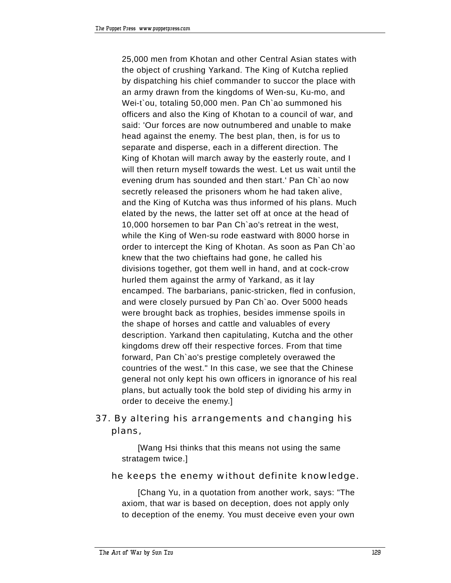25,000 men from Khotan and other Central Asian states with the object of crushing Yarkand. The King of Kutcha replied by dispatching his chief commander to succor the place with an army drawn from the kingdoms of Wen-su, Ku-mo, and Wei-t`ou, totaling 50,000 men. Pan Ch`ao summoned his officers and also the King of Khotan to a council of war, and said: 'Our forces are now outnumbered and unable to make head against the enemy. The best plan, then, is for us to separate and disperse, each in a different direction. The King of Khotan will march away by the easterly route, and I will then return myself towards the west. Let us wait until the evening drum has sounded and then start.' Pan Ch`ao now secretly released the prisoners whom he had taken alive, and the King of Kutcha was thus informed of his plans. Much elated by the news, the latter set off at once at the head of 10,000 horsemen to bar Pan Ch`ao's retreat in the west, while the King of Wen-su rode eastward with 8000 horse in order to intercept the King of Khotan. As soon as Pan Ch`ao knew that the two chieftains had gone, he called his divisions together, got them well in hand, and at cock-crow hurled them against the army of Yarkand, as it lay encamped. The barbarians, panic-stricken, fled in confusion, and were closely pursued by Pan Ch`ao. Over 5000 heads were brought back as trophies, besides immense spoils in the shape of horses and cattle and valuables of every description. Yarkand then capitulating, Kutcha and the other kingdoms drew off their respective forces. From that time forward, Pan Ch`ao's prestige completely overawed the countries of the west." In this case, we see that the Chinese general not only kept his own officers in ignorance of his real plans, but actually took the bold step of dividing his army in order to deceive the enemy.]

# 37. By altering his arrangements and changing his plans,

[Wang Hsi thinks that this means not using the same stratagem twice.]

#### he keeps the enemy without definite knowledge.

[Chang Yu, in a quotation from another work, says: "The axiom, that war is based on deception, does not apply only to deception of the enemy. You must deceive even your own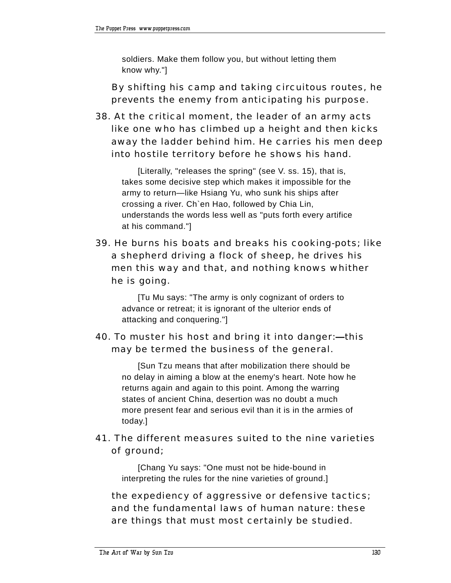soldiers. Make them follow you, but without letting them know why."]

 By shifting his camp and taking circuitous routes, he prevents the enemy from anticipating his purpose.

38. At the critical moment, the leader of an army acts like one who has climbed up a height and then kicks away the ladder behind him. He carries his men deep into hostile territory before he shows his hand.

[Literally, "releases the spring" (see V. ss. 15), that is, takes some decisive step which makes it impossible for the army to return—like Hsiang Yu, who sunk his ships after crossing a river. Ch`en Hao, followed by Chia Lin, understands the words less well as "puts forth every artifice at his command."]

39. He burns his boats and breaks his cooking-pots; like a shepherd driving a flock of sheep, he drives his men this way and that, and nothing knows whither he is going.

[Tu Mu says: "The army is only cognizant of orders to advance or retreat; it is ignorant of the ulterior ends of attacking and conquering."]

# 40. To muster his host and bring it into danger:- this may be termed the business of the general.

[Sun Tzu means that after mobilization there should be no delay in aiming a blow at the enemy's heart. Note how he returns again and again to this point. Among the warring states of ancient China, desertion was no doubt a much more present fear and serious evil than it is in the armies of today.]

# 41. The different measures suited to the nine varieties of ground;

[Chang Yu says: "One must not be hide-bound in interpreting the rules for the nine varieties of ground.]

 the expediency of aggressive or defensive tactics; and the fundamental laws of human nature: these are things that must most certainly be studied.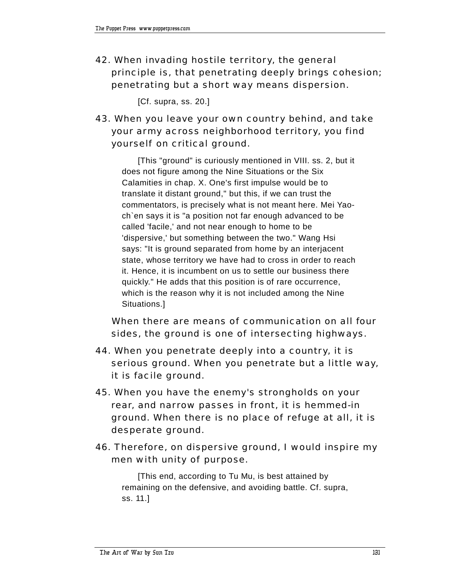42. When invading hostile territory, the general principle is, that penetrating deeply brings cohesion; penetrating but a short way means dispersion.

[Cf. supra, ss. 20.]

# 43. When you leave your own country behind, and take your army across neighborhood territory, you find yourself on critical ground.

[This "ground" is curiously mentioned in VIII. ss. 2, but it does not figure among the Nine Situations or the Six Calamities in chap. X. One's first impulse would be to translate it distant ground," but this, if we can trust the commentators, is precisely what is not meant here. Mei Yaoch`en says it is "a position not far enough advanced to be called 'facile,' and not near enough to home to be 'dispersive,' but something between the two." Wang Hsi says: "It is ground separated from home by an interjacent state, whose territory we have had to cross in order to reach it. Hence, it is incumbent on us to settle our business there quickly." He adds that this position is of rare occurrence, which is the reason why it is not included among the Nine Situations.]

 When there are means of communication on all four sides, the ground is one of intersecting highways.

- 44. When you penetrate deeply into a country, it is serious ground. When you penetrate but a little way, it is facile ground.
- 45. When you have the enemy's strongholds on your rear, and narrow passes in front, it is hemmed-in ground. When there is no place of refuge at all, it is desperate ground.
- 46. Therefore, on dispersive ground, I would inspire my men with unity of purpose.

[This end, according to Tu Mu, is best attained by remaining on the defensive, and avoiding battle. Cf. supra, ss. 11.]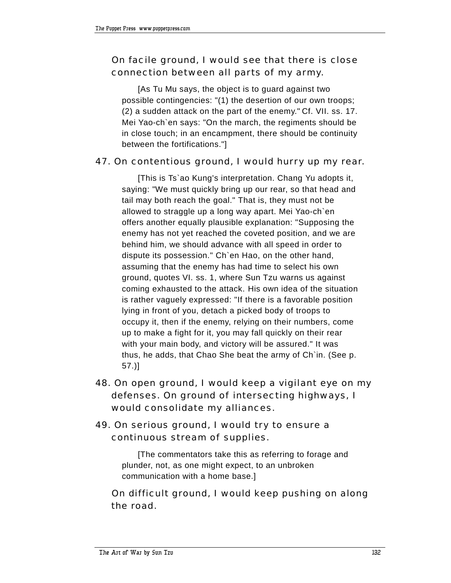# On facile ground, I would see that there is close connection between all parts of my army.

[As Tu Mu says, the object is to guard against two possible contingencies: "(1) the desertion of our own troops; (2) a sudden attack on the part of the enemy." Cf. VII. ss. 17. Mei Yao-ch`en says: "On the march, the regiments should be in close touch; in an encampment, there should be continuity between the fortifications."]

## 47. On contentious ground, I would hurry up my rear.

[This is Ts`ao Kung's interpretation. Chang Yu adopts it, saying: "We must quickly bring up our rear, so that head and tail may both reach the goal." That is, they must not be allowed to straggle up a long way apart. Mei Yao-ch`en offers another equally plausible explanation: "Supposing the enemy has not yet reached the coveted position, and we are behind him, we should advance with all speed in order to dispute its possession." Ch`en Hao, on the other hand, assuming that the enemy has had time to select his own ground, quotes VI. ss. 1, where Sun Tzu warns us against coming exhausted to the attack. His own idea of the situation is rather vaguely expressed: "If there is a favorable position lying in front of you, detach a picked body of troops to occupy it, then if the enemy, relying on their numbers, come up to make a fight for it, you may fall quickly on their rear with your main body, and victory will be assured." It was thus, he adds, that Chao She beat the army of Ch`in. (See p. 57.)]

- 48. On open ground, I would keep a vigilant eye on my defenses. On ground of intersecting highways, I would consolidate my alliances.
- 49. On serious ground, I would try to ensure a continuous stream of supplies.

[The commentators take this as referring to forage and plunder, not, as one might expect, to an unbroken communication with a home base.]

 On difficult ground, I would keep pushing on along the road.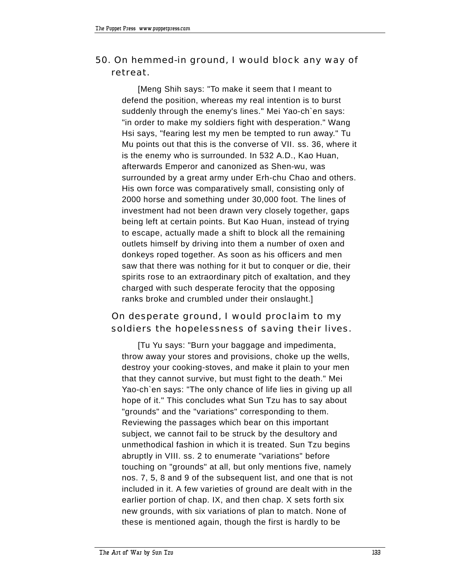# 50. On hemmed-in ground, I would block any way of retreat.

[Meng Shih says: "To make it seem that I meant to defend the position, whereas my real intention is to burst suddenly through the enemy's lines." Mei Yao-ch`en says: "in order to make my soldiers fight with desperation." Wang Hsi says, "fearing lest my men be tempted to run away." Tu Mu points out that this is the converse of VII. ss. 36, where it is the enemy who is surrounded. In 532 A.D., Kao Huan, afterwards Emperor and canonized as Shen-wu, was surrounded by a great army under Erh-chu Chao and others. His own force was comparatively small, consisting only of 2000 horse and something under 30,000 foot. The lines of investment had not been drawn very closely together, gaps being left at certain points. But Kao Huan, instead of trying to escape, actually made a shift to block all the remaining outlets himself by driving into them a number of oxen and donkeys roped together. As soon as his officers and men saw that there was nothing for it but to conquer or die, their spirits rose to an extraordinary pitch of exaltation, and they charged with such desperate ferocity that the opposing ranks broke and crumbled under their onslaught.]

# On desperate ground, I would proclaim to my soldiers the hopelessness of saving their lives.

[Tu Yu says: "Burn your baggage and impedimenta, throw away your stores and provisions, choke up the wells, destroy your cooking-stoves, and make it plain to your men that they cannot survive, but must fight to the death." Mei Yao-ch`en says: "The only chance of life lies in giving up all hope of it." This concludes what Sun Tzu has to say about "grounds" and the "variations" corresponding to them. Reviewing the passages which bear on this important subject, we cannot fail to be struck by the desultory and unmethodical fashion in which it is treated. Sun Tzu begins abruptly in VIII. ss. 2 to enumerate "variations" before touching on "grounds" at all, but only mentions five, namely nos. 7, 5, 8 and 9 of the subsequent list, and one that is not included in it. A few varieties of ground are dealt with in the earlier portion of chap. IX, and then chap. X sets forth six new grounds, with six variations of plan to match. None of these is mentioned again, though the first is hardly to be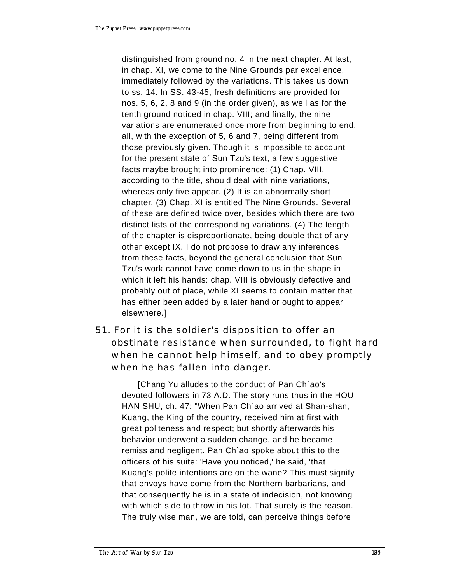distinguished from ground no. 4 in the next chapter. At last, in chap. XI, we come to the Nine Grounds par excellence, immediately followed by the variations. This takes us down to ss. 14. In SS. 43-45, fresh definitions are provided for nos. 5, 6, 2, 8 and 9 (in the order given), as well as for the tenth ground noticed in chap. VIII; and finally, the nine variations are enumerated once more from beginning to end, all, with the exception of 5, 6 and 7, being different from those previously given. Though it is impossible to account for the present state of Sun Tzu's text, a few suggestive facts maybe brought into prominence: (1) Chap. VIII, according to the title, should deal with nine variations, whereas only five appear. (2) It is an abnormally short chapter. (3) Chap. XI is entitled The Nine Grounds. Several of these are defined twice over, besides which there are two distinct lists of the corresponding variations. (4) The length of the chapter is disproportionate, being double that of any other except IX. I do not propose to draw any inferences from these facts, beyond the general conclusion that Sun Tzu's work cannot have come down to us in the shape in which it left his hands: chap. VIII is obviously defective and probably out of place, while XI seems to contain matter that has either been added by a later hand or ought to appear elsewhere.]

# 51. For it is the soldier's disposition to offer an obstinate resistance when surrounded, to fight hard when he cannot help himself, and to obey promptly when he has fallen into danger.

[Chang Yu alludes to the conduct of Pan Ch`ao's devoted followers in 73 A.D. The story runs thus in the HOU HAN SHU, ch. 47: "When Pan Ch`ao arrived at Shan-shan, Kuang, the King of the country, received him at first with great politeness and respect; but shortly afterwards his behavior underwent a sudden change, and he became remiss and negligent. Pan Ch`ao spoke about this to the officers of his suite: 'Have you noticed,' he said, 'that Kuang's polite intentions are on the wane? This must signify that envoys have come from the Northern barbarians, and that consequently he is in a state of indecision, not knowing with which side to throw in his lot. That surely is the reason. The truly wise man, we are told, can perceive things before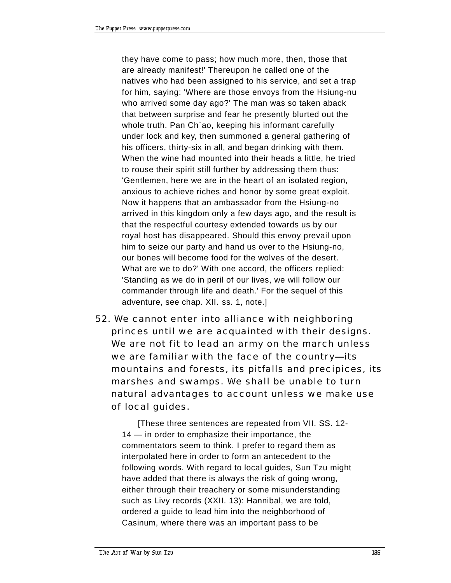they have come to pass; how much more, then, those that are already manifest!' Thereupon he called one of the natives who had been assigned to his service, and set a trap for him, saying: 'Where are those envoys from the Hsiung-nu who arrived some day ago?' The man was so taken aback that between surprise and fear he presently blurted out the whole truth. Pan Ch'ao, keeping his informant carefully under lock and key, then summoned a general gathering of his officers, thirty-six in all, and began drinking with them. When the wine had mounted into their heads a little, he tried to rouse their spirit still further by addressing them thus: 'Gentlemen, here we are in the heart of an isolated region, anxious to achieve riches and honor by some great exploit. Now it happens that an ambassador from the Hsiung-no arrived in this kingdom only a few days ago, and the result is that the respectful courtesy extended towards us by our royal host has disappeared. Should this envoy prevail upon him to seize our party and hand us over to the Hsiung-no, our bones will become food for the wolves of the desert. What are we to do?' With one accord, the officers replied: 'Standing as we do in peril of our lives, we will follow our commander through life and death.' For the sequel of this adventure, see chap. XII. ss. 1, note.]

52. We cannot enter into alliance with neighboring princes until we are acquainted with their designs. We are not fit to lead an army on the march unless we are familiar with the face of the country-its mountains and forests, its pitfalls and precipices, its marshes and swamps. We shall be unable to turn natural advantages to account unless we make use of local guides.

[These three sentences are repeated from VII. SS. 12-  $14 -$  in order to emphasize their importance, the commentators seem to think. I prefer to regard them as interpolated here in order to form an antecedent to the following words. With regard to local guides, Sun Tzu might have added that there is always the risk of going wrong, either through their treachery or some misunderstanding such as Livy records (XXII. 13): Hannibal, we are told, ordered a guide to lead him into the neighborhood of Casinum, where there was an important pass to be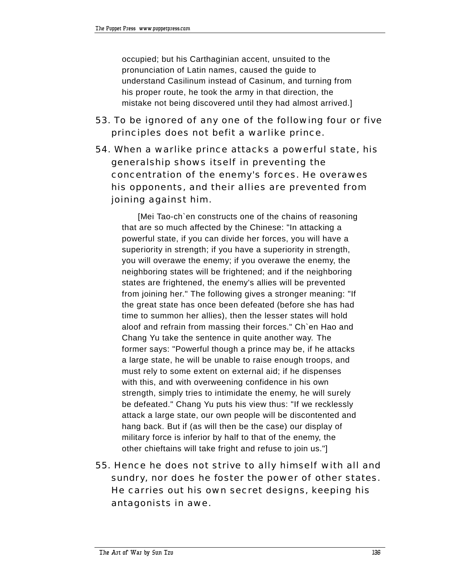occupied; but his Carthaginian accent, unsuited to the pronunciation of Latin names, caused the guide to understand Casilinum instead of Casinum, and turning from his proper route, he took the army in that direction, the mistake not being discovered until they had almost arrived.]

- 53. To be ignored of any one of the following four or five principles does not befit a warlike prince.
- 54. When a warlike prince attacks a powerful state, his generalship shows itself in preventing the concentration of the enemy's forces. He overawes his opponents, and their allies are prevented from joining against him.

[Mei Tao-ch`en constructs one of the chains of reasoning that are so much affected by the Chinese: "In attacking a powerful state, if you can divide her forces, you will have a superiority in strength; if you have a superiority in strength, you will overawe the enemy; if you overawe the enemy, the neighboring states will be frightened; and if the neighboring states are frightened, the enemy's allies will be prevented from joining her." The following gives a stronger meaning: "If the great state has once been defeated (before she has had time to summon her allies), then the lesser states will hold aloof and refrain from massing their forces." Ch`en Hao and Chang Yu take the sentence in quite another way. The former says: "Powerful though a prince may be, if he attacks a large state, he will be unable to raise enough troops, and must rely to some extent on external aid; if he dispenses with this, and with overweening confidence in his own strength, simply tries to intimidate the enemy, he will surely be defeated." Chang Yu puts his view thus: "If we recklessly attack a large state, our own people will be discontented and hang back. But if (as will then be the case) our display of military force is inferior by half to that of the enemy, the other chieftains will take fright and refuse to join us."]

55. Hence he does not strive to ally himself with all and sundry, nor does he foster the power of other states. He carries out his own secret designs, keeping his antagonists in awe.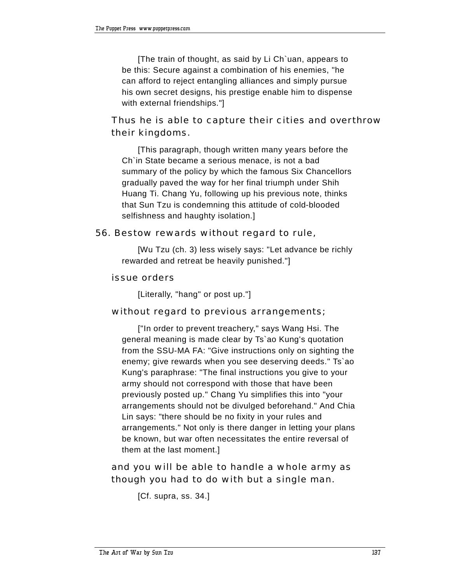[The train of thought, as said by Li Ch`uan, appears to be this: Secure against a combination of his enemies, "he can afford to reject entangling alliances and simply pursue his own secret designs, his prestige enable him to dispense with external friendships."]

# Thus he is able to capture their cities and overthrow their kingdoms.

[This paragraph, though written many years before the Ch`in State became a serious menace, is not a bad summary of the policy by which the famous Six Chancellors gradually paved the way for her final triumph under Shih Huang Ti. Chang Yu, following up his previous note, thinks that Sun Tzu is condemning this attitude of cold-blooded selfishness and haughty isolation.]

#### 56. Bestow rewards without regard to rule,

[Wu Tzu (ch. 3) less wisely says: "Let advance be richly rewarded and retreat be heavily punished."]

#### issue orders

[Literally, "hang" or post up."]

## without regard to previous arrangements;

["In order to prevent treachery," says Wang Hsi. The general meaning is made clear by Ts`ao Kung's quotation from the SSU-MA FA: "Give instructions only on sighting the enemy; give rewards when you see deserving deeds." Ts`ao Kung's paraphrase: "The final instructions you give to your army should not correspond with those that have been previously posted up." Chang Yu simplifies this into "your arrangements should not be divulged beforehand." And Chia Lin says: "there should be no fixity in your rules and arrangements." Not only is there danger in letting your plans be known, but war often necessitates the entire reversal of them at the last moment.]

 and you will be able to handle a whole army as though you had to do with but a single man.

```
[Cf. supra, ss. 34.]
```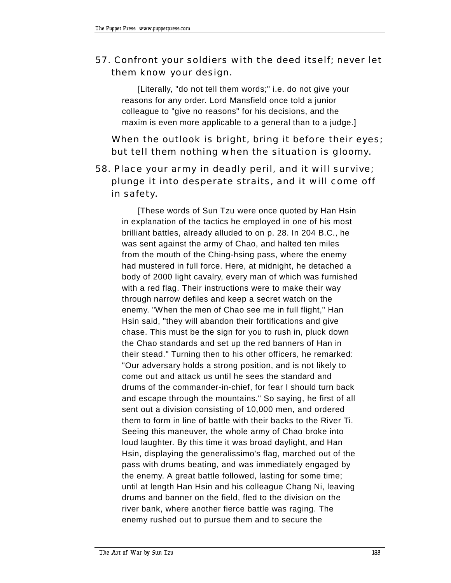# 57. Confront your soldiers with the deed itself; never let them know your design.

[Literally, "do not tell them words;" i.e. do not give your reasons for any order. Lord Mansfield once told a junior colleague to "give no reasons" for his decisions, and the maxim is even more applicable to a general than to a judge.]

 When the outlook is bright, bring it before their eyes; but tell them nothing when the situation is gloomy.

# 58. Place your army in deadly peril, and it will survive; plunge it into desperate straits, and it will come off in safety.

[These words of Sun Tzu were once quoted by Han Hsin in explanation of the tactics he employed in one of his most brilliant battles, already alluded to on p. 28. In 204 B.C., he was sent against the army of Chao, and halted ten miles from the mouth of the Ching-hsing pass, where the enemy had mustered in full force. Here, at midnight, he detached a body of 2000 light cavalry, every man of which was furnished with a red flag. Their instructions were to make their way through narrow defiles and keep a secret watch on the enemy. "When the men of Chao see me in full flight," Han Hsin said, "they will abandon their fortifications and give chase. This must be the sign for you to rush in, pluck down the Chao standards and set up the red banners of Han in their stead." Turning then to his other officers, he remarked: "Our adversary holds a strong position, and is not likely to come out and attack us until he sees the standard and drums of the commander-in-chief, for fear I should turn back and escape through the mountains." So saying, he first of all sent out a division consisting of 10,000 men, and ordered them to form in line of battle with their backs to the River Ti. Seeing this maneuver, the whole army of Chao broke into loud laughter. By this time it was broad daylight, and Han Hsin, displaying the generalissimo's flag, marched out of the pass with drums beating, and was immediately engaged by the enemy. A great battle followed, lasting for some time; until at length Han Hsin and his colleague Chang Ni, leaving drums and banner on the field, fled to the division on the river bank, where another fierce battle was raging. The enemy rushed out to pursue them and to secure the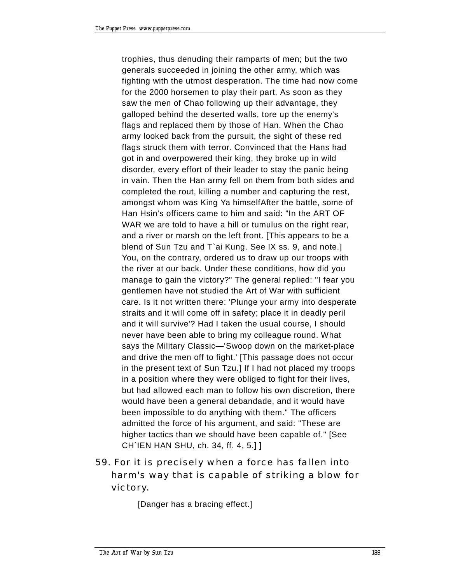trophies, thus denuding their ramparts of men; but the two generals succeeded in joining the other army, which was fighting with the utmost desperation. The time had now come for the 2000 horsemen to play their part. As soon as they saw the men of Chao following up their advantage, they galloped behind the deserted walls, tore up the enemy's flags and replaced them by those of Han. When the Chao army looked back from the pursuit, the sight of these red flags struck them with terror. Convinced that the Hans had got in and overpowered their king, they broke up in wild disorder, every effort of their leader to stay the panic being in vain. Then the Han army fell on them from both sides and completed the rout, killing a number and capturing the rest, amongst whom was King Ya himselfAfter the battle, some of Han Hsin's officers came to him and said: "In the ART OF WAR we are told to have a hill or tumulus on the right rear, and a river or marsh on the left front. [This appears to be a blend of Sun Tzu and T`ai Kung. See IX ss. 9, and note.] You, on the contrary, ordered us to draw up our troops with the river at our back. Under these conditions, how did you manage to gain the victory?" The general replied: "I fear you gentlemen have not studied the Art of War with sufficient care. Is it not written there: 'Plunge your army into desperate straits and it will come off in safety; place it in deadly peril and it will survive'? Had I taken the usual course, I should never have been able to bring my colleague round. What says the Military Classic-'Swoop down on the market-place and drive the men off to fight.' [This passage does not occur in the present text of Sun Tzu.] If I had not placed my troops in a position where they were obliged to fight for their lives, but had allowed each man to follow his own discretion, there would have been a general debandade, and it would have been impossible to do anything with them." The officers admitted the force of his argument, and said: "These are higher tactics than we should have been capable of." [See CH`IEN HAN SHU, ch. 34, ff. 4, 5.] ]

59. For it is precisely when a force has fallen into harm's way that is capable of striking a blow for victory.

[Danger has a bracing effect.]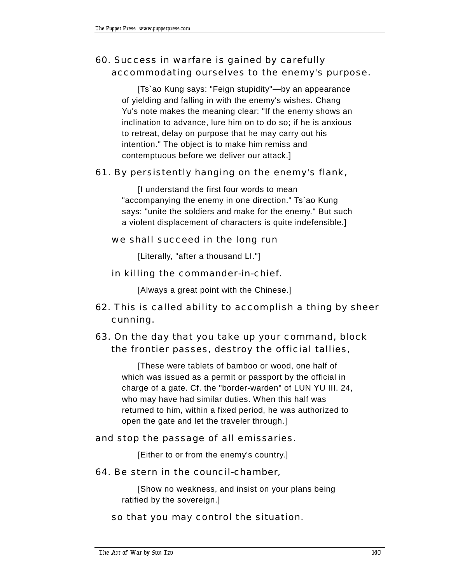# 60. Success in warfare is gained by carefully accommodating ourselves to the enemy's purpose.

[Ts`ao Kung says: "Feign stupidity"—by an appearance of yielding and falling in with the enemy's wishes. Chang Yu's note makes the meaning clear: "If the enemy shows an inclination to advance, lure him on to do so; if he is anxious to retreat, delay on purpose that he may carry out his intention." The object is to make him remiss and contemptuous before we deliver our attack.]

## 61. By persistently hanging on the enemy's flank,

[I understand the first four words to mean "accompanying the enemy in one direction." Ts`ao Kung says: "unite the soldiers and make for the enemy." But such a violent displacement of characters is quite indefensible.]

## we shall succeed in the long run

[Literally, "after a thousand LI."]

## in killing the commander-in-chief.

[Always a great point with the Chinese.]

# 62. This is called ability to accomplish a thing by sheer cunning.

# 63. On the day that you take up your command, block the frontier passes, destroy the official tallies,

[These were tablets of bamboo or wood, one half of which was issued as a permit or passport by the official in charge of a gate. Cf. the "border-warden" of LUN YU III. 24, who may have had similar duties. When this half was returned to him, within a fixed period, he was authorized to open the gate and let the traveler through.]

## and stop the passage of all emissaries.

[Either to or from the enemy's country.]

## 64. Be stern in the council-chamber,

[Show no weakness, and insist on your plans being ratified by the sovereign.]

## so that you may control the situation.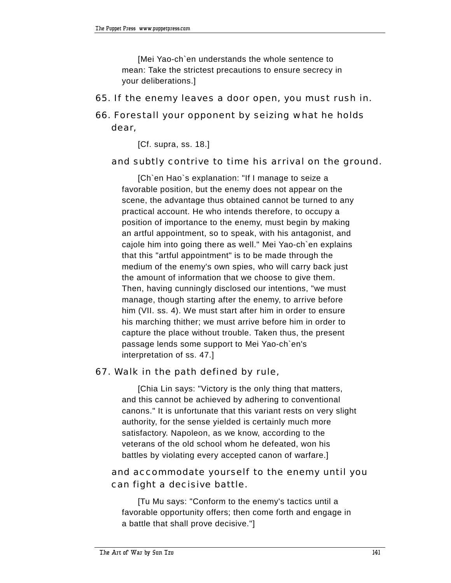[Mei Yao-ch`en understands the whole sentence to mean: Take the strictest precautions to ensure secrecy in your deliberations.]

65. If the enemy leaves a door open, you must rush in.

# 66. Forestall your opponent by seizing what he holds dear,

[Cf. supra, ss. 18.]

#### and subtly contrive to time his arrival on the ground.

[Ch`en Hao`s explanation: "If I manage to seize a favorable position, but the enemy does not appear on the scene, the advantage thus obtained cannot be turned to any practical account. He who intends therefore, to occupy a position of importance to the enemy, must begin by making an artful appointment, so to speak, with his antagonist, and cajole him into going there as well." Mei Yao-ch`en explains that this "artful appointment" is to be made through the medium of the enemy's own spies, who will carry back just the amount of information that we choose to give them. Then, having cunningly disclosed our intentions, "we must manage, though starting after the enemy, to arrive before him (VII. ss. 4). We must start after him in order to ensure his marching thither; we must arrive before him in order to capture the place without trouble. Taken thus, the present passage lends some support to Mei Yao-ch`en's interpretation of ss. 47.]

#### 67. Walk in the path defined by rule,

[Chia Lin says: "Victory is the only thing that matters, and this cannot be achieved by adhering to conventional canons." It is unfortunate that this variant rests on very slight authority, for the sense yielded is certainly much more satisfactory. Napoleon, as we know, according to the veterans of the old school whom he defeated, won his battles by violating every accepted canon of warfare.]

## and accommodate yourself to the enemy until you can fight a decisive battle.

[Tu Mu says: "Conform to the enemy's tactics until a favorable opportunity offers; then come forth and engage in a battle that shall prove decisive."]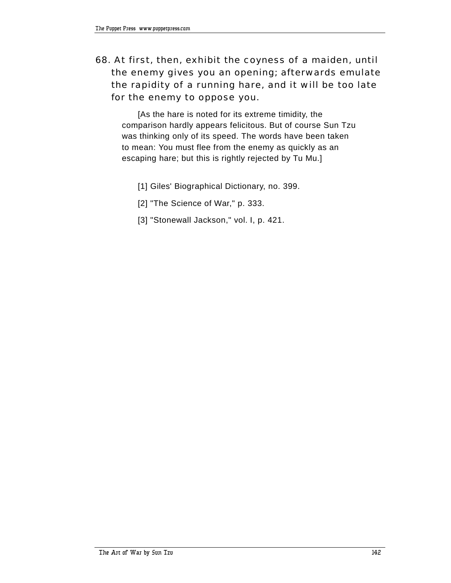# 68. At first, then, exhibit the coyness of a maiden, until the enemy gives you an opening; afterwards emulate the rapidity of a running hare, and it will be too late for the enemy to oppose you.

[As the hare is noted for its extreme timidity, the comparison hardly appears felicitous. But of course Sun Tzu was thinking only of its speed. The words have been taken to mean: You must flee from the enemy as quickly as an escaping hare; but this is rightly rejected by Tu Mu.]

- [1] Giles' Biographical Dictionary, no. 399.
- [2] "The Science of War," p. 333.
- [3] "Stonewall Jackson," vol. I, p. 421.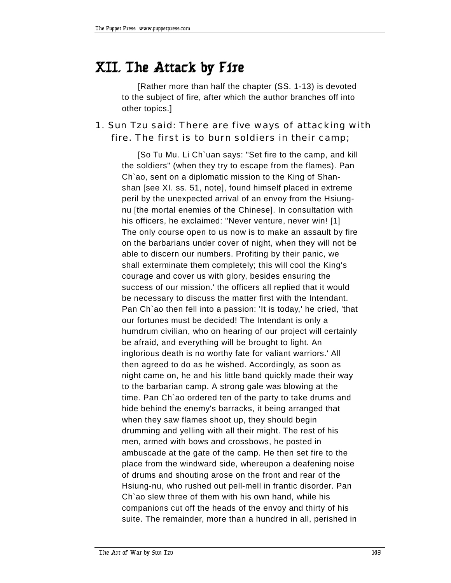# **XII. The Attack by Fire**

[Rather more than half the chapter (SS. 1-13) is devoted to the subject of fire, after which the author branches off into other topics.]

## 1. Sun Tzu said: There are five ways of attacking with fire. The first is to burn soldiers in their camp;

[So Tu Mu. Li Ch`uan says: "Set fire to the camp, and kill the soldiers" (when they try to escape from the flames). Pan Ch`ao, sent on a diplomatic mission to the King of Shanshan [see XI. ss. 51, note], found himself placed in extreme peril by the unexpected arrival of an envoy from the Hsiungnu [the mortal enemies of the Chinese]. In consultation with his officers, he exclaimed: "Never venture, never win! [1] The only course open to us now is to make an assault by fire on the barbarians under cover of night, when they will not be able to discern our numbers. Profiting by their panic, we shall exterminate them completely; this will cool the King's courage and cover us with glory, besides ensuring the success of our mission.' the officers all replied that it would be necessary to discuss the matter first with the Intendant. Pan Ch`ao then fell into a passion: 'It is today,' he cried, 'that our fortunes must be decided! The Intendant is only a humdrum civilian, who on hearing of our project will certainly be afraid, and everything will be brought to light. An inglorious death is no worthy fate for valiant warriors.' All then agreed to do as he wished. Accordingly, as soon as night came on, he and his little band quickly made their way to the barbarian camp. A strong gale was blowing at the time. Pan Ch`ao ordered ten of the party to take drums and hide behind the enemy's barracks, it being arranged that when they saw flames shoot up, they should begin drumming and yelling with all their might. The rest of his men, armed with bows and crossbows, he posted in ambuscade at the gate of the camp. He then set fire to the place from the windward side, whereupon a deafening noise of drums and shouting arose on the front and rear of the Hsiung-nu, who rushed out pell-mell in frantic disorder. Pan Ch`ao slew three of them with his own hand, while his companions cut off the heads of the envoy and thirty of his suite. The remainder, more than a hundred in all, perished in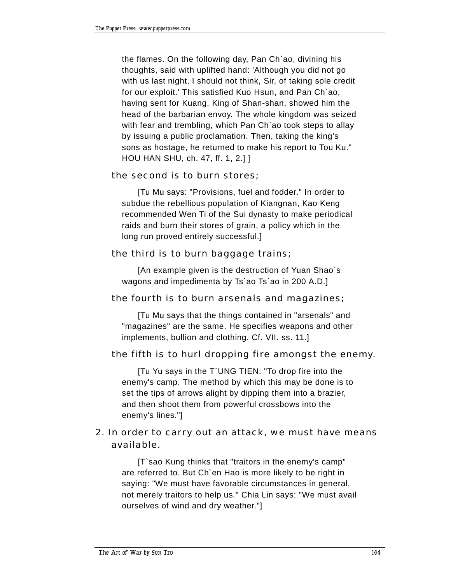the flames. On the following day, Pan Ch`ao, divining his thoughts, said with uplifted hand: 'Although you did not go with us last night, I should not think, Sir, of taking sole credit for our exploit.' This satisfied Kuo Hsun, and Pan Ch`ao, having sent for Kuang, King of Shan-shan, showed him the head of the barbarian envoy. The whole kingdom was seized with fear and trembling, which Pan Ch`ao took steps to allay by issuing a public proclamation. Then, taking the king's sons as hostage, he returned to make his report to Tou Ku." HOU HAN SHU, ch. 47, ff. 1, 2.] ]

## the second is to burn stores;

[Tu Mu says: "Provisions, fuel and fodder." In order to subdue the rebellious population of Kiangnan, Kao Keng recommended Wen Ti of the Sui dynasty to make periodical raids and burn their stores of grain, a policy which in the long run proved entirely successful.]

## the third is to burn baggage trains;

[An example given is the destruction of Yuan Shao`s wagons and impedimenta by Ts`ao Ts`ao in 200 A.D.]

#### the fourth is to burn arsenals and magazines;

[Tu Mu says that the things contained in "arsenals" and "magazines" are the same. He specifies weapons and other implements, bullion and clothing. Cf. VII. ss. 11.]

## the fifth is to hurl dropping fire amongst the enemy.

[Tu Yu says in the T`UNG TIEN: "To drop fire into the enemy's camp. The method by which this may be done is to set the tips of arrows alight by dipping them into a brazier, and then shoot them from powerful crossbows into the enemy's lines."]

## 2. In order to carry out an attack, we must have means available.

[T`sao Kung thinks that "traitors in the enemy's camp" are referred to. But Ch`en Hao is more likely to be right in saying: "We must have favorable circumstances in general, not merely traitors to help us." Chia Lin says: "We must avail ourselves of wind and dry weather."]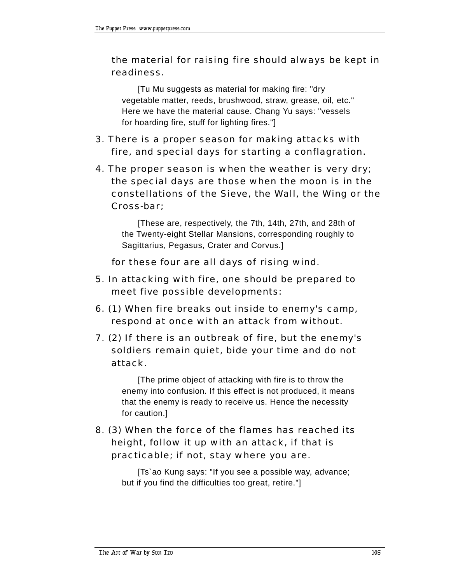## the material for raising fire should always be kept in readiness.

[Tu Mu suggests as material for making fire: "dry vegetable matter, reeds, brushwood, straw, grease, oil, etc." Here we have the material cause. Chang Yu says: "vessels for hoarding fire, stuff for lighting fires."]

- 3. There is a proper season for making attacks with fire, and special days for starting a conflagration.
- 4. The proper season is when the weather is very dry; the special days are those when the moon is in the constellations of the Sieve, the Wall, the Wing or the Cross-bar;

[These are, respectively, the 7th, 14th, 27th, and 28th of the Twenty-eight Stellar Mansions, corresponding roughly to Sagittarius, Pegasus, Crater and Corvus.]

for these four are all days of rising wind.

- 5. In attacking with fire, one should be prepared to meet five possible developments:
- 6. (1) When fire breaks out inside to enemy's camp, respond at once with an attack from without.
- 7. (2) If there is an outbreak of fire, but the enemy's soldiers remain quiet, bide your time and do not attack.

[The prime object of attacking with fire is to throw the enemy into confusion. If this effect is not produced, it means that the enemy is ready to receive us. Hence the necessity for caution.]

## 8. (3) When the force of the flames has reached its height, follow it up with an attack, if that is practicable; if not, stay where you are.

[Ts`ao Kung says: "If you see a possible way, advance; but if you find the difficulties too great, retire."]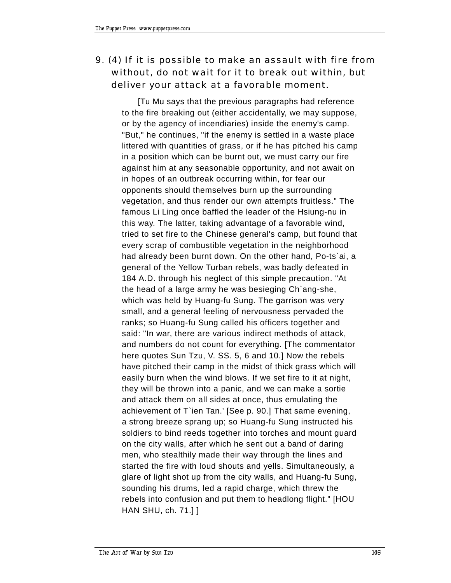## 9. (4) If it is possible to make an assault with fire from without, do not wait for it to break out within, but deliver your attack at a favorable moment.

[Tu Mu says that the previous paragraphs had reference to the fire breaking out (either accidentally, we may suppose, or by the agency of incendiaries) inside the enemy's camp. "But," he continues, "if the enemy is settled in a waste place littered with quantities of grass, or if he has pitched his camp in a position which can be burnt out, we must carry our fire against him at any seasonable opportunity, and not await on in hopes of an outbreak occurring within, for fear our opponents should themselves burn up the surrounding vegetation, and thus render our own attempts fruitless." The famous Li Ling once baffled the leader of the Hsiung-nu in this way. The latter, taking advantage of a favorable wind, tried to set fire to the Chinese general's camp, but found that every scrap of combustible vegetation in the neighborhood had already been burnt down. On the other hand, Po-ts`ai, a general of the Yellow Turban rebels, was badly defeated in 184 A.D. through his neglect of this simple precaution. "At the head of a large army he was besieging Ch`ang-she, which was held by Huang-fu Sung. The garrison was very small, and a general feeling of nervousness pervaded the ranks; so Huang-fu Sung called his officers together and said: "In war, there are various indirect methods of attack, and numbers do not count for everything. [The commentator here quotes Sun Tzu, V. SS. 5, 6 and 10.] Now the rebels have pitched their camp in the midst of thick grass which will easily burn when the wind blows. If we set fire to it at night, they will be thrown into a panic, and we can make a sortie and attack them on all sides at once, thus emulating the achievement of T`ien Tan.' [See p. 90.] That same evening, a strong breeze sprang up; so Huang-fu Sung instructed his soldiers to bind reeds together into torches and mount guard on the city walls, after which he sent out a band of daring men, who stealthily made their way through the lines and started the fire with loud shouts and yells. Simultaneously, a glare of light shot up from the city walls, and Huang-fu Sung, sounding his drums, led a rapid charge, which threw the rebels into confusion and put them to headlong flight." [HOU HAN SHU, ch. 71.] ]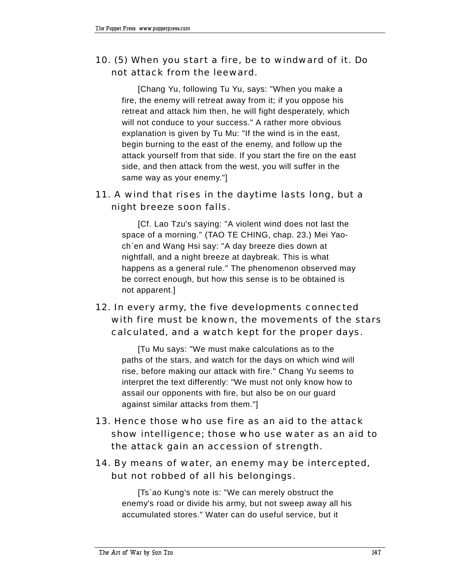## 10. (5) When you start a fire, be to windward of it. Do not attack from the leeward.

[Chang Yu, following Tu Yu, says: "When you make a fire, the enemy will retreat away from it; if you oppose his retreat and attack him then, he will fight desperately, which will not conduce to your success." A rather more obvious explanation is given by Tu Mu: "If the wind is in the east, begin burning to the east of the enemy, and follow up the attack yourself from that side. If you start the fire on the east side, and then attack from the west, you will suffer in the same way as your enemy."]

#### 11. A wind that rises in the daytime lasts long, but a night breeze soon falls.

[Cf. Lao Tzu's saying: "A violent wind does not last the space of a morning." (TAO TE CHING, chap. 23.) Mei Yaoch`en and Wang Hsi say: "A day breeze dies down at nightfall, and a night breeze at daybreak. This is what happens as a general rule." The phenomenon observed may be correct enough, but how this sense is to be obtained is not apparent.]

# 12. In every army, the five developments connected with fire must be known, the movements of the stars calculated, and a watch kept for the proper days.

[Tu Mu says: "We must make calculations as to the paths of the stars, and watch for the days on which wind will rise, before making our attack with fire." Chang Yu seems to interpret the text differently: "We must not only know how to assail our opponents with fire, but also be on our guard against similar attacks from them."]

13. Hence those who use fire as an aid to the attack show intelligence; those who use water as an aid to the attack gain an accession of strength.

#### 14. By means of water, an enemy may be intercepted, but not robbed of all his belongings.

[Ts`ao Kung's note is: "We can merely obstruct the enemy's road or divide his army, but not sweep away all his accumulated stores." Water can do useful service, but it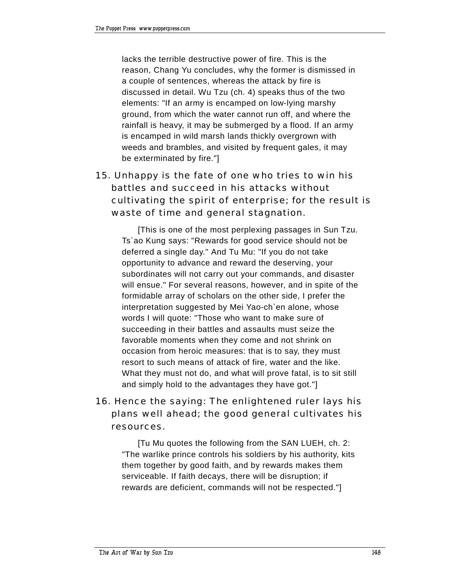lacks the terrible destructive power of fire. This is the reason, Chang Yu concludes, why the former is dismissed in a couple of sentences, whereas the attack by fire is discussed in detail. Wu Tzu (ch. 4) speaks thus of the two elements: "If an army is encamped on low-lying marshy ground, from which the water cannot run off, and where the rainfall is heavy, it may be submerged by a flood. If an army is encamped in wild marsh lands thickly overgrown with weeds and brambles, and visited by frequent gales, it may be exterminated by fire."]

# 15. Unhappy is the fate of one who tries to win his battles and succeed in his attacks without cultivating the spirit of enterprise; for the result is waste of time and general stagnation.

[This is one of the most perplexing passages in Sun Tzu. Ts`ao Kung says: "Rewards for good service should not be deferred a single day." And Tu Mu: "If you do not take opportunity to advance and reward the deserving, your subordinates will not carry out your commands, and disaster will ensue." For several reasons, however, and in spite of the formidable array of scholars on the other side, I prefer the interpretation suggested by Mei Yao-ch`en alone, whose words I will quote: "Those who want to make sure of succeeding in their battles and assaults must seize the favorable moments when they come and not shrink on occasion from heroic measures: that is to say, they must resort to such means of attack of fire, water and the like. What they must not do, and what will prove fatal, is to sit still and simply hold to the advantages they have got."]

# 16. Hence the saying: The enlightened ruler lays his plans well ahead; the good general cultivates his resources.

[Tu Mu quotes the following from the SAN LUEH, ch. 2: "The warlike prince controls his soldiers by his authority, kits them together by good faith, and by rewards makes them serviceable. If faith decays, there will be disruption; if rewards are deficient, commands will not be respected."]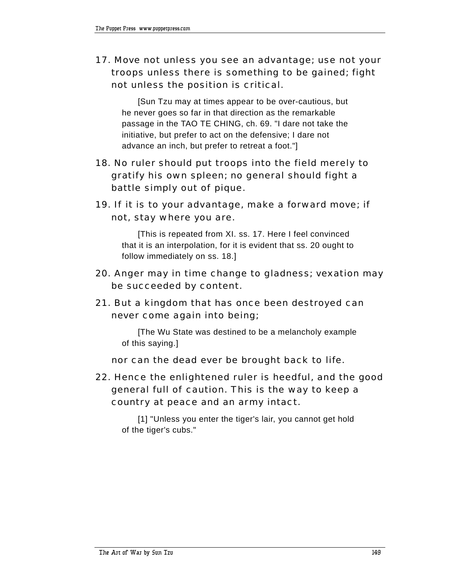# 17. Move not unless you see an advantage; use not your troops unless there is something to be gained; fight not unless the position is critical.

[Sun Tzu may at times appear to be over-cautious, but he never goes so far in that direction as the remarkable passage in the TAO TE CHING, ch. 69. "I dare not take the initiative, but prefer to act on the defensive; I dare not advance an inch, but prefer to retreat a foot."]

- 18. No ruler should put troops into the field merely to gratify his own spleen; no general should fight a battle simply out of pique.
- 19. If it is to your advantage, make a forward move; if not, stay where you are.

[This is repeated from XI. ss. 17. Here I feel convinced that it is an interpolation, for it is evident that ss. 20 ought to follow immediately on ss. 18.]

- 20. Anger may in time change to gladness; vexation may be succeeded by content.
- 21. But a kingdom that has once been destroyed can never come again into being;

[The Wu State was destined to be a melancholy example of this saying.]

nor can the dead ever be brought back to life.

22. Hence the enlightened ruler is heedful, and the good general full of caution. This is the way to keep a country at peace and an army intact.

[1] "Unless you enter the tiger's lair, you cannot get hold of the tiger's cubs."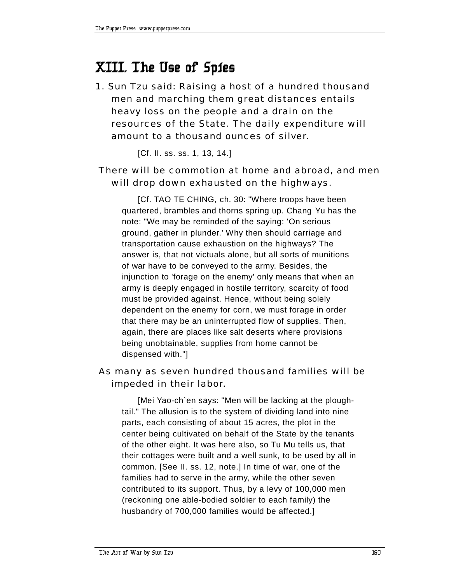# **XIII. The Use of Spies**

1. Sun Tzu said: Raising a host of a hundred thousand men and marching them great distances entails heavy loss on the people and a drain on the resources of the State. The daily expenditure will amount to a thousand ounces of silver.

[Cf. II. ss. ss. 1, 13, 14.]

## There will be commotion at home and abroad, and men will drop down exhausted on the highways.

[Cf. TAO TE CHING, ch. 30: "Where troops have been quartered, brambles and thorns spring up. Chang Yu has the note: "We may be reminded of the saying: 'On serious ground, gather in plunder.' Why then should carriage and transportation cause exhaustion on the highways? The answer is, that not victuals alone, but all sorts of munitions of war have to be conveyed to the army. Besides, the injunction to 'forage on the enemy' only means that when an army is deeply engaged in hostile territory, scarcity of food must be provided against. Hence, without being solely dependent on the enemy for corn, we must forage in order that there may be an uninterrupted flow of supplies. Then, again, there are places like salt deserts where provisions being unobtainable, supplies from home cannot be dispensed with."]

#### As many as seven hundred thousand families will be impeded in their labor.

[Mei Yao-ch`en says: "Men will be lacking at the ploughtail." The allusion is to the system of dividing land into nine parts, each consisting of about 15 acres, the plot in the center being cultivated on behalf of the State by the tenants of the other eight. It was here also, so Tu Mu tells us, that their cottages were built and a well sunk, to be used by all in common. [See II. ss. 12, note.] In time of war, one of the families had to serve in the army, while the other seven contributed to its support. Thus, by a levy of 100,000 men (reckoning one able-bodied soldier to each family) the husbandry of 700,000 families would be affected.]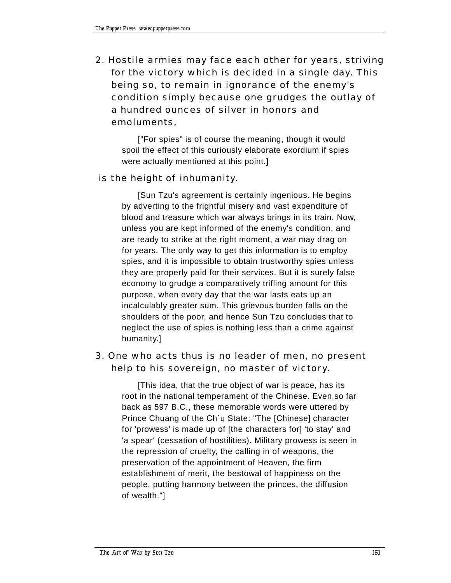2. Hostile armies may face each other for years, striving for the victory which is decided in a single day. This being so, to remain in ignorance of the enemy's condition simply because one grudges the outlay of a hundred ounces of silver in honors and emoluments,

["For spies" is of course the meaning, though it would spoil the effect of this curiously elaborate exordium if spies were actually mentioned at this point.]

#### is the height of inhumanity.

[Sun Tzu's agreement is certainly ingenious. He begins by adverting to the frightful misery and vast expenditure of blood and treasure which war always brings in its train. Now, unless you are kept informed of the enemy's condition, and are ready to strike at the right moment, a war may drag on for years. The only way to get this information is to employ spies, and it is impossible to obtain trustworthy spies unless they are properly paid for their services. But it is surely false economy to grudge a comparatively trifling amount for this purpose, when every day that the war lasts eats up an incalculably greater sum. This grievous burden falls on the shoulders of the poor, and hence Sun Tzu concludes that to neglect the use of spies is nothing less than a crime against humanity.]

#### 3. One who acts thus is no leader of men, no present help to his sovereign, no master of victory.

[This idea, that the true object of war is peace, has its root in the national temperament of the Chinese. Even so far back as 597 B.C., these memorable words were uttered by Prince Chuang of the Ch`u State: "The [Chinese] character for 'prowess' is made up of [the characters for] 'to stay' and 'a spear' (cessation of hostilities). Military prowess is seen in the repression of cruelty, the calling in of weapons, the preservation of the appointment of Heaven, the firm establishment of merit, the bestowal of happiness on the people, putting harmony between the princes, the diffusion of wealth."]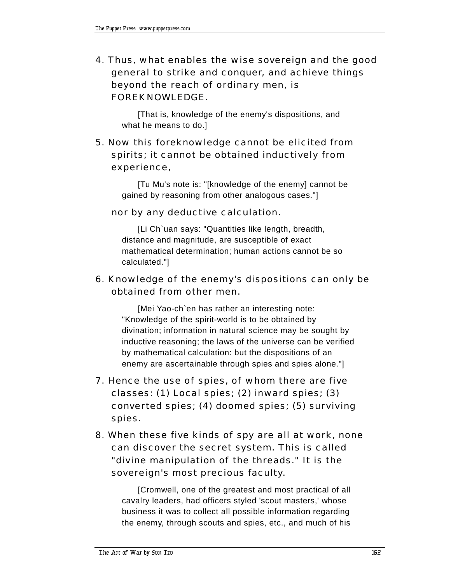4. Thus, what enables the wise sovereign and the good general to strike and conquer, and achieve things beyond the reach of ordinary men, is FOREKNOWLEDGE.

[That is, knowledge of the enemy's dispositions, and what he means to do.]

# 5. Now this foreknowledge cannot be elicited from spirits; it cannot be obtained inductively from experience,

[Tu Mu's note is: "[knowledge of the enemy] cannot be gained by reasoning from other analogous cases."]

#### nor by any deductive calculation.

[Li Ch`uan says: "Quantities like length, breadth, distance and magnitude, are susceptible of exact mathematical determination; human actions cannot be so calculated."]

#### 6. Knowledge of the enemy's dispositions can only be obtained from other men.

[Mei Yao-ch`en has rather an interesting note: "Knowledge of the spirit-world is to be obtained by divination; information in natural science may be sought by inductive reasoning; the laws of the universe can be verified by mathematical calculation: but the dispositions of an enemy are ascertainable through spies and spies alone."]

- 7. Hence the use of spies, of whom there are five classes: (1) Local spies; (2) inward spies; (3) converted spies; (4) doomed spies; (5) surviving spies.
- 8. When these five kinds of spy are all at work, none can discover the secret system. This is called "divine manipulation of the threads." It is the sovereign's most precious faculty.

[Cromwell, one of the greatest and most practical of all cavalry leaders, had officers styled 'scout masters,' whose business it was to collect all possible information regarding the enemy, through scouts and spies, etc., and much of his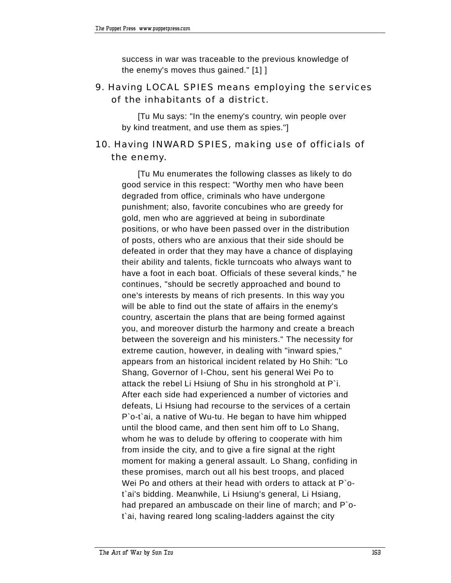success in war was traceable to the previous knowledge of the enemy's moves thus gained." [1] ]

## 9. Having LOCAL SPIES means employing the services of the inhabitants of a district.

[Tu Mu says: "In the enemy's country, win people over by kind treatment, and use them as spies."]

# 10. Having INWARD SPIES, making use of officials of the enemy.

[Tu Mu enumerates the following classes as likely to do good service in this respect: "Worthy men who have been degraded from office, criminals who have undergone punishment; also, favorite concubines who are greedy for gold, men who are aggrieved at being in subordinate positions, or who have been passed over in the distribution of posts, others who are anxious that their side should be defeated in order that they may have a chance of displaying their ability and talents, fickle turncoats who always want to have a foot in each boat. Officials of these several kinds," he continues, "should be secretly approached and bound to one's interests by means of rich presents. In this way you will be able to find out the state of affairs in the enemy's country, ascertain the plans that are being formed against you, and moreover disturb the harmony and create a breach between the sovereign and his ministers." The necessity for extreme caution, however, in dealing with "inward spies," appears from an historical incident related by Ho Shih: "Lo Shang, Governor of I-Chou, sent his general Wei Po to attack the rebel Li Hsiung of Shu in his stronghold at P`i. After each side had experienced a number of victories and defeats, Li Hsiung had recourse to the services of a certain P`o-t`ai, a native of Wu-tu. He began to have him whipped until the blood came, and then sent him off to Lo Shang, whom he was to delude by offering to cooperate with him from inside the city, and to give a fire signal at the right moment for making a general assault. Lo Shang, confiding in these promises, march out all his best troops, and placed Wei Po and others at their head with orders to attack at P ot`ai's bidding. Meanwhile, Li Hsiung's general, Li Hsiang, had prepared an ambuscade on their line of march; and P`ot`ai, having reared long scaling-ladders against the city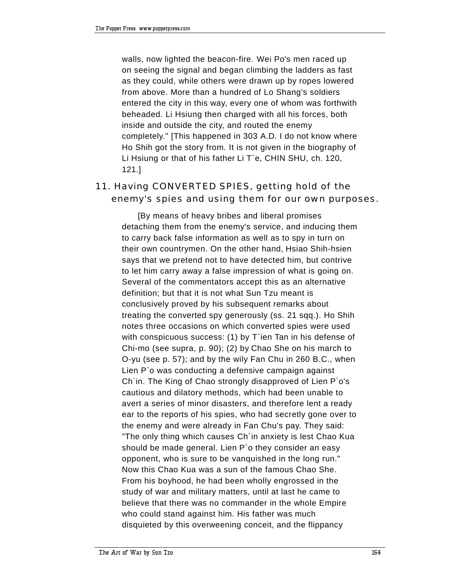walls, now lighted the beacon-fire. Wei Po's men raced up on seeing the signal and began climbing the ladders as fast as they could, while others were drawn up by ropes lowered from above. More than a hundred of Lo Shang's soldiers entered the city in this way, every one of whom was forthwith beheaded. Li Hsiung then charged with all his forces, both inside and outside the city, and routed the enemy completely." [This happened in 303 A.D. I do not know where Ho Shih got the story from. It is not given in the biography of Li Hsiung or that of his father Li T`e, CHIN SHU, ch. 120, 121.]

## 11. Having CONVERTED SPIES, getting hold of the enemy's spies and using them for our own purposes.

[By means of heavy bribes and liberal promises detaching them from the enemy's service, and inducing them to carry back false information as well as to spy in turn on their own countrymen. On the other hand, Hsiao Shih-hsien says that we pretend not to have detected him, but contrive to let him carry away a false impression of what is going on. Several of the commentators accept this as an alternative definition; but that it is not what Sun Tzu meant is conclusively proved by his subsequent remarks about treating the converted spy generously (ss. 21 sqq.). Ho Shih notes three occasions on which converted spies were used with conspicuous success: (1) by T'ien Tan in his defense of Chi-mo (see supra, p. 90); (2) by Chao She on his march to O-yu (see p. 57); and by the wily Fan Chu in 260 B.C., when Lien P`o was conducting a defensive campaign against Ch`in. The King of Chao strongly disapproved of Lien P`o's cautious and dilatory methods, which had been unable to avert a series of minor disasters, and therefore lent a ready ear to the reports of his spies, who had secretly gone over to the enemy and were already in Fan Chu's pay. They said: "The only thing which causes Ch`in anxiety is lest Chao Kua should be made general. Lien P`o they consider an easy opponent, who is sure to be vanquished in the long run." Now this Chao Kua was a sun of the famous Chao She. From his boyhood, he had been wholly engrossed in the study of war and military matters, until at last he came to believe that there was no commander in the whole Empire who could stand against him. His father was much disquieted by this overweening conceit, and the flippancy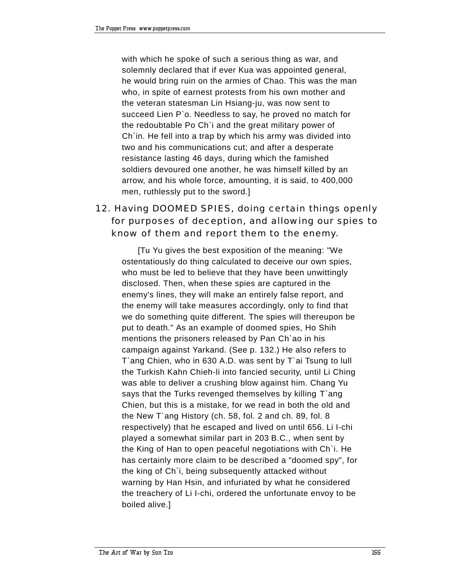with which he spoke of such a serious thing as war, and solemnly declared that if ever Kua was appointed general, he would bring ruin on the armies of Chao. This was the man who, in spite of earnest protests from his own mother and the veteran statesman Lin Hsiang-ju, was now sent to succeed Lien P`o. Needless to say, he proved no match for the redoubtable Po Ch`i and the great military power of Ch`in. He fell into a trap by which his army was divided into two and his communications cut; and after a desperate resistance lasting 46 days, during which the famished soldiers devoured one another, he was himself killed by an arrow, and his whole force, amounting, it is said, to 400,000 men, ruthlessly put to the sword.]

# 12. Having DOOMED SPIES, doing certain things openly for purposes of deception, and allowing our spies to know of them and report them to the enemy.

[Tu Yu gives the best exposition of the meaning: "We ostentatiously do thing calculated to deceive our own spies, who must be led to believe that they have been unwittingly disclosed. Then, when these spies are captured in the enemy's lines, they will make an entirely false report, and the enemy will take measures accordingly, only to find that we do something quite different. The spies will thereupon be put to death." As an example of doomed spies, Ho Shih mentions the prisoners released by Pan Ch`ao in his campaign against Yarkand. (See p. 132.) He also refers to T`ang Chien, who in 630 A.D. was sent by T`ai Tsung to lull the Turkish Kahn Chieh-li into fancied security, until Li Ching was able to deliver a crushing blow against him. Chang Yu says that the Turks revenged themselves by killing T`ang Chien, but this is a mistake, for we read in both the old and the New T`ang History (ch. 58, fol. 2 and ch. 89, fol. 8 respectively) that he escaped and lived on until 656. Li I-chi played a somewhat similar part in 203 B.C., when sent by the King of Han to open peaceful negotiations with Ch`i. He has certainly more claim to be described a "doomed spy", for the king of Ch`i, being subsequently attacked without warning by Han Hsin, and infuriated by what he considered the treachery of Li I-chi, ordered the unfortunate envoy to be boiled alive.]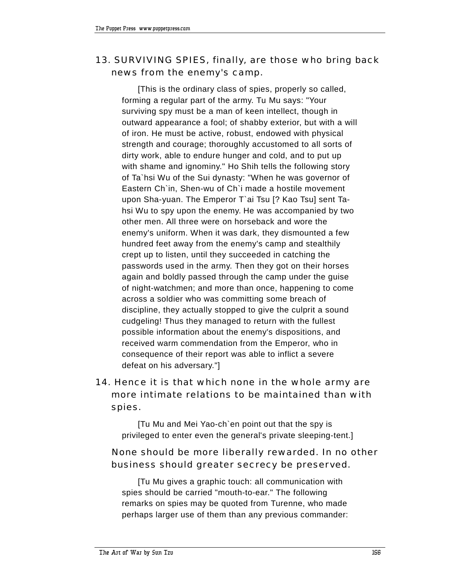## 13. SURVIVING SPIES, finally, are those who bring back news from the enemy's camp.

[This is the ordinary class of spies, properly so called, forming a regular part of the army. Tu Mu says: "Your surviving spy must be a man of keen intellect, though in outward appearance a fool; of shabby exterior, but with a will of iron. He must be active, robust, endowed with physical strength and courage; thoroughly accustomed to all sorts of dirty work, able to endure hunger and cold, and to put up with shame and ignominy." Ho Shih tells the following story of Ta`hsi Wu of the Sui dynasty: "When he was governor of Eastern Ch`in, Shen-wu of Ch`i made a hostile movement upon Sha-yuan. The Emperor T`ai Tsu [? Kao Tsu] sent Tahsi Wu to spy upon the enemy. He was accompanied by two other men. All three were on horseback and wore the enemy's uniform. When it was dark, they dismounted a few hundred feet away from the enemy's camp and stealthily crept up to listen, until they succeeded in catching the passwords used in the army. Then they got on their horses again and boldly passed through the camp under the guise of night-watchmen; and more than once, happening to come across a soldier who was committing some breach of discipline, they actually stopped to give the culprit a sound cudgeling! Thus they managed to return with the fullest possible information about the enemy's dispositions, and received warm commendation from the Emperor, who in consequence of their report was able to inflict a severe defeat on his adversary."]

# 14. Hence it is that which none in the whole army are more intimate relations to be maintained than with spies.

[Tu Mu and Mei Yao-ch`en point out that the spy is privileged to enter even the general's private sleeping-tent.]

#### None should be more liberally rewarded. In no other business should greater secrecy be preserved.

[Tu Mu gives a graphic touch: all communication with spies should be carried "mouth-to-ear." The following remarks on spies may be quoted from Turenne, who made perhaps larger use of them than any previous commander: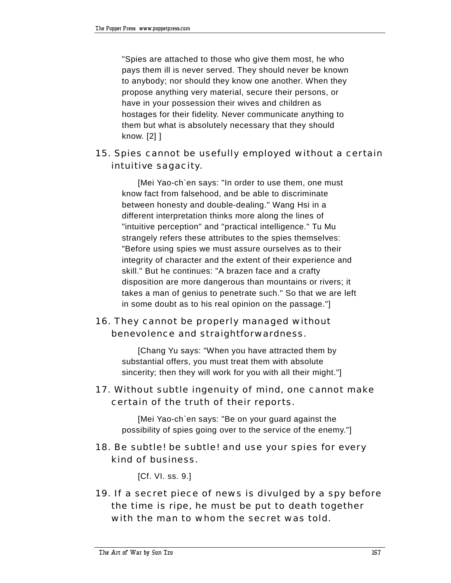"Spies are attached to those who give them most, he who pays them ill is never served. They should never be known to anybody; nor should they know one another. When they propose anything very material, secure their persons, or have in your possession their wives and children as hostages for their fidelity. Never communicate anything to them but what is absolutely necessary that they should know. [2] ]

## 15. Spies cannot be usefully employed without a certain intuitive sagacity.

[Mei Yao-ch`en says: "In order to use them, one must know fact from falsehood, and be able to discriminate between honesty and double-dealing." Wang Hsi in a different interpretation thinks more along the lines of "intuitive perception" and "practical intelligence." Tu Mu strangely refers these attributes to the spies themselves: "Before using spies we must assure ourselves as to their integrity of character and the extent of their experience and skill." But he continues: "A brazen face and a crafty disposition are more dangerous than mountains or rivers; it takes a man of genius to penetrate such." So that we are left in some doubt as to his real opinion on the passage."]

# 16. They cannot be properly managed without benevolence and straightforwardness.

[Chang Yu says: "When you have attracted them by substantial offers, you must treat them with absolute sincerity; then they will work for you with all their might."]

#### 17. Without subtle ingenuity of mind, one cannot make certain of the truth of their reports.

[Mei Yao-ch`en says: "Be on your guard against the possibility of spies going over to the service of the enemy."]

#### 18. Be subtle! be subtle! and use your spies for every kind of business.

[Cf. VI. ss. 9.]

19. If a secret piece of news is divulged by a spy before the time is ripe, he must be put to death together with the man to whom the secret was told.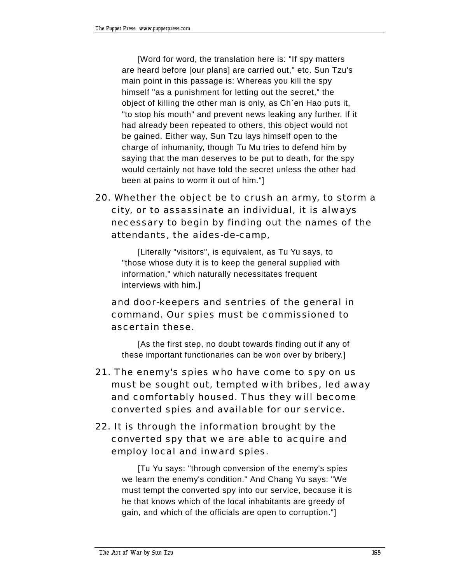[Word for word, the translation here is: "If spy matters are heard before [our plans] are carried out," etc. Sun Tzu's main point in this passage is: Whereas you kill the spy himself "as a punishment for letting out the secret," the object of killing the other man is only, as Ch`en Hao puts it, "to stop his mouth" and prevent news leaking any further. If it had already been repeated to others, this object would not be gained. Either way, Sun Tzu lays himself open to the charge of inhumanity, though Tu Mu tries to defend him by saying that the man deserves to be put to death, for the spy would certainly not have told the secret unless the other had been at pains to worm it out of him."]

# 20. Whether the object be to crush an army, to storm a city, or to assassinate an individual, it is always necessary to begin by finding out the names of the attendants, the *aides-de-camp,*

[Literally "visitors", is equivalent, as Tu Yu says, to "those whose duty it is to keep the general supplied with information," which naturally necessitates frequent interviews with him.]

## and door-keepers and sentries of the general in command. Our spies must be commissioned to ascertain these.

[As the first step, no doubt towards finding out if any of these important functionaries can be won over by bribery.]

21. The enemy's spies who have come to spy on us must be sought out, tempted with bribes, led away and comfortably housed. Thus they will become converted spies and available for our service.

# 22. It is through the information brought by the converted spy that we are able to acquire and employ local and inward spies.

[Tu Yu says: "through conversion of the enemy's spies we learn the enemy's condition." And Chang Yu says: "We must tempt the converted spy into our service, because it is he that knows which of the local inhabitants are greedy of gain, and which of the officials are open to corruption."]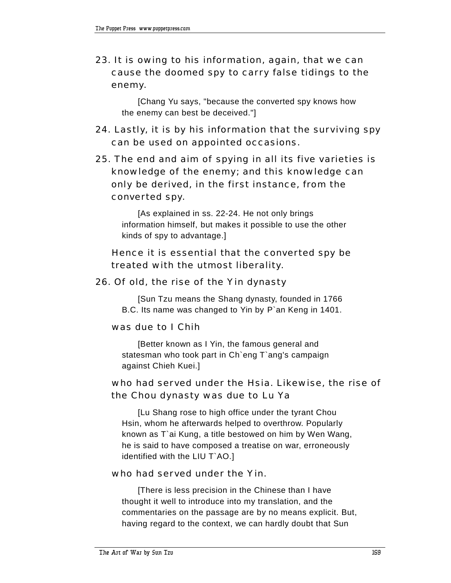23. It is owing to his information, again, that we can cause the doomed spy to carry false tidings to the enemy.

[Chang Yu says, "because the converted spy knows how the enemy can best be deceived."]

- 24. Lastly, it is by his information that the surviving spy can be used on appointed occasions.
- 25. The end and aim of spying in all its five varieties is knowledge of the enemy; and this knowledge can only be derived, in the first instance, from the converted spy.

[As explained in ss. 22-24. He not only brings information himself, but makes it possible to use the other kinds of spy to advantage.]

### Hence it is essential that the converted spy be treated with the utmost liberality.

#### 26. Of old, the rise of the Yin dynasty

[Sun Tzu means the Shang dynasty, founded in 1766 B.C. Its name was changed to Yin by P`an Keng in 1401.

#### was due to I Chih

[Better known as I Yin, the famous general and statesman who took part in Ch`eng T`ang's campaign against Chieh Kuei.]

#### who had served under the Hsia. Likewise, the rise of the Chou dynasty was due to Lu Ya

[Lu Shang rose to high office under the tyrant Chou Hsin, whom he afterwards helped to overthrow. Popularly known as T`ai Kung, a title bestowed on him by Wen Wang, he is said to have composed a treatise on war, erroneously identified with the LIU T`AO.]

#### who had served under the Yin.

[There is less precision in the Chinese than I have thought it well to introduce into my translation, and the commentaries on the passage are by no means explicit. But, having regard to the context, we can hardly doubt that Sun